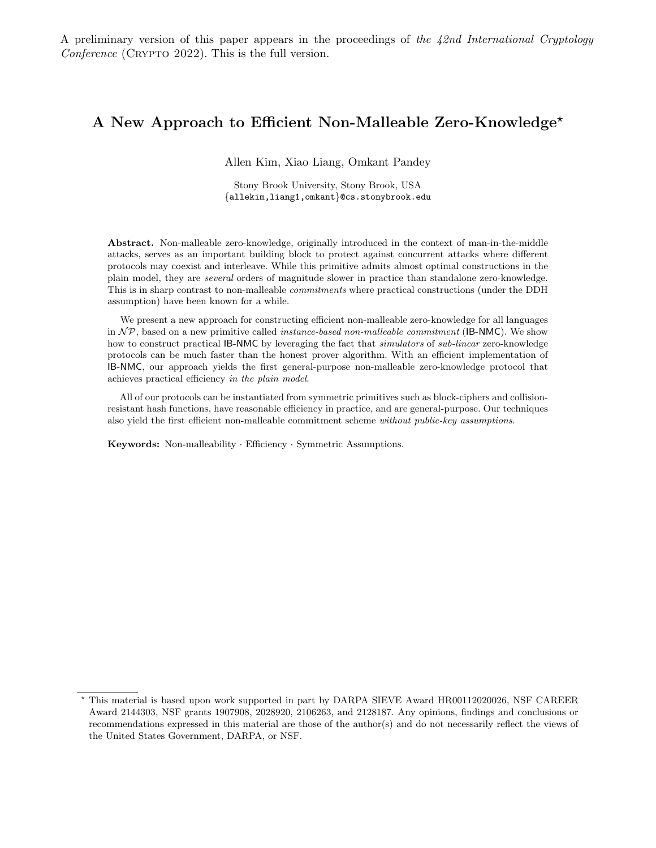A preliminary version of this paper appears in the proceedings of the  $42nd$  International Cryptology Conference (CRYPTO 2022). This is the full version.

# A New Approach to Efficient Non-Malleable Zero-Knowledge?

Allen Kim, Xiao Liang, Omkant Pandey

Stony Brook University, Stony Brook, USA {allekim,liang1,omkant}@cs.stonybrook.edu

Abstract. Non-malleable zero-knowledge, originally introduced in the context of man-in-the-middle attacks, serves as an important building block to protect against concurrent attacks where different protocols may coexist and interleave. While this primitive admits almost optimal constructions in the plain model, they are several orders of magnitude slower in practice than standalone zero-knowledge. This is in sharp contrast to non-malleable commitments where practical constructions (under the DDH assumption) have been known for a while.

We present a new approach for constructing efficient non-malleable zero-knowledge for all languages in  $\mathcal{NP}$ , based on a new primitive called *instance-based non-malleable commitment* (IB-NMC). We show how to construct practical IB-NMC by leveraging the fact that *simulators* of *sub-linear* zero-knowledge protocols can be much faster than the honest prover algorithm. With an efficient implementation of IB-NMC, our approach yields the first general-purpose non-malleable zero-knowledge protocol that achieves practical efficiency in the plain model.

All of our protocols can be instantiated from symmetric primitives such as block-ciphers and collisionresistant hash functions, have reasonable efficiency in practice, and are general-purpose. Our techniques also yield the first efficient non-malleable commitment scheme without public-key assumptions.

Keywords: Non-malleability · Efficiency · Symmetric Assumptions.

<sup>?</sup> This material is based upon work supported in part by DARPA SIEVE Award HR00112020026, NSF CAREER Award 2144303, NSF grants 1907908, 2028920, 2106263, and 2128187. Any opinions, findings and conclusions or recommendations expressed in this material are those of the author(s) and do not necessarily reflect the views of the United States Government, DARPA, or NSF.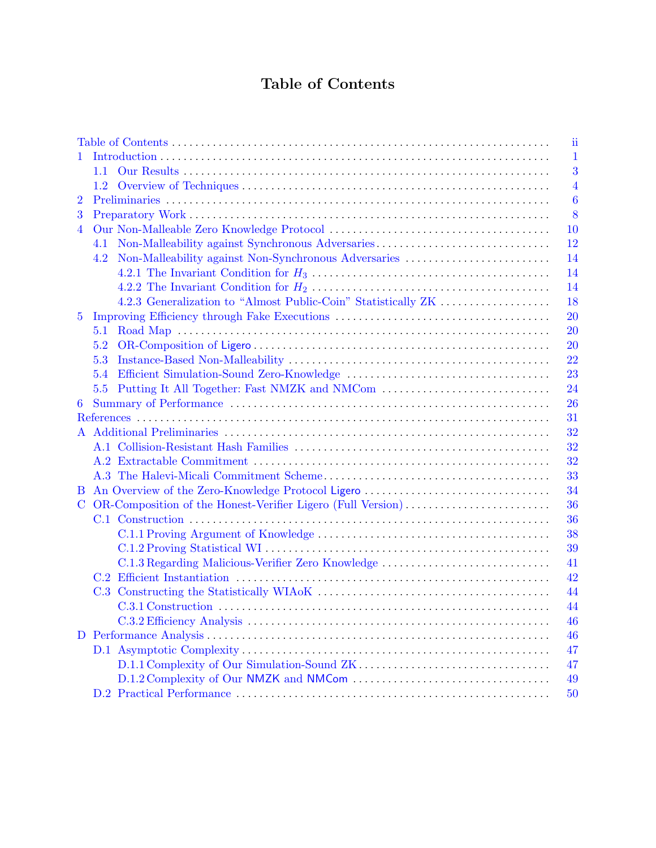# Table of Contents

<span id="page-1-0"></span>

| 1<br>1.1<br>$\overline{2}$                                    | $\mathbf{1}$<br>3<br>$\overline{4}$<br>$\boldsymbol{6}$<br>8 |
|---------------------------------------------------------------|--------------------------------------------------------------|
|                                                               |                                                              |
|                                                               |                                                              |
|                                                               |                                                              |
|                                                               |                                                              |
| 3                                                             |                                                              |
| 4                                                             | 10                                                           |
| Non-Malleability against Synchronous Adversaries<br>4.1       | 12                                                           |
| Non-Malleability against Non-Synchronous Adversaries<br>4.2   | 14                                                           |
|                                                               | 14                                                           |
|                                                               | 14                                                           |
| 4.2.3 Generalization to "Almost Public-Coin" Statistically ZK | 18                                                           |
| $5\overline{)}$                                               | 20                                                           |
| 5.1                                                           | 20                                                           |
| 5.2                                                           | 20                                                           |
| 5.3                                                           | 22                                                           |
| 5.4                                                           | 23                                                           |
| 5.5                                                           | 24                                                           |
| 6                                                             | 26                                                           |
|                                                               | 31                                                           |
|                                                               | 32                                                           |
|                                                               | 32                                                           |
|                                                               | 32                                                           |
|                                                               | 33                                                           |
| An Overview of the Zero-Knowledge Protocol Ligero<br>В        | 34                                                           |
| $\mathbf C$                                                   | 36                                                           |
|                                                               | 36                                                           |
|                                                               | 38                                                           |
|                                                               | 39                                                           |
| C.1.3 Regarding Malicious-Verifier Zero Knowledge             | 41                                                           |
|                                                               | 42                                                           |
| C.3                                                           | 44                                                           |
|                                                               | 44                                                           |
|                                                               | 46                                                           |
|                                                               | 46                                                           |
|                                                               | 47                                                           |
|                                                               | 47                                                           |
|                                                               | 49                                                           |
|                                                               | 50                                                           |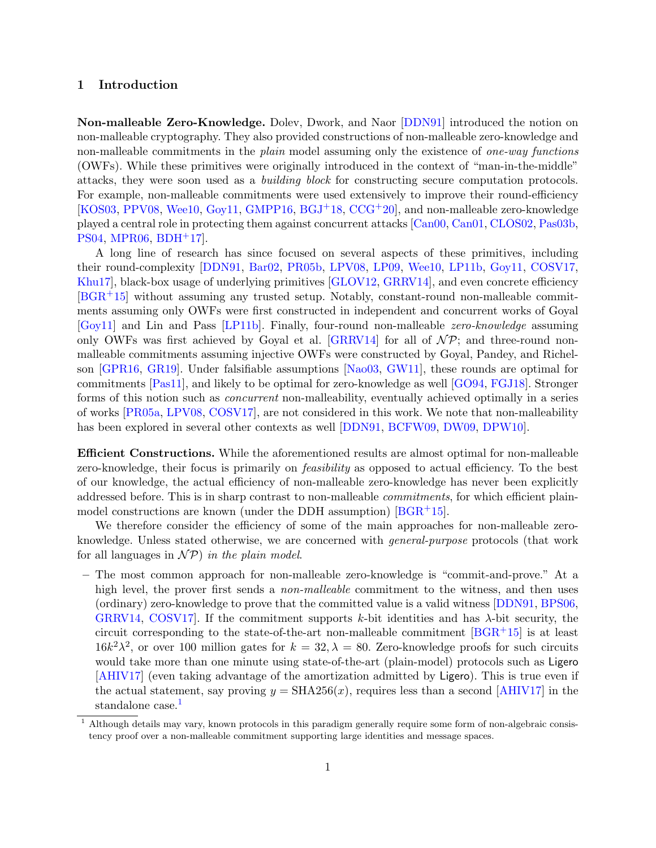# <span id="page-2-2"></span><span id="page-2-0"></span>1 Introduction

Non-malleable Zero-Knowledge. Dolev, Dwork, and Naor [\[DDN91\]](#page-29-0) introduced the notion on non-malleable cryptography. They also provided constructions of non-malleable zero-knowledge and non-malleable commitments in the *plain* model assuming only the existence of one-way functions (OWFs). While these primitives were originally introduced in the context of "man-in-the-middle" attacks, they were soon used as a building block for constructing secure computation protocols. For example, non-malleable commitments were used extensively to improve their round-efficiency  $[KOS03, PPV08, Wee10, Goy11, GMPP16, BGJ<sup>+</sup>18, CCG<sup>+</sup>20]$  $[KOS03, PPV08, Wee10, Goy11, GMPP16, BGJ<sup>+</sup>18, CCG<sup>+</sup>20]$  $[KOS03, PPV08, Wee10, Goy11, GMPP16, BGJ<sup>+</sup>18, CCG<sup>+</sup>20]$  $[KOS03, PPV08, Wee10, Goy11, GMPP16, BGJ<sup>+</sup>18, CCG<sup>+</sup>20]$  $[KOS03, PPV08, Wee10, Goy11, GMPP16, BGJ<sup>+</sup>18, CCG<sup>+</sup>20]$  $[KOS03, PPV08, Wee10, Goy11, GMPP16, BGJ<sup>+</sup>18, CCG<sup>+</sup>20]$  $[KOS03, PPV08, Wee10, Goy11, GMPP16, BGJ<sup>+</sup>18, CCG<sup>+</sup>20]$  $[KOS03, PPV08, Wee10, Goy11, GMPP16, BGJ<sup>+</sup>18, CCG<sup>+</sup>20]$  $[KOS03, PPV08, Wee10, Goy11, GMPP16, BGJ<sup>+</sup>18, CCG<sup>+</sup>20]$  $[KOS03, PPV08, Wee10, Goy11, GMPP16, BGJ<sup>+</sup>18, CCG<sup>+</sup>20]$  $[KOS03, PPV08, Wee10, Goy11, GMPP16, BGJ<sup>+</sup>18, CCG<sup>+</sup>20]$  $[KOS03, PPV08, Wee10, Goy11, GMPP16, BGJ<sup>+</sup>18, CCG<sup>+</sup>20]$  $[KOS03, PPV08, Wee10, Goy11, GMPP16, BGJ<sup>+</sup>18, CCG<sup>+</sup>20]$  $[KOS03, PPV08, Wee10, Goy11, GMPP16, BGJ<sup>+</sup>18, CCG<sup>+</sup>20]$ , and non-malleable zero-knowledge played a central role in protecting them against concurrent attacks [\[Can00,](#page-28-3) [Can01,](#page-28-4) [CLOS02,](#page-29-2) [Pas03b,](#page-31-1) [PS04,](#page-31-2) [MPR06,](#page-31-3) [BDH](#page-28-5)+17].

A long line of research has since focused on several aspects of these primitives, including their round-complexity [\[DDN91,](#page-29-0) [Bar02,](#page-28-6) [PR05b,](#page-31-4) [LPV08,](#page-30-2) [LP09,](#page-30-3) [Wee10,](#page-32-0) [LP11b,](#page-30-4) [Goy11,](#page-30-1) [COSV17,](#page-29-3) [Khu17\]](#page-30-5), black-box usage of underlying primitives [\[GLOV12,](#page-29-4) [GRRV14\]](#page-30-6), and even concrete efficiency [\[BGR](#page-28-7)+15] without assuming any trusted setup. Notably, constant-round non-malleable commitments assuming only OWFs were first constructed in independent and concurrent works of Goyal [\[Goy11\]](#page-30-1) and Lin and Pass [\[LP11b\]](#page-30-4). Finally, four-round non-malleable zero-knowledge assuming only OWFs was first achieved by Goyal et al. [\[GRRV14\]](#page-30-6) for all of  $\mathcal{NP}$ ; and three-round nonmalleable commitments assuming injective OWFs were constructed by Goyal, Pandey, and Richelson [\[GPR16,](#page-30-7) [GR19\]](#page-30-8). Under falsifiable assumptions [\[Nao03,](#page-31-5) [GW11\]](#page-30-9), these rounds are optimal for commitments [\[Pas11\]](#page-31-6), and likely to be optimal for zero-knowledge as well [\[GO94,](#page-29-5) [FGJ18\]](#page-29-6). Stronger forms of this notion such as concurrent non-malleability, eventually achieved optimally in a series of works [\[PR05a,](#page-31-7) [LPV08,](#page-30-2) [COSV17\]](#page-29-3), are not considered in this work. We note that non-malleability has been explored in several other contexts as well [\[DDN91,](#page-29-0) [BCFW09,](#page-28-8) [DW09,](#page-29-7) [DPW10\]](#page-29-8).

Efficient Constructions. While the aforementioned results are almost optimal for non-malleable zero-knowledge, their focus is primarily on *feasibility* as opposed to actual efficiency. To the best of our knowledge, the actual efficiency of non-malleable zero-knowledge has never been explicitly addressed before. This is in sharp contrast to non-malleable commitments, for which efficient plainmodel constructions are known (under the DDH assumption)  $[**BGR**<sup>+</sup>15]$ .

We therefore consider the efficiency of some of the main approaches for non-malleable zeroknowledge. Unless stated otherwise, we are concerned with general-purpose protocols (that work for all languages in  $\mathcal{NP}$ ) in the plain model.

– The most common approach for non-malleable zero-knowledge is "commit-and-prove." At a high level, the prover first sends a *non-malleable* commitment to the witness, and then uses (ordinary) zero-knowledge to prove that the committed value is a valid witness [\[DDN91,](#page-29-0) [BPS06,](#page-28-9) [GRRV14,](#page-30-6) COSV17. If the commitment supports k-bit identities and has  $\lambda$ -bit security, the circuit corresponding to the state-of-the-art non-malleable commitment  $[{\rm BGR^+15}]$  is at least  $16k^2\lambda^2$ , or over 100 million gates for  $k = 32, \lambda = 80$ . Zero-knowledge proofs for such circuits would take more than one minute using state-of-the-art (plain-model) protocols such as Ligero [\[AHIV17\]](#page-28-10) (even taking advantage of the amortization admitted by Ligero). This is true even if the actual statement, say proving  $y = SHA256(x)$ , requires less than a second [\[AHIV17\]](#page-28-10) in the standalone case.<sup>[1](#page-2-1)</sup>

<span id="page-2-1"></span><sup>1</sup> Although details may vary, known protocols in this paradigm generally require some form of non-algebraic consistency proof over a non-malleable commitment supporting large identities and message spaces.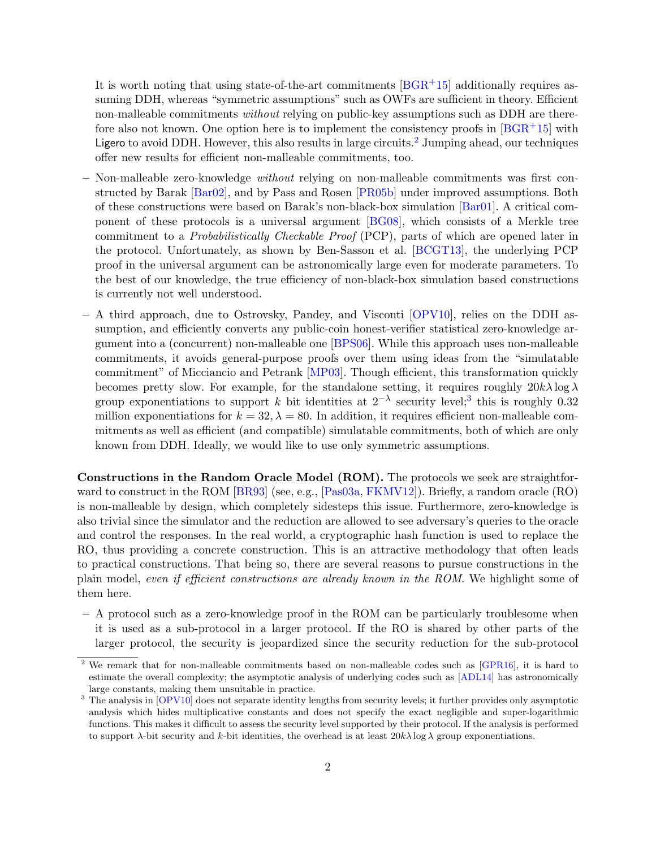<span id="page-3-2"></span>It is worth noting that using state-of-the-art commitments  $[BGR<sup>+</sup>15]$  $[BGR<sup>+</sup>15]$  additionally requires assuming DDH, whereas "symmetric assumptions" such as OWFs are sufficient in theory. Efficient non-malleable commitments *without* relying on public-key assumptions such as DDH are therefore also not known. One option here is to implement the consistency proofs in  $[{\rm BGR^+15}]$  with Ligero to avoid DDH. However, this also results in large circuits.<sup>[2](#page-3-0)</sup> Jumping ahead, our techniques offer new results for efficient non-malleable commitments, too.

- Non-malleable zero-knowledge without relying on non-malleable commitments was first constructed by Barak [\[Bar02\]](#page-28-6), and by Pass and Rosen [\[PR05b\]](#page-31-4) under improved assumptions. Both of these constructions were based on Barak's non-black-box simulation [\[Bar01\]](#page-28-11). A critical component of these protocols is a universal argument [\[BG08\]](#page-28-12), which consists of a Merkle tree commitment to a Probabilistically Checkable Proof (PCP), parts of which are opened later in the protocol. Unfortunately, as shown by Ben-Sasson et al. [\[BCGT13\]](#page-28-13), the underlying PCP proof in the universal argument can be astronomically large even for moderate parameters. To the best of our knowledge, the true efficiency of non-black-box simulation based constructions is currently not well understood.
- A third approach, due to Ostrovsky, Pandey, and Visconti [\[OPV10\]](#page-31-8), relies on the DDH assumption, and efficiently converts any public-coin honest-verifier statistical zero-knowledge argument into a (concurrent) non-malleable one [\[BPS06\]](#page-28-9). While this approach uses non-malleable commitments, it avoids general-purpose proofs over them using ideas from the "simulatable commitment" of Micciancio and Petrank [\[MP03\]](#page-31-9). Though efficient, this transformation quickly becomes pretty slow. For example, for the standalone setting, it requires roughly  $20k\lambda \log \lambda$ group exponentiations to support k bit identities at  $2^{-\lambda}$  security level;<sup>[3](#page-3-1)</sup> this is roughly 0.32 million exponentiations for  $k = 32, \lambda = 80$ . In addition, it requires efficient non-malleable commitments as well as efficient (and compatible) simulatable commitments, both of which are only known from DDH. Ideally, we would like to use only symmetric assumptions.

Constructions in the Random Oracle Model (ROM). The protocols we seek are straightforward to construct in the ROM [\[BR93\]](#page-28-14) (see, e.g., [\[Pas03a,](#page-31-10) [FKMV12\]](#page-29-9)). Briefly, a random oracle (RO) is non-malleable by design, which completely sidesteps this issue. Furthermore, zero-knowledge is also trivial since the simulator and the reduction are allowed to see adversary's queries to the oracle and control the responses. In the real world, a cryptographic hash function is used to replace the RO, thus providing a concrete construction. This is an attractive methodology that often leads to practical constructions. That being so, there are several reasons to pursue constructions in the plain model, even if efficient constructions are already known in the ROM. We highlight some of them here.

– A protocol such as a zero-knowledge proof in the ROM can be particularly troublesome when it is used as a sub-protocol in a larger protocol. If the RO is shared by other parts of the larger protocol, the security is jeopardized since the security reduction for the sub-protocol

<span id="page-3-0"></span><sup>2</sup> We remark that for non-malleable commitments based on non-malleable codes such as [\[GPR16\]](#page-30-7), it is hard to estimate the overall complexity; the asymptotic analysis of underlying codes such as [\[ADL14\]](#page-28-15) has astronomically large constants, making them unsuitable in practice.

<span id="page-3-1"></span><sup>&</sup>lt;sup>3</sup> The analysis in  $[OPV10]$  does not separate identity lengths from security levels; it further provides only asymptotic analysis which hides multiplicative constants and does not specify the exact negligible and super-logarithmic functions. This makes it difficult to assess the security level supported by their protocol. If the analysis is performed to support  $\lambda$ -bit security and k-bit identities, the overhead is at least  $20k\lambda \log \lambda$  group exponentiations.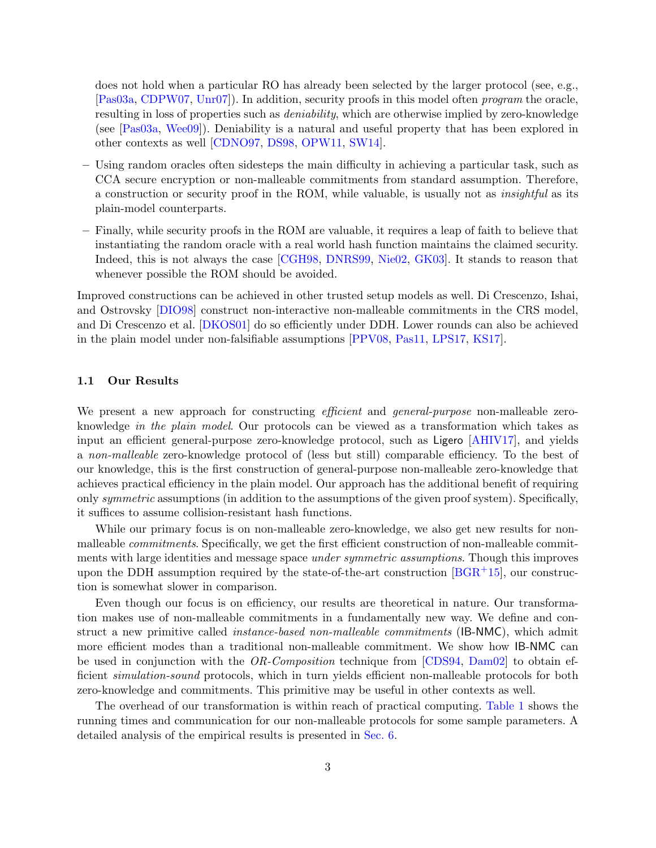<span id="page-4-1"></span>does not hold when a particular RO has already been selected by the larger protocol (see, e.g., [\[Pas03a,](#page-31-10) [CDPW07,](#page-28-16) [Unr07\]](#page-31-11)). In addition, security proofs in this model often program the oracle, resulting in loss of properties such as deniability, which are otherwise implied by zero-knowledge (see [\[Pas03a,](#page-31-10) [Wee09\]](#page-32-1)). Deniability is a natural and useful property that has been explored in other contexts as well [\[CDNO97,](#page-28-17) [DS98,](#page-29-10) [OPW11,](#page-31-12) [SW14\]](#page-31-13).

- Using random oracles often sidesteps the main difficulty in achieving a particular task, such as CCA secure encryption or non-malleable commitments from standard assumption. Therefore, a construction or security proof in the ROM, while valuable, is usually not as insightful as its plain-model counterparts.
- Finally, while security proofs in the ROM are valuable, it requires a leap of faith to believe that instantiating the random oracle with a real world hash function maintains the claimed security. Indeed, this is not always the case [\[CGH98,](#page-28-18) [DNRS99,](#page-29-11) [Nie02,](#page-31-14) [GK03\]](#page-29-12). It stands to reason that whenever possible the ROM should be avoided.

Improved constructions can be achieved in other trusted setup models as well. Di Crescenzo, Ishai, and Ostrovsky [\[DIO98\]](#page-29-13) construct non-interactive non-malleable commitments in the CRS model, and Di Crescenzo et al. [\[DKOS01\]](#page-29-14) do so efficiently under DDH. Lower rounds can also be achieved in the plain model under non-falsifiable assumptions [\[PPV08,](#page-31-0) [Pas11,](#page-31-6) [LPS17,](#page-30-10) [KS17\]](#page-30-11).

#### <span id="page-4-0"></span>1.1 Our Results

We present a new approach for constructing *efficient* and *general-purpose* non-malleable zeroknowledge in the plain model. Our protocols can be viewed as a transformation which takes as input an efficient general-purpose zero-knowledge protocol, such as Ligero [\[AHIV17\]](#page-28-10), and yields a non-malleable zero-knowledge protocol of (less but still) comparable efficiency. To the best of our knowledge, this is the first construction of general-purpose non-malleable zero-knowledge that achieves practical efficiency in the plain model. Our approach has the additional benefit of requiring only symmetric assumptions (in addition to the assumptions of the given proof system). Specifically, it suffices to assume collision-resistant hash functions.

While our primary focus is on non-malleable zero-knowledge, we also get new results for nonmalleable *commitments*. Specifically, we get the first efficient construction of non-malleable commitments with large identities and message space *under symmetric assumptions*. Though this improves upon the DDH assumption required by the state-of-the-art construction  $[BGR+15]$  $[BGR+15]$ , our construction is somewhat slower in comparison.

Even though our focus is on efficiency, our results are theoretical in nature. Our transformation makes use of non-malleable commitments in a fundamentally new way. We define and construct a new primitive called instance-based non-malleable commitments (IB-NMC), which admit more efficient modes than a traditional non-malleable commitment. We show how IB-NMC can be used in conjunction with the  $OR-Composition$  technique from  $[CDS94, Dam02]$  $[CDS94, Dam02]$  $[CDS94, Dam02]$  to obtain efficient *simulation-sound* protocols, which in turn yields efficient non-malleable protocols for both zero-knowledge and commitments. This primitive may be useful in other contexts as well.

The overhead of our transformation is within reach of practical computing. [Table 1](#page-5-1) shows the running times and communication for our non-malleable protocols for some sample parameters. A detailed analysis of the empirical results is presented in [Sec. 6.](#page-27-0)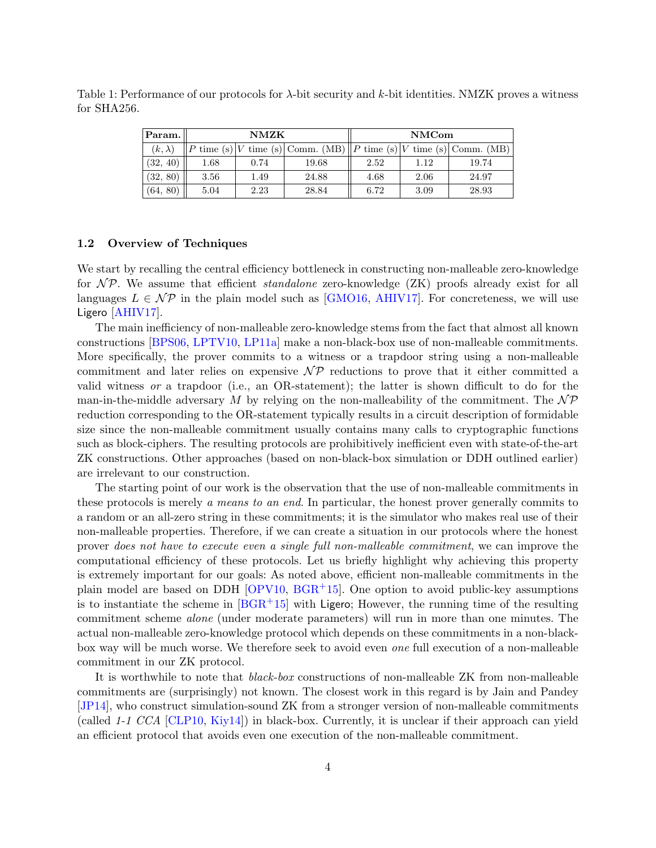<span id="page-5-2"></span><span id="page-5-1"></span>Table 1: Performance of our protocols for  $\lambda$ -bit security and k-bit identities. NMZK proves a witness for SHA256.

| Param.         | <b>NMZK</b> |      |                                                                             | <b>NMCom</b> |      |       |
|----------------|-------------|------|-----------------------------------------------------------------------------|--------------|------|-------|
| $(k, \lambda)$ |             |      | P time (s)   V time (s)   Comm. (MB)   P time (s)   V time (s)   Comm. (MB) |              |      |       |
| (32, 40)       | 1.68        | 0.74 | 19.68                                                                       | 2.52         | 1.12 | 19.74 |
| (32, 80)       | 3.56        | 1.49 | 24.88                                                                       | 4.68         | 2.06 | 24.97 |
| (64, 80)       | 5.04        | 2.23 | 28.84                                                                       | 6.72         | 3.09 | 28.93 |

#### <span id="page-5-0"></span>1.2 Overview of Techniques

We start by recalling the central efficiency bottleneck in constructing non-malleable zero-knowledge for  $\mathcal{NP}$ . We assume that efficient standalone zero-knowledge (ZK) proofs already exist for all languages  $L \in \mathcal{NP}$  in the plain model such as [\[GMO16,](#page-29-16) [AHIV17\]](#page-28-10). For concreteness, we will use Ligero [\[AHIV17\]](#page-28-10).

The main inefficiency of non-malleable zero-knowledge stems from the fact that almost all known constructions [\[BPS06,](#page-28-9) [LPTV10,](#page-30-12) [LP11a\]](#page-30-13) make a non-black-box use of non-malleable commitments. More specifically, the prover commits to a witness or a trapdoor string using a non-malleable commitment and later relies on expensive  $\mathcal{NP}$  reductions to prove that it either committed a valid witness or a trapdoor (i.e., an OR-statement); the latter is shown difficult to do for the man-in-the-middle adversary M by relying on the non-malleability of the commitment. The  $\mathcal{NP}$ reduction corresponding to the OR-statement typically results in a circuit description of formidable size since the non-malleable commitment usually contains many calls to cryptographic functions such as block-ciphers. The resulting protocols are prohibitively inefficient even with state-of-the-art ZK constructions. Other approaches (based on non-black-box simulation or DDH outlined earlier) are irrelevant to our construction.

The starting point of our work is the observation that the use of non-malleable commitments in these protocols is merely a means to an end. In particular, the honest prover generally commits to a random or an all-zero string in these commitments; it is the simulator who makes real use of their non-malleable properties. Therefore, if we can create a situation in our protocols where the honest prover does not have to execute even a single full non-malleable commitment, we can improve the computational efficiency of these protocols. Let us briefly highlight why achieving this property is extremely important for our goals: As noted above, efficient non-malleable commitments in the plain model are based on DDH  $[OPV10, BGR<sup>+</sup>15]$  $[OPV10, BGR<sup>+</sup>15]$  $[OPV10, BGR<sup>+</sup>15]$  $[OPV10, BGR<sup>+</sup>15]$ . One option to avoid public-key assumptions is to instantiate the scheme in  $[BR<sup>+</sup>15]$  with Ligero; However, the running time of the resulting commitment scheme alone (under moderate parameters) will run in more than one minutes. The actual non-malleable zero-knowledge protocol which depends on these commitments in a non-blackbox way will be much worse. We therefore seek to avoid even one full execution of a non-malleable commitment in our ZK protocol.

It is worthwhile to note that black-box constructions of non-malleable ZK from non-malleable commitments are (surprisingly) not known. The closest work in this regard is by Jain and Pandey [\[JP14\]](#page-30-14), who construct simulation-sound ZK from a stronger version of non-malleable commitments (called 1-1 CCA [\[CLP10,](#page-29-17) [Kiy14\]](#page-30-15)) in black-box. Currently, it is unclear if their approach can yield an efficient protocol that avoids even one execution of the non-malleable commitment.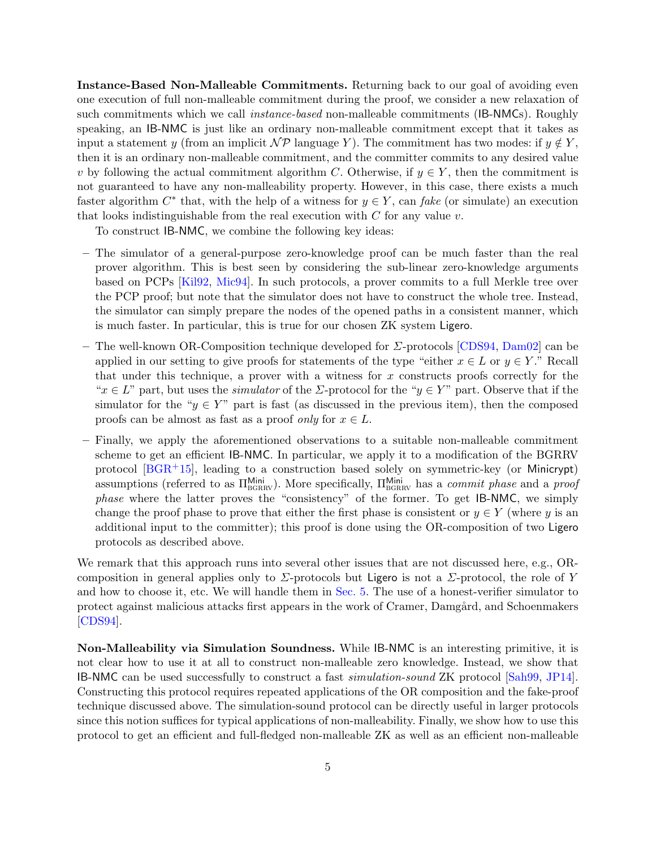<span id="page-6-0"></span>Instance-Based Non-Malleable Commitments. Returning back to our goal of avoiding even one execution of full non-malleable commitment during the proof, we consider a new relaxation of such commitments which we call *instance-based* non-malleable commitments (IB-NMCs). Roughly speaking, an IB-NMC is just like an ordinary non-malleable commitment except that it takes as input a statement y (from an implicit  $\mathcal{NP}$  language Y). The commitment has two modes: if  $y \notin Y$ , then it is an ordinary non-malleable commitment, and the committer commits to any desired value v by following the actual commitment algorithm C. Otherwise, if  $y \in Y$ , then the commitment is not guaranteed to have any non-malleability property. However, in this case, there exists a much faster algorithm  $C^*$  that, with the help of a witness for  $y \in Y$ , can fake (or simulate) an execution that looks indistinguishable from the real execution with  $C$  for any value  $v$ .

To construct IB-NMC, we combine the following key ideas:

- The simulator of a general-purpose zero-knowledge proof can be much faster than the real prover algorithm. This is best seen by considering the sub-linear zero-knowledge arguments based on PCPs [\[Kil92,](#page-30-16) [Mic94\]](#page-30-17). In such protocols, a prover commits to a full Merkle tree over the PCP proof; but note that the simulator does not have to construct the whole tree. Instead, the simulator can simply prepare the nodes of the opened paths in a consistent manner, which is much faster. In particular, this is true for our chosen ZK system Ligero.
- The well-known OR-Composition technique developed for  $\Sigma$ -protocols [\[CDS94,](#page-28-19) [Dam02\]](#page-29-15) can be applied in our setting to give proofs for statements of the type "either  $x \in L$  or  $y \in Y$ ." Recall that under this technique, a prover with a witness for  $x$  constructs proofs correctly for the " $x \in L$ " part, but uses the *simulator* of the  $\Sigma$ -protocol for the " $y \in Y$ " part. Observe that if the simulator for the " $y \in Y$ " part is fast (as discussed in the previous item), then the composed proofs can be almost as fast as a proof *only* for  $x \in L$ .
- Finally, we apply the aforementioned observations to a suitable non-malleable commitment scheme to get an efficient IB-NMC. In particular, we apply it to a modification of the BGRRV protocol  $[BR<sup>+</sup>15]$ , leading to a construction based solely on symmetric-key (or Minicrypt) assumptions (referred to as  $\Pi_{\text{BGRRV}}^{\text{Min}}$ ). More specifically,  $\Pi_{\text{BGRRV}}^{\text{Mini}}$  has a *commit phase* and a *proof* phase where the latter proves the "consistency" of the former. To get IB-NMC, we simply change the proof phase to prove that either the first phase is consistent or  $y \in Y$  (where y is an additional input to the committer); this proof is done using the OR-composition of two Ligero protocols as described above.

We remark that this approach runs into several other issues that are not discussed here, e.g., ORcomposition in general applies only to  $\Sigma$ -protocols but Ligero is not a  $\Sigma$ -protocol, the role of Y and how to choose it, etc. We will handle them in [Sec. 5.](#page-21-0) The use of a honest-verifier simulator to protect against malicious attacks first appears in the work of Cramer, Damgård, and Schoenmakers [\[CDS94\]](#page-28-19).

Non-Malleability via Simulation Soundness. While IB-NMC is an interesting primitive, it is not clear how to use it at all to construct non-malleable zero knowledge. Instead, we show that IB-NMC can be used successfully to construct a fast simulation-sound ZK protocol [\[Sah99,](#page-31-15) [JP14\]](#page-30-14). Constructing this protocol requires repeated applications of the OR composition and the fake-proof technique discussed above. The simulation-sound protocol can be directly useful in larger protocols since this notion suffices for typical applications of non-malleability. Finally, we show how to use this protocol to get an efficient and full-fledged non-malleable ZK as well as an efficient non-malleable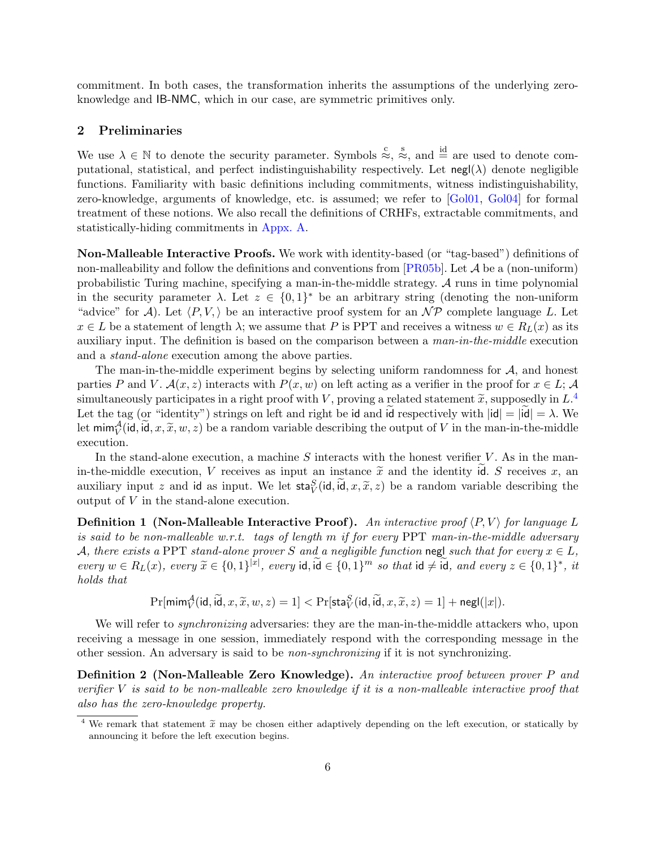<span id="page-7-2"></span>commitment. In both cases, the transformation inherits the assumptions of the underlying zeroknowledge and IB-NMC, which in our case, are symmetric primitives only.

# <span id="page-7-0"></span>2 Preliminaries

We use  $\lambda \in \mathbb{N}$  to denote the security parameter. Symbols  $\stackrel{c}{\approx}$ ,  $\stackrel{s}{\approx}$ , and  $\stackrel{\text{id}}{=}$  are used to denote computational, statistical, and perfect indistinguishability respectively. Let  $negl(\lambda)$  denote negligible functions. Familiarity with basic definitions including commitments, witness indistinguishability, zero-knowledge, arguments of knowledge, etc. is assumed; we refer to [\[Gol01,](#page-29-18) [Gol04\]](#page-29-19) for formal treatment of these notions. We also recall the definitions of CRHFs, extractable commitments, and statistically-hiding commitments in [Appx. A.](#page-33-0)

Non-Malleable Interactive Proofs. We work with identity-based (or "tag-based") definitions of non-malleability and follow the definitions and conventions from  $[{\rm PR05b}]$ . Let A be a (non-uniform) probabilistic Turing machine, specifying a man-in-the-middle strategy.  $A$  runs in time polynomial in the security parameter  $\lambda$ . Let  $z \in \{0,1\}^*$  be an arbitrary string (denoting the non-uniform "advice" for A). Let  $\langle P, V, \rangle$  be an interactive proof system for an  $\mathcal{NP}$  complete language L. Let  $x \in L$  be a statement of length  $\lambda$ ; we assume that P is PPT and receives a witness  $w \in R_L(x)$  as its auxiliary input. The definition is based on the comparison between a man-in-the-middle execution and a stand-alone execution among the above parties.

The man-in-the-middle experiment begins by selecting uniform randomness for  $\mathcal{A}$ , and honest parties P and V.  $\mathcal{A}(x, z)$  interacts with  $P(x, w)$  on left acting as a verifier in the proof for  $x \in L$ ; A simultaneously participates in a right proof with V, proving a related statement  $\tilde{x}$ , supposedly in  $L^4$  $L^4$ .<br>Let the teg (or "identity") strings on left and right be idend in representively with lid $| - |i|| = \lambda$ . We Let the tag (or "identity") strings on left and right be id and id respectively with  $|\mathbf{id}| = |\mathbf{id}| = \lambda$ . We let  $\min_{\mathcal{U}} \mathcal{U}(id, \tilde{id}, x, \tilde{x}, w, z)$  be a random variable describing the output of V in the man-in-the-middle execution.

In the stand-alone execution, a machine  $S$  interacts with the honest verifier  $V$ . As in the manin-the-middle execution, V receives as input an instance  $\tilde{x}$  and the identity id. S receives x, and auxiliary input z and id as input. We let  $\text{sta}_V^S(\text{id}, \tilde{\text{id}}, x, \tilde{x}, z)$  be a random variable describing the output of  $V$  in the stand-alone execution.

**Definition 1** (Non-Malleable Interactive Proof). An interactive proof  $\langle P, V \rangle$  for language L is said to be non-malleable w.r.t. tags of length m if for every  $PPT$  man-in-the-middle adversary A, there exists a PPT stand-alone prover S and a negligible function negl such that for every  $x \in L$ , every  $w \in R_L(x)$ , every  $\widetilde{x} \in \{0,1\}^{|x|}$ , every id,  $\widetilde{d} \in \{0,1\}^m$  so that  $\widetilde{d} \neq \widetilde{id}$ , and every  $z \in \{0,1\}^*$ , it holds that holds that

$$
\Pr[\min_{V} \{ \mathsf{id}, \widetilde{\mathsf{id}}, x, \widetilde{x}, w, z) = 1] < \Pr[\mathsf{sta}_{V}^{S}(\mathsf{id}, \widetilde{\mathsf{id}}, x, \widetilde{x}, z) = 1] + \mathsf{negl}(|x|).
$$

We will refer to *synchronizing* adversaries: they are the man-in-the-middle attackers who, upon receiving a message in one session, immediately respond with the corresponding message in the other session. An adversary is said to be non-synchronizing if it is not synchronizing.

**Definition 2 (Non-Malleable Zero Knowledge).** An interactive proof between prover P and verifier V is said to be non-malleable zero knowledge if it is a non-malleable interactive proof that also has the zero-knowledge property.

<span id="page-7-1"></span><sup>&</sup>lt;sup>4</sup> We remark that statement  $\tilde{x}$  may be chosen either adaptively depending on the left execution, or statically by announcing it before the left execution begins.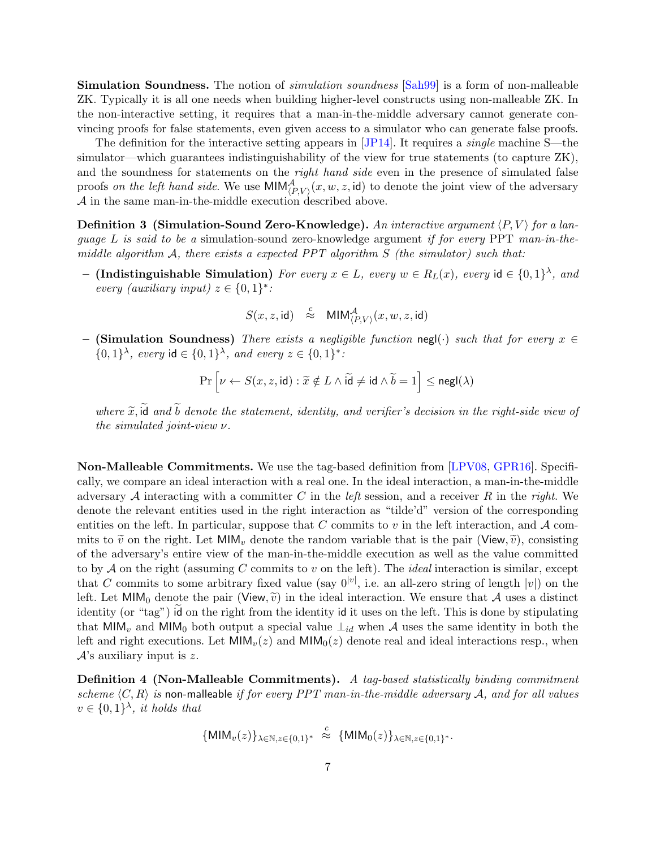<span id="page-8-1"></span>**Simulation Soundness.** The notion of *simulation soundness* [\[Sah99\]](#page-31-15) is a form of non-malleable ZK. Typically it is all one needs when building higher-level constructs using non-malleable ZK. In the non-interactive setting, it requires that a man-in-the-middle adversary cannot generate convincing proofs for false statements, even given access to a simulator who can generate false proofs.

The definition for the interactive setting appears in [\[JP14\]](#page-30-14). It requires a *single* machine S—the simulator—which guarantees indistinguishability of the view for true statements (to capture ZK), and the soundness for statements on the *right hand side* even in the presence of simulated false proofs *on the left hand side*. We use  $\text{MIM}_{(P,V)}^{\mathcal{A}}(x, w, z, \text{id})$  to denote the joint view of the adversary A in the same man-in-the-middle execution described above.

<span id="page-8-0"></span>**Definition 3 (Simulation-Sound Zero-Knowledge).** An interactive argument  $\langle P, V \rangle$  for a lanquage L is said to be a simulation-sound zero-knowledge argument if for every PPT man-in-themiddle algorithm  $\mathcal{A}$ , there exists a expected PPT algorithm S (the simulator) such that:

− (Indistinguishable Simulation) For every  $x \in L$ , every  $w \in R_L(x)$ , every id  $\in \{0,1\}^{\lambda}$ , and every (auxiliary input)  $z \in \{0,1\}^*$ :

$$
S(x, z, \text{id}) \quad \stackrel{c}{\approx} \quad \mathsf{MIM}^{\mathcal{A}}_{\langle P, V \rangle}(x, w, z, \text{id})
$$

– (Simulation Soundness) There exists a negligible function negl( $\cdot$ ) such that for every x ∈  $\{0,1\}^{\lambda}$ , every id  $\in \{0,1\}^{\lambda}$ , and every  $z \in \{0,1\}^*$ :

$$
\Pr\left[\nu \leftarrow S(x, z, \text{id}) : \widetilde{x} \notin L \land \widetilde{\text{id}} \neq \text{id} \land \widetilde{b} = 1\right] \leq \mathsf{negl}(\lambda)
$$

where  $\widetilde{x}$ ,  $\widetilde{d}$  and  $\widetilde{b}$  denote the statement, identity, and verifier's decision in the right-side view of the simulated joint-view  $\nu$ .

Non-Malleable Commitments. We use the tag-based definition from [\[LPV08,](#page-30-2) [GPR16\]](#page-30-7). Specifically, we compare an ideal interaction with a real one. In the ideal interaction, a man-in-the-middle adversary  $A$  interacting with a committer C in the *left* session, and a receiver R in the right. We denote the relevant entities used in the right interaction as "tilde'd" version of the corresponding entities on the left. In particular, suppose that C commits to v in the left interaction, and  $\mathcal A$  commits to  $\tilde{v}$  on the right. Let MIM<sub>v</sub> denote the random variable that is the pair (View,  $\tilde{v}$ ), consisting of the adversary's entire view of the man-in-the-middle execution as well as the value committed to by A on the right (assuming C commits to v on the left). The *ideal* interaction is similar, except that C commits to some arbitrary fixed value (say  $0^{|v|}$ , i.e. an all-zero string of length  $|v|$ ) on the left. Let MIM<sub>0</sub> denote the pair (View,  $\tilde{v}$ ) in the ideal interaction. We ensure that A uses a distinct identity (or "tag") id on the right from the identity id it uses on the left. This is done by stipulating that MIM<sub>v</sub> and MIM<sub>0</sub> both output a special value  $\perp_{id}$  when A uses the same identity in both the left and right executions. Let  $MIM<sub>v</sub>(z)$  and  $MIM<sub>0</sub>(z)$  denote real and ideal interactions resp., when  $\mathcal{A}$ 's auxiliary input is z.

Definition 4 (Non-Malleable Commitments). A tag-based statistically binding commitment scheme  $\langle C, R \rangle$  is non-malleable if for every PPT man-in-the-middle adversary A, and for all values  $v \in \{0,1\}^{\lambda}$ , it holds that

$$
{\rm MIM}_{v}(z){\rm MAG}_{v(z)}\} _{\lambda\in\mathbb{N},z\in\{0,1\}^*}\overset{c}{\approx} {\rm MIM}_{0}(z){\rm MAG}_{v(z)\{0,1\}^*}.
$$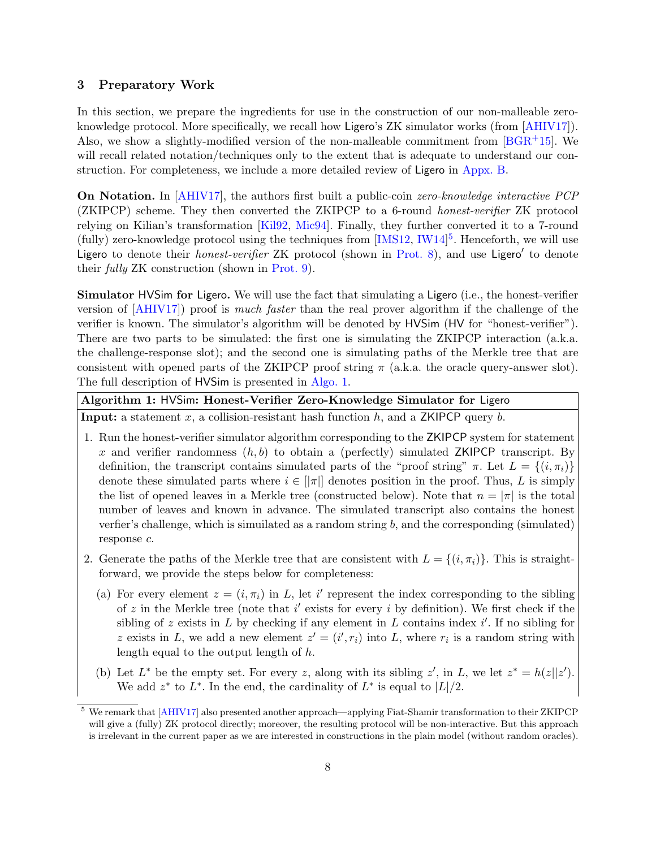# <span id="page-9-4"></span><span id="page-9-0"></span>3 Preparatory Work

In this section, we prepare the ingredients for use in the construction of our non-malleable zeroknowledge protocol. More specifically, we recall how Ligero's ZK simulator works (from [\[AHIV17\]](#page-28-10)). Also, we show a slightly-modified version of the non-malleable commitment from  $[BGR^+15]$  $[BGR^+15]$ . We will recall related notation/techniques only to the extent that is adequate to understand our construction. For completeness, we include a more detailed review of Ligero in [Appx. B.](#page-35-0)

On Notation. In [\[AHIV17\]](#page-28-10), the authors first built a public-coin zero-knowledge interactive PCP (ZKIPCP) scheme. They then converted the ZKIPCP to a 6-round honest-verifier ZK protocol relying on Kilian's transformation [\[Kil92,](#page-30-16) [Mic94\]](#page-30-17). Finally, they further converted it to a 7-round (fully) zero-knowledge protocol using the techniques from  $[*IMS12*, *IW14*]$ <sup>[5](#page-9-1)</sup>. Henceforth, we will use Ligero to denote their *honest-verifier* ZK protocol (shown in [Prot. 8\)](#page-35-1), and use Ligero' to denote their fully ZK construction (shown in [Prot. 9\)](#page-36-0).

Simulator HVSim for Ligero. We will use the fact that simulating a Ligero (i.e., the honest-verifier version of  $[AHIV17]$  proof is *much faster* than the real prover algorithm if the challenge of the verifier is known. The simulator's algorithm will be denoted by HVSim (HV for "honest-verifier"). There are two parts to be simulated: the first one is simulating the ZKIPCP interaction (a.k.a. the challenge-response slot); and the second one is simulating paths of the Merkle tree that are consistent with opened parts of the ZKIPCP proof string  $\pi$  (a.k.a. the oracle query-answer slot). The full description of HVSim is presented in [Algo. 1.](#page-9-2)

<span id="page-9-2"></span>Algorithm 1: HVSim: Honest-Verifier Zero-Knowledge Simulator for Ligero

**Input:** a statement x, a collision-resistant hash function  $h$ , and a ZKIPCP query  $b$ .

- 1. Run the honest-verifier simulator algorithm corresponding to the ZKIPCP system for statement x and verifier randomness  $(h, b)$  to obtain a (perfectly) simulated ZKIPCP transcript. By definition, the transcript contains simulated parts of the "proof string"  $\pi$ . Let  $L = \{(i, \pi_i)\}\$ denote these simulated parts where  $i \in ||\pi||$  denotes position in the proof. Thus, L is simply the list of opened leaves in a Merkle tree (constructed below). Note that  $n = |\pi|$  is the total number of leaves and known in advance. The simulated transcript also contains the honest verfier's challenge, which is simulated as a random string  $b$ , and the corresponding (simulated) response c.
- <span id="page-9-3"></span>2. Generate the paths of the Merkle tree that are consistent with  $L = \{(i, \pi_i)\}\.$  This is straightforward, we provide the steps below for completeness:
	- (a) For every element  $z = (i, \pi_i)$  in L, let i' represent the index corresponding to the sibling of z in the Merkle tree (note that  $i'$  exists for every i by definition). We first check if the sibling of z exists in  $L$  by checking if any element in  $L$  contains index  $i'$ . If no sibling for z exists in L, we add a new element  $z' = (i', r_i)$  into L, where  $r_i$  is a random string with length equal to the output length of h.
	- (b) Let  $L^*$  be the empty set. For every z, along with its sibling  $z'$ , in L, we let  $z^* = h(z||z')$ . We add  $z^*$  to  $L^*$ . In the end, the cardinality of  $L^*$  is equal to  $|L|/2$ .

<span id="page-9-1"></span><sup>5</sup> We remark that [\[AHIV17\]](#page-28-10) also presented another approach—applying Fiat-Shamir transformation to their ZKIPCP will give a (fully) ZK protocol directly; moreover, the resulting protocol will be non-interactive. But this approach is irrelevant in the current paper as we are interested in constructions in the plain model (without random oracles).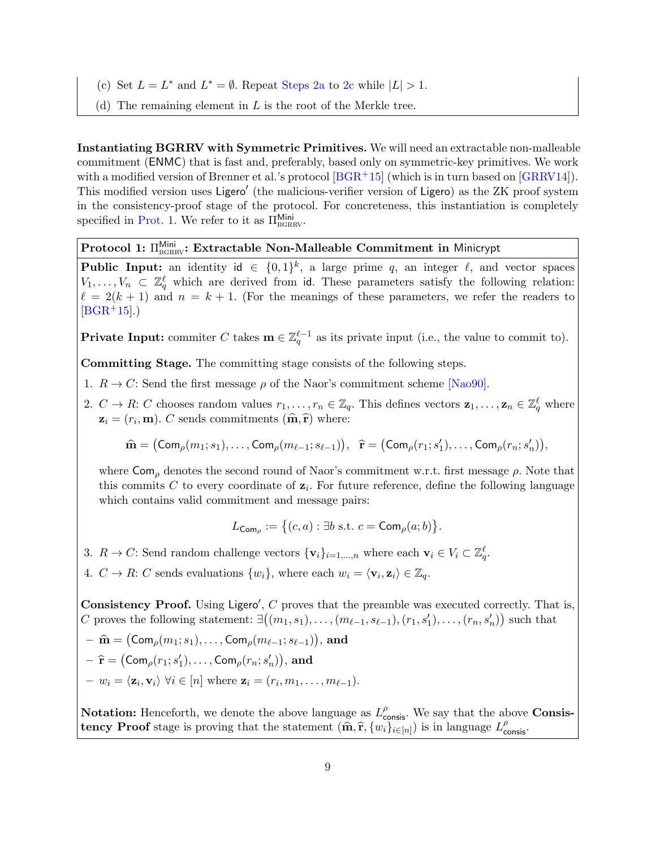- <span id="page-10-2"></span><span id="page-10-0"></span>(c) Set  $L = L^*$  and  $L^* = \emptyset$ . Repeat [Steps 2a](#page-9-3) to [2c](#page-10-0) while  $|L| > 1$ .
- (d) The remaining element in  $L$  is the root of the Merkle tree.

Instantiating BGRRV with Symmetric Primitives. We will need an extractable non-malleable commitment (ENMC) that is fast and, preferably, based only on symmetric-key primitives. We work with a modified version of Brenner et al.'s protocol  $[**BGR**+15]$  (which is in turn based on  $[**GRRV14**]$ ). This modified version uses Ligero' (the malicious-verifier version of Ligero) as the ZK proof system in the consistency-proof stage of the protocol. For concreteness, this instantiation is completely specified in [Prot. 1.](#page-10-1) We refer to it as  $\Pi_{\text{BGRRV}}^{\text{Mini}}$ .

# <span id="page-10-1"></span>Protocol 1:  $\Pi_{\rm BGRRV}^{\rm Mini}$ : Extractable Non-Malleable Commitment in Minicrypt

**Public Input:** an identity id  $\in \{0,1\}^k$ , a large prime q, an integer  $\ell$ , and vector spaces  $V_1, \ldots, V_n \subset \mathbb{Z}_q^{\ell}$  which are derived from id. These parameters satisfy the following relation:  $\ell = 2(k + 1)$  and  $n = k + 1$ . (For the meanings of these parameters, we refer the readers to  $[BGR+15]$  $[BGR+15]$ .

**Private Input:** commiter C takes  $\mathbf{m} \in \mathbb{Z}_q^{\ell-1}$  as its private input (i.e., the value to commit to).

Committing Stage. The committing stage consists of the following steps.

- 1.  $R \to C$ : Send the first message  $\rho$  of the Naor's commitment scheme [\[Nao90\]](#page-31-16).
- 2.  $C \to R$ : C chooses random values  $r_1, \ldots, r_n \in \mathbb{Z}_q$ . This defines vectors  $\mathbf{z}_1, \ldots, \mathbf{z}_n \in \mathbb{Z}_q^{\ell}$  where  $z_i = (r_i, \mathbf{m})$ . C sends commitments  $(\widehat{\mathbf{m}}, \widehat{\mathbf{r}})$  where:

$$
\widehat{\mathbf{m}} = (\mathsf{Com}_\rho(m_1; s_1), \dots, \mathsf{Com}_\rho(m_{\ell-1}; s_{\ell-1})), \ \ \widehat{\mathbf{r}} = (\mathsf{Com}_\rho(r_1; s'_1), \dots, \mathsf{Com}_\rho(r_n; s'_n)),
$$

where  $\mathsf{Com}_{\rho}$  denotes the second round of Naor's commitment w.r.t. first message  $\rho$ . Note that this commits C to every coordinate of  $z_i$ . For future reference, define the following language which contains valid commitment and message pairs:

$$
L_{\mathsf{Com}_\rho} := \big\{ (c, a) : \exists b \text{ s.t. } c = \mathsf{Com}_\rho(a; b) \big\}.
$$

3.  $R \to C$ : Send random challenge vectors  $\{v_i\}_{i=1,\dots,n}$  where each  $v_i \in V_i \subset \mathbb{Z}_q^{\ell}$ .

4.  $C \to R$ : C sends evaluations  $\{w_i\}$ , where each  $w_i = \langle \mathbf{v}_i, \mathbf{z}_i \rangle \in \mathbb{Z}_q$ .

**Consistency Proof.** Using Ligero',  $C$  proves that the preamble was executed correctly. That is, C proves the following statement:  $\exists ((m_1, s_1), \ldots, (m_{\ell-1}, s_{\ell-1}), (r_1, s'_1), \ldots, (r_n, s'_n))$  such that

- $\widehat{\mathbf{m}} = (\mathsf{Com}_\rho(m_1; s_1), \dots, \mathsf{Com}_\rho(m_{\ell-1}; s_{\ell-1})),$  and
- $-\widehat{\mathbf{r}} = (\mathsf{Com}_\rho(r_1; s_1'), \ldots, \mathsf{Com}_\rho(r_n; s_n')),$  and
- $w_i = \langle \mathbf{z}_i, \mathbf{v}_i \rangle \ \forall i \in [n]$  where  $\mathbf{z}_i = (r_i, m_1, \dots, m_{\ell-1}).$

Notation: Henceforth, we denote the above language as  $L_{\text{consis}}^{\rho}$ . We say that the above Consistency Proof stage is proving that the statement  $(\hat{\mathbf{m}}, \hat{\mathbf{r}}, \{w_i\}_{i \in [n]})$  is in language  $L^{\rho}_{\text{consis}}$ .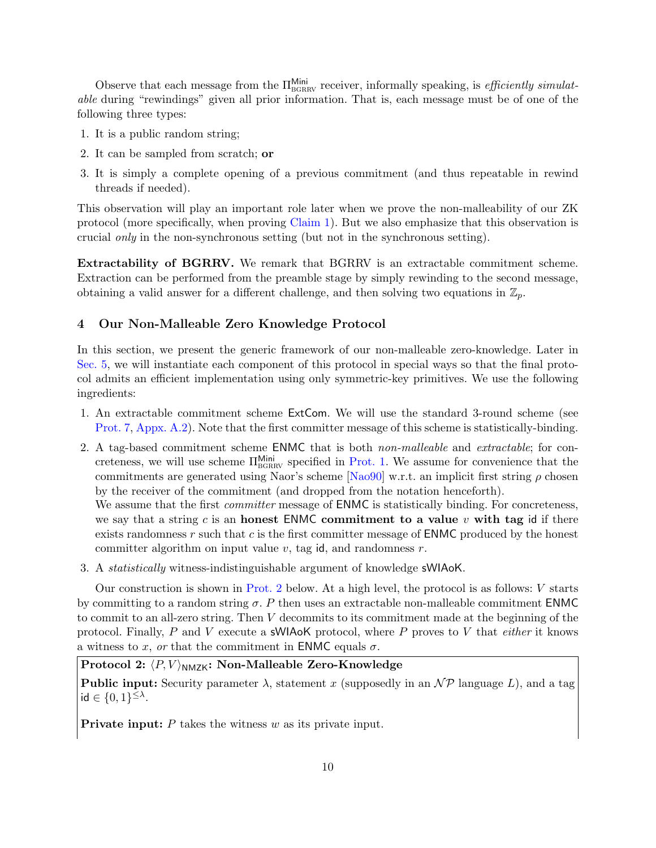<span id="page-11-3"></span>Observe that each message from the  $\Pi_{\text{BGRRV}}^{\text{Min}}$  receiver, informally speaking, is *efficiently simulat*able during "rewindings" given all prior information. That is, each message must be of one of the following three types:

- 1. It is a public random string;
- 2. It can be sampled from scratch; or
- 3. It is simply a complete opening of a previous commitment (and thus repeatable in rewind threads if needed).

This observation will play an important role later when we prove the non-malleability of our ZK protocol (more specifically, when proving [Claim 1\)](#page-15-3). But we also emphasize that this observation is crucial only in the non-synchronous setting (but not in the synchronous setting).

Extractability of BGRRV. We remark that BGRRV is an extractable commitment scheme. Extraction can be performed from the preamble stage by simply rewinding to the second message, obtaining a valid answer for a different challenge, and then solving two equations in  $\mathbb{Z}_p$ .

# <span id="page-11-0"></span>4 Our Non-Malleable Zero Knowledge Protocol

In this section, we present the generic framework of our non-malleable zero-knowledge. Later in [Sec. 5,](#page-21-0) we will instantiate each component of this protocol in special ways so that the final protocol admits an efficient implementation using only symmetric-key primitives. We use the following ingredients:

- 1. An extractable commitment scheme ExtCom. We will use the standard 3-round scheme (see [Prot. 7,](#page-33-3) [Appx. A.2\)](#page-33-2). Note that the first committer message of this scheme is statistically-binding.
- 2. A tag-based commitment scheme ENMC that is both non-malleable and extractable; for concreteness, we will use scheme  $\Pi_{\text{BGRRV}}^{\text{Min}}$  specified in [Prot. 1.](#page-10-1) We assume for convenience that the commitments are generated using Naor's scheme [\[Nao90\]](#page-31-16) w.r.t. an implicit first string  $\rho$  chosen by the receiver of the commitment (and dropped from the notation henceforth).

We assume that the first *committer* message of **ENMC** is statistically binding. For concreteness, we say that a string c is an honest ENMC commitment to a value v with tag id if there exists randomness  $r$  such that  $c$  is the first committer message of **ENMC** produced by the honest committer algorithm on input value  $v$ , tag id, and randomness  $r$ .

3. A statistically witness-indistinguishable argument of knowledge sWIAoK.

Our construction is shown in [Prot. 2](#page-11-1) below. At a high level, the protocol is as follows:  $V$  starts by committing to a random string  $\sigma$ . P then uses an extractable non-malleable commitment **ENMC** to commit to an all-zero string. Then  $V$  decommits to its commitment made at the beginning of the protocol. Finally, P and V execute a sWIAoK protocol, where P proves to V that *either* it knows a witness to x, or that the commitment in **ENMC** equals  $\sigma$ .

<span id="page-11-1"></span>Protocol 2:  $\langle P, V \rangle_{NMZK}$ : Non-Malleable Zero-Knowledge

**Public input:** Security parameter  $\lambda$ , statement x (supposedly in an  $\mathcal{NP}$  language L), and a tag id  $\in \{0,1\}^{\leq \lambda}$ .

<span id="page-11-2"></span>**Private input:**  $P$  takes the witness  $w$  as its private input.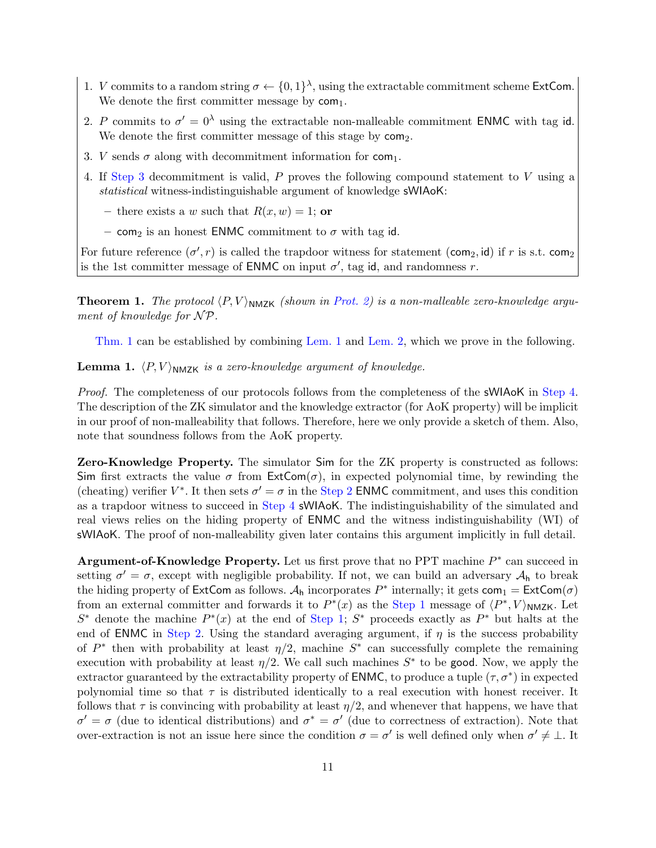- 1. V commits to a random string  $\sigma \leftarrow \{0,1\}^{\lambda}$ , using the extractable commitment scheme ExtCom. We denote the first committer message by  $com_1$ .
- <span id="page-12-4"></span>2. P commits to  $\sigma' = 0^{\lambda}$  using the extractable non-malleable commitment **ENMC** with tag id. We denote the first committer message of this stage by  $com_2$ .
- <span id="page-12-0"></span>3. V sends  $\sigma$  along with decommitment information for com<sub>1</sub>.
- <span id="page-12-3"></span>4. If [Step 3](#page-12-0) decommitment is valid, P proves the following compound statement to V using a statistical witness-indistinguishable argument of knowledge sWIAoK:
	- there exists a w such that  $R(x, w) = 1$ ; or
	- com<sub>2</sub> is an honest ENMC commitment to  $\sigma$  with tag id.

For future reference  $(\sigma', r)$  is called the trapdoor witness for statement (com<sub>2</sub>, id) if r is s.t. com<sub>2</sub> is the 1st committer message of **ENMC** on input  $\sigma'$ , tag id, and randomness r.

<span id="page-12-1"></span>**Theorem 1.** The protocol  $\langle P, V \rangle_{\text{NMZK}}$  (shown in [Prot. 2\)](#page-11-1) is a non-malleable zero-knowledge argument of knowledge for  $\mathcal{NP}$ .

[Thm. 1](#page-12-1) can be established by combining [Lem. 1](#page-12-2) and [Lem. 2,](#page-13-1) which we prove in the following.

<span id="page-12-2"></span>**Lemma 1.**  $\langle P, V \rangle_{\text{NMZK}}$  is a zero-knowledge argument of knowledge.

Proof. The completeness of our protocols follows from the completeness of the sWIAoK in [Step 4.](#page-12-3) The description of the ZK simulator and the knowledge extractor (for AoK property) will be implicit in our proof of non-malleability that follows. Therefore, here we only provide a sketch of them. Also, note that soundness follows from the AoK property.

Zero-Knowledge Property. The simulator Sim for the ZK property is constructed as follows: Sim first extracts the value  $\sigma$  from  $ExtCom(\sigma)$ , in expected polynomial time, by rewinding the (cheating) verifier  $V^*$ . It then sets  $\sigma' = \sigma$  in the [Step 2](#page-12-4) ENMC commitment, and uses this condition as a trapdoor witness to succeed in [Step 4](#page-12-3) sWIAoK. The indistinguishability of the simulated and real views relies on the hiding property of ENMC and the witness indistinguishability (WI) of sWIAoK. The proof of non-malleability given later contains this argument implicitly in full detail.

Argument-of-Knowledge Property. Let us first prove that no PPT machine  $P^*$  can succeed in setting  $\sigma' = \sigma$ , except with negligible probability. If not, we can build an adversary  $\mathcal{A}_{h}$  to break the hiding property of ExtCom as follows.  $A_h$  incorporates  $P^*$  internally; it gets  $com_1 = ExtCom(\sigma)$ from an external committer and forwards it to  $P^*(x)$  as the [Step 1](#page-11-2) message of  $\langle P^*, V \rangle_{NMZK}$ . Let  $S^*$  denote the machine  $P^*(x)$  at the end of [Step 1;](#page-11-2)  $S^*$  proceeds exactly as  $P^*$  but halts at the end of ENMC in [Step 2.](#page-12-4) Using the standard averaging argument, if  $\eta$  is the success probability of  $P^*$  then with probability at least  $\eta/2$ , machine  $S^*$  can successfully complete the remaining execution with probability at least  $\eta/2$ . We call such machines  $S^*$  to be good. Now, we apply the extractor guaranteed by the extractability property of **ENMC**, to produce a tuple  $(\tau, \sigma^*)$  in expected polynomial time so that  $\tau$  is distributed identically to a real execution with honest receiver. It follows that  $\tau$  is convincing with probability at least  $\eta/2$ , and whenever that happens, we have that  $\sigma' = \sigma$  (due to identical distributions) and  $\sigma^* = \sigma'$  (due to correctness of extraction). Note that over-extraction is not an issue here since the condition  $\sigma = \sigma'$  is well defined only when  $\sigma' \neq \bot$ . It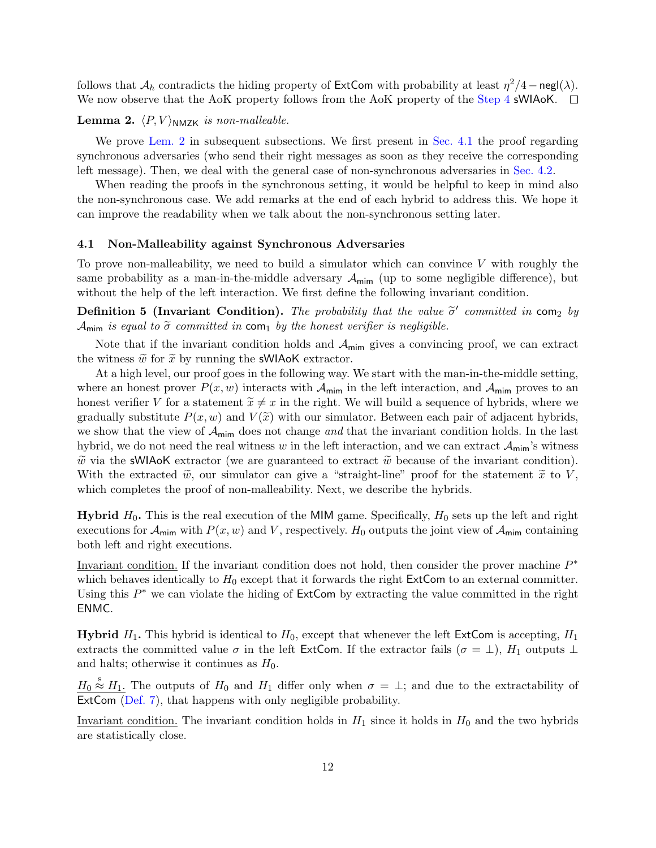follows that  $\mathcal{A}_h$  contradicts the hiding property of ExtCom with probability at least  $\eta^2/4 - \mathsf{negl}(\lambda)$ . We now observe that the AoK property follows from the AoK property of the [Step 4](#page-12-3) sWIAoK.  $\Box$ 

#### <span id="page-13-1"></span>**Lemma 2.**  $\langle P, V \rangle_{\text{NMZK}}$  is non-malleable.

We prove [Lem. 2](#page-13-1) in subsequent subsections. We first present in [Sec. 4.1](#page-13-0) the proof regarding synchronous adversaries (who send their right messages as soon as they receive the corresponding left message). Then, we deal with the general case of non-synchronous adversaries in [Sec. 4.2.](#page-15-0)

When reading the proofs in the synchronous setting, it would be helpful to keep in mind also the non-synchronous case. We add remarks at the end of each hybrid to address this. We hope it can improve the readability when we talk about the non-synchronous setting later.

#### <span id="page-13-0"></span>4.1 Non-Malleability against Synchronous Adversaries

To prove non-malleability, we need to build a simulator which can convince  $V$  with roughly the same probability as a man-in-the-middle adversary  $\mathcal{A}_{\text{min}}$  (up to some negligible difference), but without the help of the left interaction. We first define the following invariant condition.

**Definition 5 (Invariant Condition).** The probability that the value  $\tilde{\sigma}'$  committed in com<sub>2</sub> by  $\mathcal{A}_{\text{mim}}$  is equal to  $\tilde{\sigma}$  committed in com<sub>1</sub> by the honest verifier is negligible.

Note that if the invariant condition holds and  $\mathcal{A}_{\text{min}}$  gives a convincing proof, we can extract the witness  $\tilde{w}$  for  $\tilde{x}$  by running the sWIAoK extractor.

At a high level, our proof goes in the following way. We start with the man-in-the-middle setting, where an honest prover  $P(x, w)$  interacts with  $\mathcal{A}_{\text{mim}}$  in the left interaction, and  $\mathcal{A}_{\text{mim}}$  proves to an honest verifier V for a statement  $\tilde{x} \neq x$  in the right. We will build a sequence of hybrids, where we gradually substitute  $P(x, w)$  and  $V(\tilde{x})$  with our simulator. Between each pair of adjacent hybrids, we show that the view of  $\mathcal{A}_{\text{min}}$  does not change and that the invariant condition holds. In the last hybrid, we do not need the real witness w in the left interaction, and we can extract  $\mathcal{A}_{\text{min}}$ 's witness  $\tilde{w}$  via the sWIAoK extractor (we are guaranteed to extract  $\tilde{w}$  because of the invariant condition). With the extracted  $\tilde{w}$ , our simulator can give a "straight-line" proof for the statement  $\tilde{x}$  to V, which completes the proof of non-malleability. Next, we describe the hybrids.

**Hybrid**  $H_0$ . This is the real execution of the MIM game. Specifically,  $H_0$  sets up the left and right executions for  $\mathcal{A}_{\text{mim}}$  with  $P(x, w)$  and V, respectively. H<sub>0</sub> outputs the joint view of  $\mathcal{A}_{\text{mim}}$  containing both left and right executions.

Invariant condition. If the invariant condition does not hold, then consider the prover machine  $P^*$ which behaves identically to  $H_0$  except that it forwards the right ExtCom to an external committer. Using this  $P^*$  we can violate the hiding of  $ExtCom$  by extracting the value committed in the right ENMC.

**Hybrid**  $H_1$ . This hybrid is identical to  $H_0$ , except that whenever the left ExtCom is accepting,  $H_1$ extracts the committed value  $\sigma$  in the left ExtCom. If the extractor fails  $(\sigma = \bot)$ ,  $H_1$  outputs  $\bot$ and halts; otherwise it continues as  $H_0$ .

 $H_0 \stackrel{\text{s}}{\approx} H_1$ . The outputs of  $H_0$  and  $H_1$  differ only when  $\sigma = \perp$ ; and due to the extractability of ExtCom [\(Def. 7\)](#page-33-4), that happens with only negligible probability.

<span id="page-13-2"></span>Invariant condition. The invariant condition holds in  $H_1$  since it holds in  $H_0$  and the two hybrids are statistically close.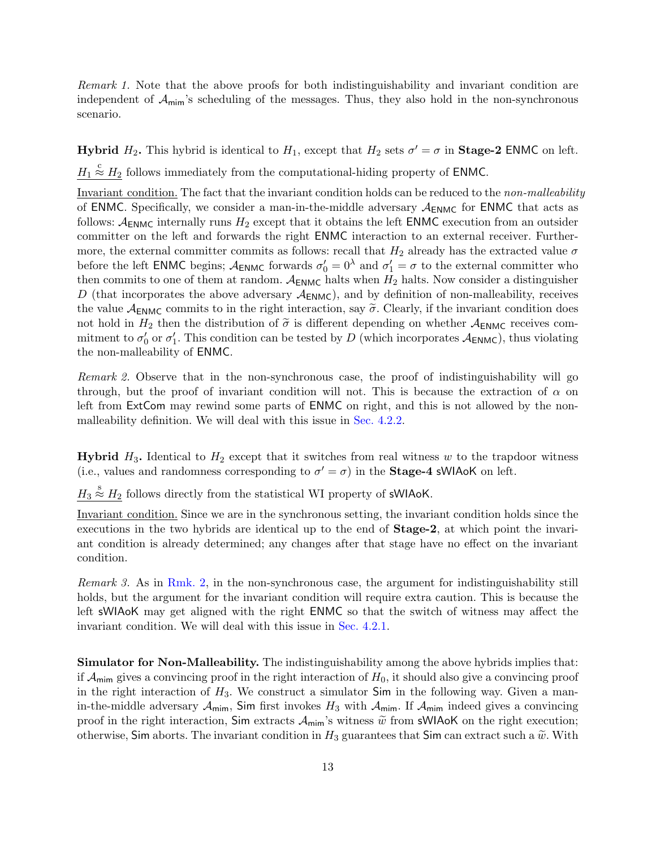Remark 1. Note that the above proofs for both indistinguishability and invariant condition are independent of  $A_{\text{mim}}$ 's scheduling of the messages. Thus, they also hold in the non-synchronous scenario.

**Hybrid**  $H_2$ . This hybrid is identical to  $H_1$ , except that  $H_2$  sets  $\sigma' = \sigma$  in **Stage-2 ENMC** on left.  $H_1 \stackrel{c}{\approx} H_2$  follows immediately from the computational-hiding property of **ENMC**.

Invariant condition. The fact that the invariant condition holds can be reduced to the non-malleability of ENMC. Specifically, we consider a man-in-the-middle adversary  $\mathcal{A}_{\text{ENMC}}$  for ENMC that acts as follows:  $A_{\text{EMMC}}$  internally runs  $H_2$  except that it obtains the left ENMC execution from an outsider committer on the left and forwards the right ENMC interaction to an external receiver. Furthermore, the external committer commits as follows: recall that  $H_2$  already has the extracted value  $\sigma$ before the left **ENMC** begins;  $A_{\text{ENMC}}$  forwards  $\sigma'_0 = 0^{\lambda}$  and  $\sigma'_1 = \sigma$  to the external committer who then commits to one of them at random.  $A_{\text{EMMC}}$  halts when  $H_2$  halts. Now consider a distinguisher D (that incorporates the above adversary  $\mathcal{A}_{\mathsf{ENMC}}$ ), and by definition of non-malleability, receives the value  $A_{\text{ENMC}}$  commits to in the right interaction, say  $\tilde{\sigma}$ . Clearly, if the invariant condition does not hold in  $H_2$  then the distribution of  $\tilde{\sigma}$  is different depending on whether  $A_{\text{EMMC}}$  receives commitment to  $\sigma'_0$  or  $\sigma'_1$ . This condition can be tested by D (which incorporates  $A_{\text{EMMC}}$ ), thus violating the non-malleability of ENMC.

<span id="page-14-0"></span>Remark 2. Observe that in the non-synchronous case, the proof of indistinguishability will go through, but the proof of invariant condition will not. This is because the extraction of  $\alpha$  on left from ExtCom may rewind some parts of ENMC on right, and this is not allowed by the nonmalleability definition. We will deal with this issue in [Sec. 4.2.2.](#page-15-2)

**Hybrid**  $H_3$ . Identical to  $H_2$  except that it switches from real witness w to the trapdoor witness (i.e., values and randomness corresponding to  $\sigma' = \sigma$ ) in the **Stage-4 sWIAoK** on left.

 $H_3 \stackrel{\text{s}}{\approx} H_2$  follows directly from the statistical WI property of sWIAoK.

Invariant condition. Since we are in the synchronous setting, the invariant condition holds since the executions in the two hybrids are identical up to the end of Stage-2, at which point the invariant condition is already determined; any changes after that stage have no effect on the invariant condition.

<span id="page-14-1"></span>Remark 3. As in [Rmk. 2,](#page-14-0) in the non-synchronous case, the argument for indistinguishability still holds, but the argument for the invariant condition will require extra caution. This is because the left sWIAoK may get aligned with the right ENMC so that the switch of witness may affect the invariant condition. We will deal with this issue in [Sec. 4.2.1.](#page-15-1)

Simulator for Non-Malleability. The indistinguishability among the above hybrids implies that: if  $A_{\text{mim}}$  gives a convincing proof in the right interaction of  $H_0$ , it should also give a convincing proof in the right interaction of  $H_3$ . We construct a simulator  $Sim$  in the following way. Given a manin-the-middle adversary  $A_{\text{mim}}$ , Sim first invokes  $H_3$  with  $A_{\text{mim}}$ . If  $A_{\text{mim}}$  indeed gives a convincing proof in the right interaction, Sim extracts  $\mathcal{A}_{\text{min}}$ 's witness  $\tilde{w}$  from sWIAoK on the right execution; otherwise, Sim aborts. The invariant condition in  $H_3$  guarantees that Sim can extract such a  $\tilde{w}$ . With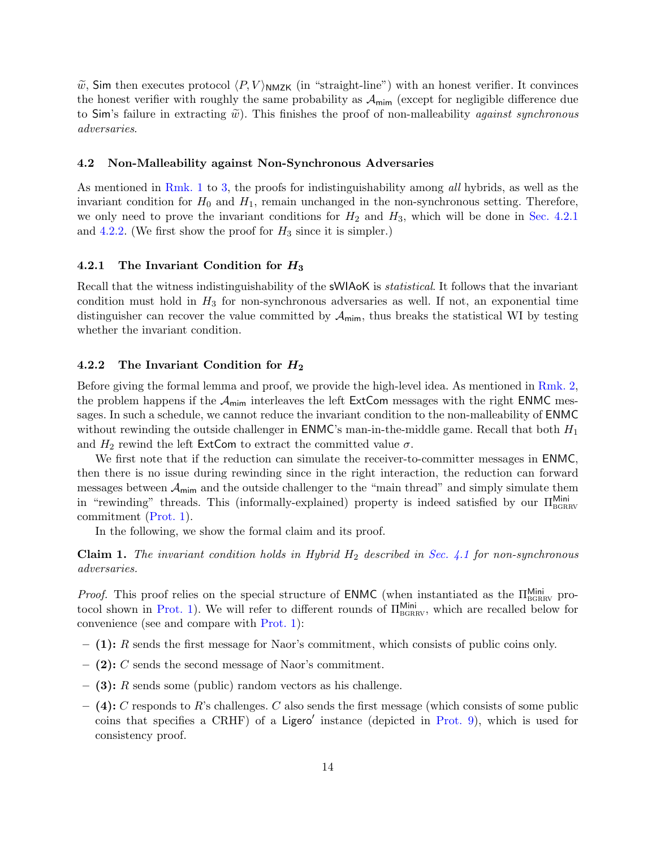$\tilde{w}$ , Sim then executes protocol  $\langle P, V \rangle_{NMZK}$  (in "straight-line") with an honest verifier. It convinces the honest verifier with roughly the same probability as  $A_{\text{mim}}$  (except for negligible difference due to Sim's failure in extracting  $\tilde{w}$ ). This finishes the proof of non-malleability against synchronous adversaries.

#### <span id="page-15-0"></span>4.2 Non-Malleability against Non-Synchronous Adversaries

As mentioned in [Rmk. 1](#page-13-2) to [3,](#page-14-1) the proofs for indistinguishability among all hybrids, as well as the invariant condition for  $H_0$  and  $H_1$ , remain unchanged in the non-synchronous setting. Therefore, we only need to prove the invariant conditions for  $H_2$  and  $H_3$ , which will be done in [Sec. 4.2.1](#page-15-1) and [4.2.2.](#page-15-2) (We first show the proof for  $H_3$  since it is simpler.)

#### <span id="page-15-1"></span>4.2.1 The Invariant Condition for  $H_3$

Recall that the witness indistinguishability of the **sWIAOK** is *statistical*. It follows that the invariant condition must hold in  $H_3$  for non-synchronous adversaries as well. If not, an exponential time distinguisher can recover the value committed by  $\mathcal{A}_{\text{min}}$ , thus breaks the statistical WI by testing whether the invariant condition.

#### <span id="page-15-2"></span>4.2.2 The Invariant Condition for  $H_2$

Before giving the formal lemma and proof, we provide the high-level idea. As mentioned in [Rmk. 2,](#page-14-0) the problem happens if the  $A_{\text{mim}}$  interleaves the left ExtCom messages with the right ENMC messages. In such a schedule, we cannot reduce the invariant condition to the non-malleability of ENMC without rewinding the outside challenger in  $\mathsf{EMMC}$ 's man-in-the-middle game. Recall that both  $H_1$ and  $H_2$  rewind the left ExtCom to extract the committed value  $\sigma$ .

We first note that if the reduction can simulate the receiver-to-committer messages in ENMC, then there is no issue during rewinding since in the right interaction, the reduction can forward messages between  $A_{\text{min}}$  and the outside challenger to the "main thread" and simply simulate them in "rewinding" threads. This (informally-explained) property is indeed satisfied by our  $\Pi_{\text{BGRRV}}^{\text{Mini}}$ commitment [\(Prot. 1\)](#page-10-1).

<span id="page-15-3"></span>In the following, we show the formal claim and its proof.

**Claim 1.** The invariant condition holds in Hybrid  $H_2$  described in [Sec. 4.1](#page-13-0) for non-synchronous adversaries.

*Proof.* This proof relies on the special structure of **ENMC** (when instantiated as the  $\Pi_{\text{BGRRV}}^{\text{Min}}$  pro-tocol shown in [Prot. 1\)](#page-10-1). We will refer to different rounds of  $\Pi_{\text{BGRRV}}^{\text{Mini}}$ , which are recalled below for convenience (see and compare with [Prot. 1\)](#page-10-1):

- $-$  (1): R sends the first message for Naor's commitment, which consists of public coins only.
- $-$  (2): C sends the second message of Naor's commitment.
- $-$  (3): R sends some (public) random vectors as his challenge.
- $-$  (4): C responds to R's challenges. C also sends the first message (which consists of some public coins that specifies a CRHF) of a Ligero' instance (depicted in [Prot. 9\)](#page-36-0), which is used for consistency proof.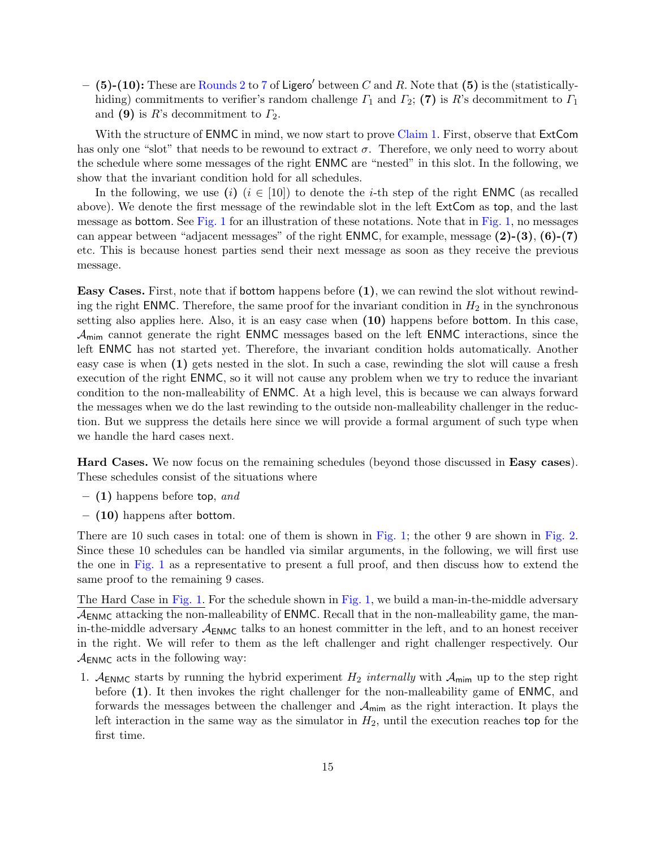$-$  (5)-(10): These are [Rounds 2](#page-36-1) to [7](#page-37-2) of Ligero' between C and R. Note that (5) is the (statisticallyhiding) commitments to verifier's random challenge  $\Gamma_1$  and  $\Gamma_2$ ; (7) is R's decommitment to  $\Gamma_1$ and (9) is R's decommitment to  $\Gamma_2$ .

With the structure of ENMC in mind, we now start to prove [Claim 1.](#page-15-3) First, observe that ExtCom has only one "slot" that needs to be rewound to extract  $\sigma$ . Therefore, we only need to worry about the schedule where some messages of the right ENMC are "nested" in this slot. In the following, we show that the invariant condition hold for all schedules.

In the following, we use (i)  $(i \in [10])$  to denote the *i*-th step of the right **ENMC** (as recalled above). We denote the first message of the rewindable slot in the left ExtCom as top, and the last message as bottom. See [Fig. 1](#page-17-0) for an illustration of these notations. Note that in [Fig. 1,](#page-17-0) no messages can appear between "adjacent messages" of the right ENMC, for example, message  $(2)-(3)$ ,  $(6)-(7)$ etc. This is because honest parties send their next message as soon as they receive the previous message.

Easy Cases. First, note that if bottom happens before (1), we can rewind the slot without rewinding the right **ENMC**. Therefore, the same proof for the invariant condition in  $H_2$  in the synchronous setting also applies here. Also, it is an easy case when (10) happens before bottom. In this case,  $A_{\text{mim}}$  cannot generate the right ENMC messages based on the left ENMC interactions, since the left ENMC has not started yet. Therefore, the invariant condition holds automatically. Another easy case is when (1) gets nested in the slot. In such a case, rewinding the slot will cause a fresh execution of the right ENMC, so it will not cause any problem when we try to reduce the invariant condition to the non-malleability of ENMC. At a high level, this is because we can always forward the messages when we do the last rewinding to the outside non-malleability challenger in the reduction. But we suppress the details here since we will provide a formal argument of such type when we handle the hard cases next.

Hard Cases. We now focus on the remaining schedules (beyond those discussed in Easy cases). These schedules consist of the situations where

- $-$  (1) happens before top, and
- $-$  (10) happens after bottom.

There are 10 such cases in total: one of them is shown in [Fig. 1;](#page-17-0) the other 9 are shown in [Fig. 2.](#page-18-0) Since these 10 schedules can be handled via similar arguments, in the following, we will first use the one in [Fig. 1](#page-17-0) as a representative to present a full proof, and then discuss how to extend the same proof to the remaining 9 cases.

The Hard Case in [Fig. 1.](#page-17-0) For the schedule shown in [Fig. 1,](#page-17-0) we build a man-in-the-middle adversary  $\mathcal{A}_{\mathsf{ENMC}}$  attacking the non-malleability of **ENMC**. Recall that in the non-malleability game, the manin-the-middle adversary  $A_{\text{EMMC}}$  talks to an honest committer in the left, and to an honest receiver in the right. We will refer to them as the left challenger and right challenger respectively. Our  $\mathcal{A}_{\mathsf{ENMC}}$  acts in the following way:

1.  $A_{\text{EMMC}}$  starts by running the hybrid experiment  $H_2$  internally with  $A_{\text{min}}$  up to the step right before (1). It then invokes the right challenger for the non-malleability game of ENMC, and forwards the messages between the challenger and  $A_{\text{min}}$  as the right interaction. It plays the left interaction in the same way as the simulator in  $H_2$ , until the execution reaches top for the first time.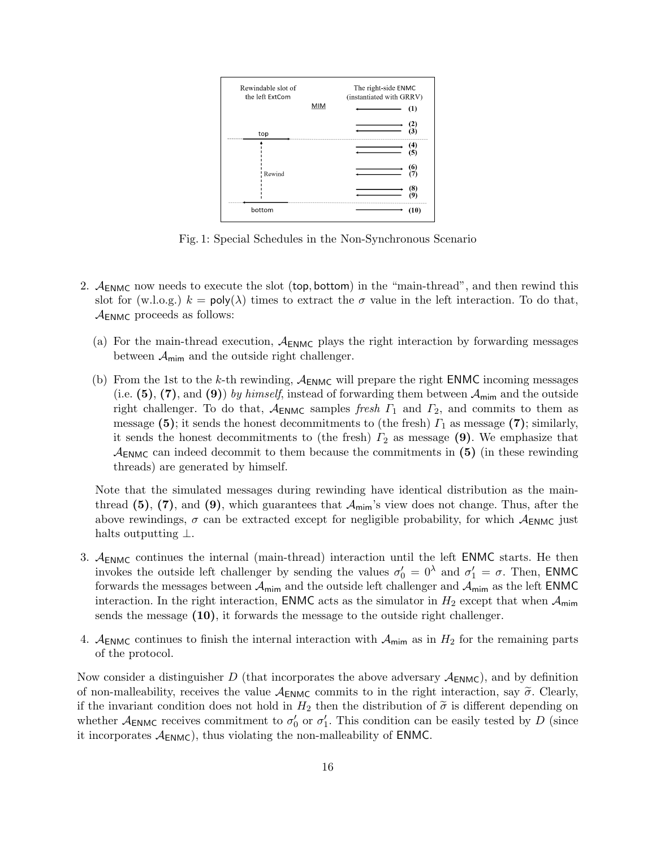<span id="page-17-0"></span>

Fig. 1: Special Schedules in the Non-Synchronous Scenario

- <span id="page-17-2"></span><span id="page-17-1"></span>2.  $A_{\text{EMMC}}$  now needs to execute the slot (top, bottom) in the "main-thread", and then rewind this slot for (w.l.o.g.)  $k = \text{poly}(\lambda)$  times to extract the  $\sigma$  value in the left interaction. To do that,  $A_{\text{ENMC}}$  proceeds as follows:
	- (a) For the main-thread execution,  $\mathcal{A}_{\text{EMMC}}$  plays the right interaction by forwarding messages between  $A_{\text{mim}}$  and the outside right challenger.
	- (b) From the 1st to the k-th rewinding,  $A_{\text{ENMC}}$  will prepare the right ENMC incoming messages (i.e. (5), (7), and (9)) by himself, instead of forwarding them between  $\mathcal{A}_{\text{min}}$  and the outside right challenger. To do that,  $A_{\text{ENMC}}$  samples fresh  $\Gamma_1$  and  $\Gamma_2$ , and commits to them as message (5); it sends the honest decommitments to (the fresh)  $\Gamma_1$  as message (7); similarly, it sends the honest decommitments to (the fresh)  $\Gamma_2$  as message (9). We emphasize that  $A_{\text{EMMC}}$  can indeed decommit to them because the commitments in  $(5)$  (in these rewinding threads) are generated by himself.

Note that the simulated messages during rewinding have identical distribution as the mainthread  $(5)$ ,  $(7)$ , and  $(9)$ , which guarantees that  $\mathcal{A}_{\text{mim}}$ 's view does not change. Thus, after the above rewindings,  $\sigma$  can be extracted except for negligible probability, for which  $A_{\text{ENMC}}$  just halts outputting ⊥.

- 3.  $A_{\text{EMMC}}$  continues the internal (main-thread) interaction until the left **ENMC** starts. He then invokes the outside left challenger by sending the values  $\sigma'_0 = 0^{\lambda}$  and  $\sigma'_1 = \sigma$ . Then, **ENMC** forwards the messages between  $\mathcal{A}_{\text{mim}}$  and the outside left challenger and  $\mathcal{A}_{\text{mim}}$  as the left ENMC interaction. In the right interaction, ENMC acts as the simulator in  $H_2$  except that when  $\mathcal{A}_{\text{mim}}$ sends the message (10), it forwards the message to the outside right challenger.
- 4.  $A_{\text{EMMC}}$  continues to finish the internal interaction with  $A_{\text{min}}$  as in  $H_2$  for the remaining parts of the protocol.

Now consider a distinguisher D (that incorporates the above adversary  $\mathcal{A}_{\text{EMMC}}$ ), and by definition of non-malleability, receives the value  $\mathcal{A}_{\text{EMMC}}$  commits to in the right interaction, say  $\tilde{\sigma}$ . Clearly, if the invariant condition does not hold in  $H_2$  then the distribution of  $\tilde{\sigma}$  is different depending on whether  $A_{\text{EMMC}}$  receives commitment to  $\sigma'_0$  or  $\sigma'_1$ . This condition can be easily tested by D (since it incorporates  $A_{\text{EMMC}}$ , thus violating the non-malleability of ENMC.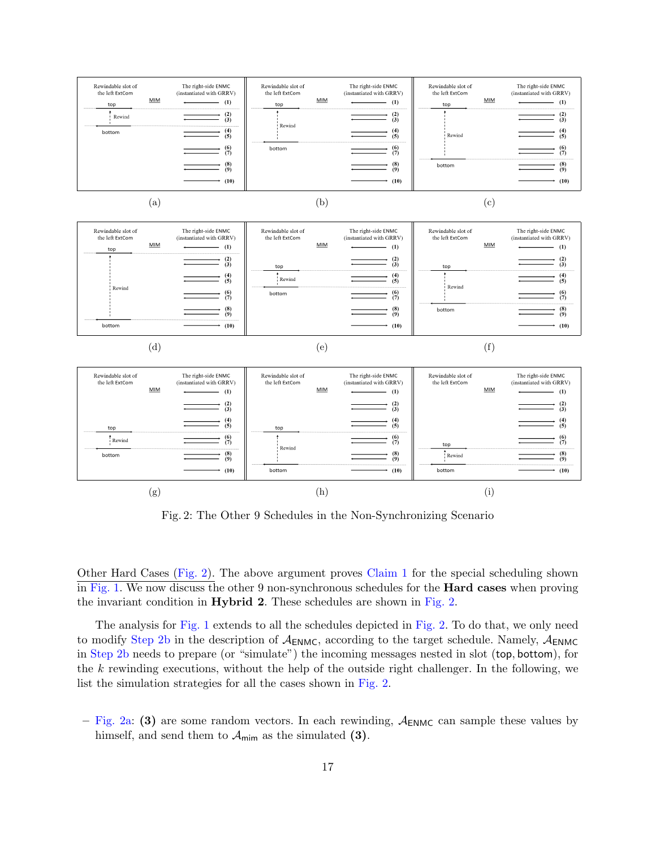<span id="page-18-0"></span>

Fig. 2: The Other 9 Schedules in the Non-Synchronizing Scenario

Other Hard Cases [\(Fig. 2\)](#page-18-0). The above argument proves [Claim 1](#page-15-3) for the special scheduling shown in [Fig. 1.](#page-17-0) We now discuss the other 9 non-synchronous schedules for the Hard cases when proving the invariant condition in Hybrid 2. These schedules are shown in [Fig. 2.](#page-18-0)

The analysis for [Fig. 1](#page-17-0) extends to all the schedules depicted in [Fig. 2.](#page-18-0) To do that, we only need to modify [Step 2b](#page-17-1) in the description of  $A_{\text{EMMC}}$ , according to the target schedule. Namely,  $A_{\text{EMMC}}$ in [Step 2b](#page-17-1) needs to prepare (or "simulate") the incoming messages nested in slot (top, bottom), for the  $k$  rewinding executions, without the help of the outside right challenger. In the following, we list the simulation strategies for all the cases shown in [Fig. 2.](#page-18-0)

– [Fig. 2a:](#page-18-0) (3) are some random vectors. In each rewinding,  $A_{\text{ENMC}}$  can sample these values by himself, and send them to  $\mathcal{A}_{\text{mim}}$  as the simulated (3).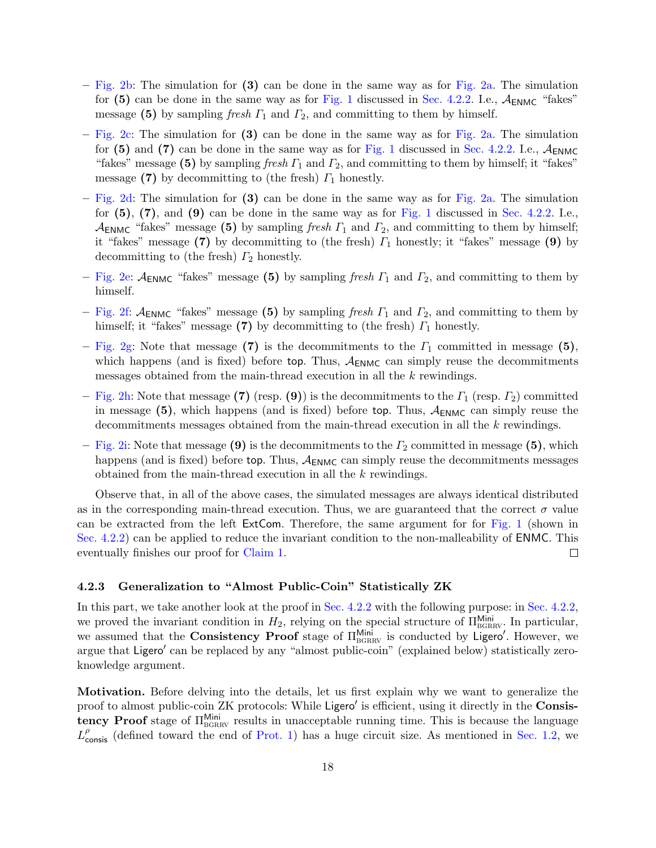- $-$  [Fig. 2b:](#page-18-0) The simulation for  $(3)$  can be done in the same way as for [Fig. 2a.](#page-18-0) The simulation for  $(5)$  can be done in the same way as for [Fig. 1](#page-17-0) discussed in [Sec. 4.2.2.](#page-15-2) I.e.,  $A_{ENMC}$  "fakes" message (5) by sampling fresh  $\Gamma_1$  and  $\Gamma_2$ , and committing to them by himself.
- $-$  [Fig. 2c:](#page-18-0) The simulation for (3) can be done in the same way as for [Fig. 2a.](#page-18-0) The simulation for (5) and (7) can be done in the same way as for [Fig. 1](#page-17-0) discussed in [Sec. 4.2.2.](#page-15-2) I.e.,  $A_{\text{EMMC}}$ "fakes" message (5) by sampling fresh  $\Gamma_1$  and  $\Gamma_2$ , and committing to them by himself; it "fakes" message (7) by decommitting to (the fresh)  $\Gamma_1$  honestly.
- $-$  [Fig. 2d:](#page-18-0) The simulation for  $(3)$  can be done in the same way as for [Fig. 2a.](#page-18-0) The simulation for  $(5)$ ,  $(7)$ , and  $(9)$  can be done in the same way as for [Fig. 1](#page-17-0) discussed in [Sec. 4.2.2.](#page-15-2) I.e.,  $\mathcal{A}_{\mathsf{EMMC}}$  "fakes" message (5) by sampling fresh  $\Gamma_1$  and  $\Gamma_2$ , and committing to them by himself; it "fakes" message (7) by decommitting to (the fresh)  $\Gamma_1$  honestly; it "fakes" message (9) by decommitting to (the fresh)  $\Gamma_2$  honestly.
- [Fig. 2e:](#page-18-0)  $A_{\text{EMMC}}$  "fakes" message (5) by sampling fresh  $\Gamma_1$  and  $\Gamma_2$ , and committing to them by himself.
- [Fig. 2f:](#page-18-0)  $A_{\text{EMMC}}$  "fakes" message (5) by sampling fresh  $\Gamma_1$  and  $\Gamma_2$ , and committing to them by himself; it "fakes" message (7) by decommitting to (the fresh)  $\Gamma_1$  honestly.
- [Fig. 2g:](#page-18-0) Note that message (7) is the decommitments to the  $\Gamma_1$  committed in message (5), which happens (and is fixed) before top. Thus,  $A_{\text{EMMC}}$  can simply reuse the decommitments messages obtained from the main-thread execution in all the  $k$  rewindings.
- [Fig. 2h:](#page-18-0) Note that message (7) (resp. (9)) is the decommitments to the  $\Gamma_1$  (resp.  $\Gamma_2$ ) committed in message  $(5)$ , which happens (and is fixed) before top. Thus,  $A_{\text{ENMC}}$  can simply reuse the decommitments messages obtained from the main-thread execution in all the k rewindings.
- [Fig. 2i:](#page-18-0) Note that message (9) is the decommitments to the  $\Gamma_2$  committed in message (5), which happens (and is fixed) before top. Thus,  $A_{\text{ENMC}}$  can simply reuse the decommitments messages obtained from the main-thread execution in all the k rewindings.

Observe that, in all of the above cases, the simulated messages are always identical distributed as in the corresponding main-thread execution. Thus, we are guaranteed that the correct  $\sigma$  value can be extracted from the left ExtCom. Therefore, the same argument for for [Fig. 1](#page-17-0) (shown in [Sec. 4.2.2\)](#page-15-2) can be applied to reduce the invariant condition to the non-malleability of ENMC. This eventually finishes our proof for [Claim 1.](#page-15-3)  $\Box$ 

# <span id="page-19-0"></span>4.2.3 Generalization to "Almost Public-Coin" Statistically ZK

In this part, we take another look at the proof in [Sec. 4.2.2](#page-15-2) with the following purpose: in [Sec. 4.2.2,](#page-15-2) we proved the invariant condition in  $H_2$ , relying on the special structure of  $\Pi_{\text{BGRRV}}^{\text{Mini}}$ . In particular, we assumed that the **Consistency Proof** stage of  $\Pi_{\text{BGRRV}}^{\text{Mini}}$  is conducted by Ligero'. However, we argue that Ligero' can be replaced by any "almost public-coin" (explained below) statistically zeroknowledge argument.

Motivation. Before delving into the details, let us first explain why we want to generalize the proof to almost public-coin ZK protocols: While Ligero' is efficient, using it directly in the Consistency Proof stage of  $\Pi_{\text{BGRRV}}^{\text{Min}}$  results in unacceptable running time. This is because the language  $L_{\text{consis}}^{\rho}$  (defined toward the end of [Prot. 1\)](#page-10-1) has a huge circuit size. As mentioned in [Sec. 1.2,](#page-5-0) we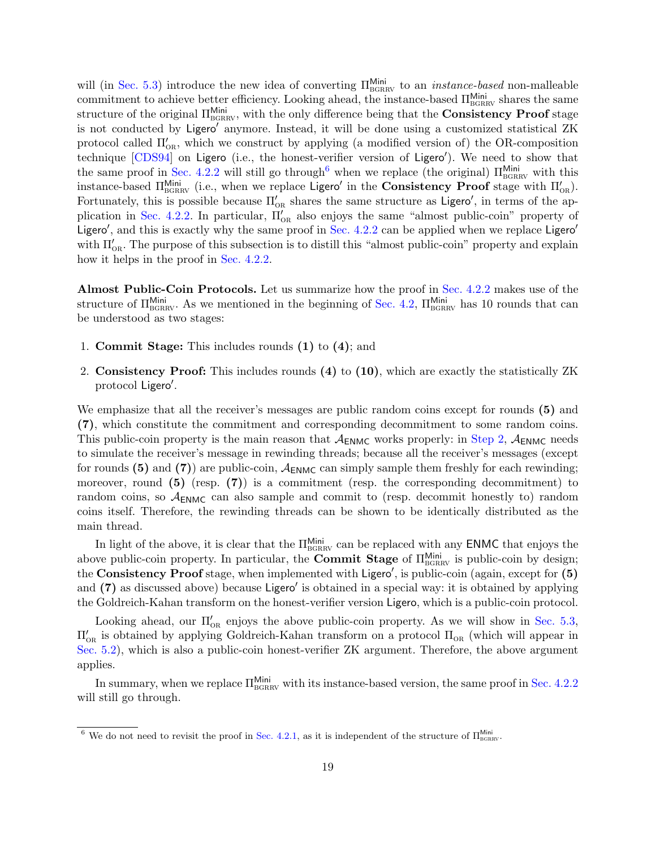<span id="page-20-1"></span>will (in [Sec. 5.3\)](#page-23-0) introduce the new idea of converting  $\Pi_{\text{BGRRV}}^{\text{Mini}}$  to an *instance-based* non-malleable commitment to achieve better efficiency. Looking ahead, the instance-based  $\Pi_{\rm BGRRV}^{\rm Mini}$  shares the same structure of the original  $\Pi_{\text{BGRBV}}^{\text{Mini}}$ , with the only difference being that the **Consistency Proof** stage is not conducted by Ligero' anymore. Instead, it will be done using a customized statistical ZK protocol called  $\Pi'_{OR}$ , which we construct by applying (a modified version of) the OR-composition technique [\[CDS94\]](#page-28-19) on Ligero (i.e., the honest-verifier version of Ligero'). We need to show that the same proof in [Sec. 4.2.2](#page-15-2) will still go through<sup>[6](#page-20-0)</sup> when we replace (the original)  $\Pi_{\text{BGRRV}}^{\text{Mini}}$  with this instance-based  $\Pi_{\text{BGRRV}}^{\text{Mini}}$  (i.e., when we replace Ligero' in the Consistency Proof stage with  $\Pi_{\text{OR}}'$ ). Fortunately, this is possible because  $\Pi'_{OR}$  shares the same structure as Ligero', in terms of the ap-plication in [Sec. 4.2.2.](#page-15-2) In particular,  $\Pi'_{OR}$  also enjoys the same "almost public-coin" property of Ligero', and this is exactly why the same proof in Sec.  $4.2.2$  can be applied when we replace Ligero' with  $\Pi'_{OR}$ . The purpose of this subsection is to distill this "almost public-coin" property and explain how it helps in the proof in [Sec. 4.2.2.](#page-15-2)

Almost Public-Coin Protocols. Let us summarize how the proof in [Sec. 4.2.2](#page-15-2) makes use of the structure of  $\Pi_{\text{BGRRV}}^{\text{Min}}$ . As we mentioned in the beginning of [Sec. 4.2,](#page-15-0)  $\Pi_{\text{BGRRV}}^{\text{Mini}}$  has 10 rounds that can be understood as two stages:

- 1. Commit Stage: This includes rounds (1) to (4); and
- 2. Consistency Proof: This includes rounds (4) to (10), which are exactly the statistically ZK protocol Ligero'.

We emphasize that all the receiver's messages are public random coins except for rounds (5) and (7), which constitute the commitment and corresponding decommitment to some random coins. This public-coin property is the main reason that  $\mathcal{A}_{\mathsf{ENMC}}$  works properly: in [Step 2,](#page-17-2)  $\mathcal{A}_{\mathsf{ENMC}}$  needs to simulate the receiver's message in rewinding threads; because all the receiver's messages (except for rounds (5) and (7)) are public-coin,  $A_{\text{EMMC}}$  can simply sample them freshly for each rewinding; moreover, round  $(5)$  (resp.  $(7)$ ) is a commitment (resp. the corresponding decommitment) to random coins, so  $A_{\text{EMMC}}$  can also sample and commit to (resp. decommit honestly to) random coins itself. Therefore, the rewinding threads can be shown to be identically distributed as the main thread.

In light of the above, it is clear that the  $\Pi_{\rm BGRBV}^{\rm Mini}$  can be replaced with any **ENMC** that enjoys the above public-coin property. In particular, the **Commit Stage** of  $\Pi_{\text{BGRRV}}^{\text{Mini}}$  is public-coin by design; the Consistency Proof stage, when implemented with Ligero', is public-coin (again, except for  $(5)$ ) and (7) as discussed above) because Ligero' is obtained in a special way: it is obtained by applying the Goldreich-Kahan transform on the honest-verifier version Ligero, which is a public-coin protocol.

Looking ahead, our  $\Pi'_{OR}$  enjoys the above public-coin property. As we will show in [Sec. 5.3,](#page-23-0)  $\Pi_{\text{OR}}'$  is obtained by applying Goldreich-Kahan transform on a protocol  $\Pi_{\text{OR}}$  (which will appear in [Sec. 5.2\)](#page-21-2), which is also a public-coin honest-verifier ZK argument. Therefore, the above argument applies.

In summary, when we replace  $\Pi_{\rm BGRBV}^{\rm Mini}$  with its instance-based version, the same proof in [Sec. 4.2.2](#page-15-2) will still go through.

<span id="page-20-0"></span><sup>&</sup>lt;sup>6</sup> We do not need to revisit the proof in [Sec. 4.2.1,](#page-15-1) as it is independent of the structure of  $\Pi_{\text{BGRRV}}^{\text{Milin}}$ .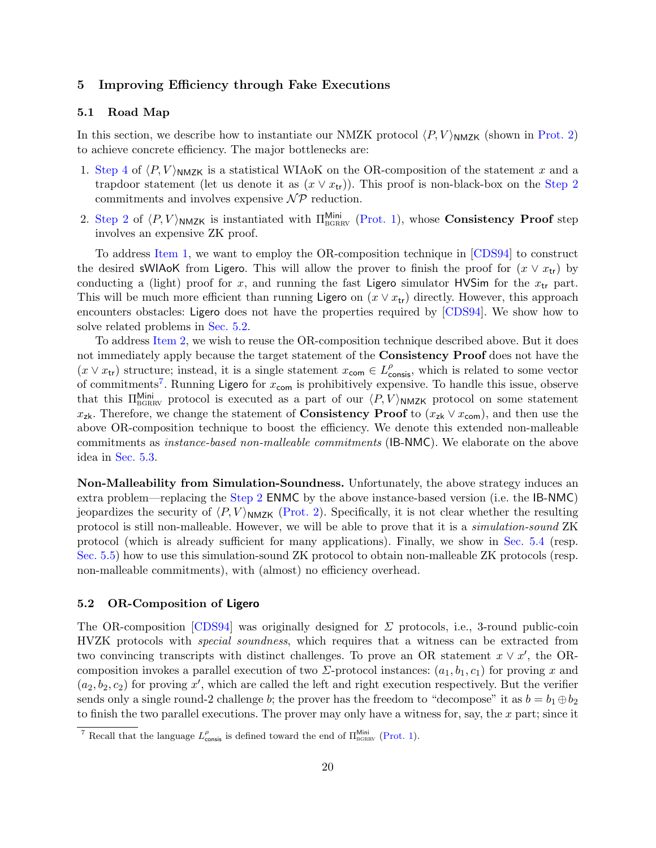# <span id="page-21-6"></span><span id="page-21-0"></span>5 Improving Efficiency through Fake Executions

#### <span id="page-21-1"></span>5.1 Road Map

In this section, we describe how to instantiate our NMZK protocol  $\langle P, V \rangle$  NMZK (shown in [Prot. 2\)](#page-11-1) to achieve concrete efficiency. The major bottlenecks are:

- <span id="page-21-3"></span>1. [Step 4](#page-12-3) of  $\langle P, V \rangle$  NMZK is a statistical WIAoK on the OR-composition of the statement x and a trapdoor statement (let us denote it as  $(x \vee x_{tr})$ ). This proof is non-black-box on the [Step 2](#page-12-4) commitments and involves expensive  $\mathcal{NP}$  reduction.
- <span id="page-21-4"></span>2. [Step 2](#page-12-4) of  $\langle P, V \rangle$  is instantiated with  $\Pi_{\text{BGRRV}}^{\text{Mini}}$  [\(Prot. 1\)](#page-10-1), whose **Consistency Proof** step involves an expensive ZK proof.

To address [Item 1,](#page-21-3) we want to employ the OR-composition technique in [\[CDS94\]](#page-28-19) to construct the desired sWIAoK from Ligero. This will allow the prover to finish the proof for  $(x \vee x_{tr})$  by conducting a (light) proof for x, and running the fast Ligero simulator HVSim for the  $x_{tr}$  part. This will be much more efficient than running Ligero on  $(x \vee x_{tr})$  directly. However, this approach encounters obstacles: Ligero does not have the properties required by [\[CDS94\]](#page-28-19). We show how to solve related problems in [Sec. 5.2.](#page-21-2)

To address [Item 2,](#page-21-4) we wish to reuse the OR-composition technique described above. But it does not immediately apply because the target statement of the Consistency Proof does not have the  $(x \vee x_{tr})$  structure; instead, it is a single statement  $x_{com} \in L^{\rho}_{consis}$ , which is related to some vector of commitments<sup>[7](#page-21-5)</sup>. Running Ligero for  $x_{\text{com}}$  is prohibitively expensive. To handle this issue, observe that this  $\Pi_{\text{BGRRV}}^{\text{Min}}$  protocol is executed as a part of our  $\langle P, V \rangle_{\text{NMZK}}$  protocol on some statement  $x_{\text{zk}}$ . Therefore, we change the statement of **Consistency Proof** to  $(x_{\text{zk}} \vee x_{\text{com}})$ , and then use the above OR-composition technique to boost the efficiency. We denote this extended non-malleable commitments as instance-based non-malleable commitments (IB-NMC). We elaborate on the above idea in [Sec. 5.3.](#page-23-0)

Non-Malleability from Simulation-Soundness. Unfortunately, the above strategy induces an extra problem—replacing the [Step 2](#page-12-4) ENMC by the above instance-based version (i.e. the IB-NMC) jeopardizes the security of  $\langle P, V \rangle_{\text{NMZK}}$  [\(Prot. 2\)](#page-11-1). Specifically, it is not clear whether the resulting protocol is still non-malleable. However, we will be able to prove that it is a simulation-sound ZK protocol (which is already sufficient for many applications). Finally, we show in [Sec. 5.4](#page-24-0) (resp. [Sec. 5.5\)](#page-25-0) how to use this simulation-sound ZK protocol to obtain non-malleable ZK protocols (resp. non-malleable commitments), with (almost) no efficiency overhead.

#### <span id="page-21-2"></span>5.2 OR-Composition of Ligero

The OR-composition [\[CDS94\]](#page-28-19) was originally designed for  $\Sigma$  protocols, i.e., 3-round public-coin HVZK protocols with special soundness, which requires that a witness can be extracted from two convincing transcripts with distinct challenges. To prove an OR statement  $x \vee x'$ , the ORcomposition invokes a parallel execution of two  $\Sigma$ -protocol instances:  $(a_1, b_1, c_1)$  for proving x and  $(a_2, b_2, c_2)$  for proving x', which are called the left and right execution respectively. But the verifier sends only a single round-2 challenge b; the prover has the freedom to "decompose" it as  $b = b_1 \oplus b_2$ to finish the two parallel executions. The prover may only have a witness for, say, the  $x$  part; since it

<span id="page-21-5"></span><sup>&</sup>lt;sup>7</sup> Recall that the language  $L_{\text{consis}}^{\rho}$  is defined toward the end of  $\Pi_{\text{BGRRV}}^{\text{Mini}}$  [\(Prot. 1\)](#page-10-1).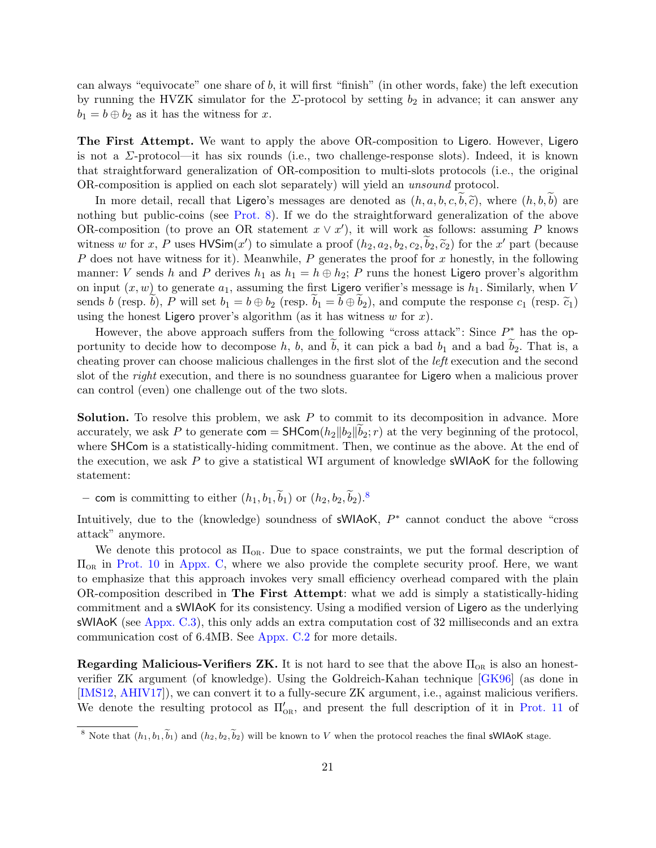<span id="page-22-1"></span>can always "equivocate" one share of  $b$ , it will first "finish" (in other words, fake) the left execution by running the HVZK simulator for the  $\Sigma$ -protocol by setting  $b_2$  in advance; it can answer any  $b_1 = b \oplus b_2$  as it has the witness for x.

The First Attempt. We want to apply the above OR-composition to Ligero. However, Ligero is not a  $\Sigma$ -protocol—it has six rounds (i.e., two challenge-response slots). Indeed, it is known that straightforward generalization of OR-composition to multi-slots protocols (i.e., the original OR-composition is applied on each slot separately) will yield an unsound protocol.

In more detail, recall that Ligero's messages are denoted as  $(h, a, b, c, b, \tilde{c})$ , where  $(h, b, b)$  are nothing but public-coins (see [Prot. 8\)](#page-35-1). If we do the straightforward generalization of the above OR-composition (to prove an OR statement  $x \vee x'$ ), it will work as follows: assuming P knows witness w for x, P uses  $HVSim(x')$  to simulate a proof  $(h_2, a_2, b_2, c_2, \tilde{b}_2, \tilde{c}_2)$  for the x' part (because  $R$  does not have witness for it). Meanwhile, B gaperates the proof for x henotly in the following P does not have witness for it). Meanwhile, P generates the proof for  $x$  honestly, in the following manner: V sends h and P derives  $h_1$  as  $h_1 = h \oplus h_2$ ; P runs the honest Ligero prover's algorithm on input  $(x, w)$  to generate  $a_1$ , assuming the first Ligero verifier's message is  $h_1$ . Similarly, when V sends b (resp. b), P will set  $b_1 = b \oplus b_2$  (resp.  $b_1 = b \oplus b_2$ ), and compute the response  $c_1$  (resp.  $\tilde{c}_1$ ) using the honest Ligero prover's algorithm (as it has witness  $w$  for  $x$ ).

However, the above approach suffers from the following "cross attack": Since  $P^*$  has the opportunity to decide how to decompose h, b, and b, it can pick a bad  $b_1$  and a bad  $b_2$ . That is, a cheating prover can choose malicious challenges in the first slot of the left execution and the second slot of the *right* execution, and there is no soundness guarantee for Ligero when a malicious prover can control (even) one challenge out of the two slots.

**Solution.** To resolve this problem, we ask  $P$  to commit to its decomposition in advance. More accurately, we ask P to generate  $com = SHCom(h_2||b_2||b_2; r)$  at the very beginning of the protocol, where SHCom is a statistically-hiding commitment. Then, we continue as the above. At the end of the execution, we ask  $P$  to give a statistical WI argument of knowledge sWIAoK for the following statement:

– com is committing to either  $(h_1, b_1, \tilde{b}_1)$  or  $(h_2, b_2, \tilde{b}_2)$ .<sup>[8](#page-22-0)</sup>

Intuitively, due to the (knowledge) soundness of sWIAoK,  $P^*$  cannot conduct the above "cross attack" anymore.

We denote this protocol as  $\Pi_{OR}$ . Due to space constraints, we put the formal description of Πor in [Prot. 10](#page-37-3) in [Appx. C,](#page-37-0) where we also provide the complete security proof. Here, we want to emphasize that this approach invokes very small efficiency overhead compared with the plain OR-composition described in The First Attempt: what we add is simply a statistically-hiding commitment and a sWIAoK for its consistency. Using a modified version of Ligero as the underlying sWIAoK (see [Appx. C.3\)](#page-45-0), this only adds an extra computation cost of 32 milliseconds and an extra communication cost of 6.4MB. See [Appx. C.2](#page-43-0) for more details.

Regarding Malicious-Verifiers ZK. It is not hard to see that the above  $\Pi_{OR}$  is also an honestverifier ZK argument (of knowledge). Using the Goldreich-Kahan technique [\[GK96\]](#page-29-20) (as done in [\[IMS12,](#page-30-18) [AHIV17\]](#page-28-10)), we can convert it to a fully-secure ZK argument, i.e., against malicious verifiers. We denote the resulting protocol as  $\Pi'_{OR}$ , and present the full description of it in [Prot. 11](#page-43-1) of

<span id="page-22-0"></span><sup>&</sup>lt;sup>8</sup> Note that  $(h_1, b_1, \tilde{b}_1)$  and  $(h_2, b_2, \tilde{b}_2)$  will be known to V when the protocol reaches the final sWIAoK stage.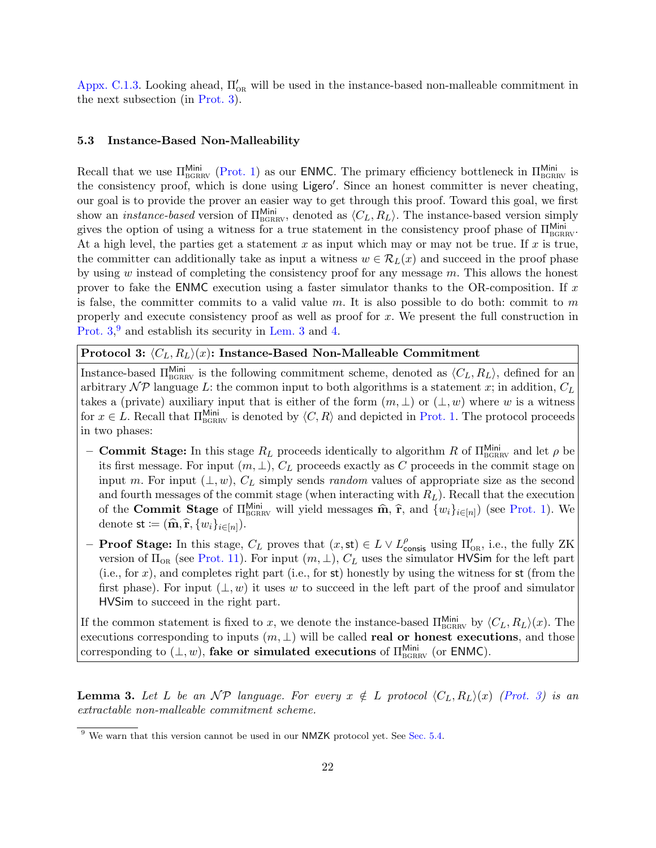[Appx. C.1.3.](#page-42-0) Looking ahead,  $\Pi'_{OR}$  will be used in the instance-based non-malleable commitment in the next subsection (in [Prot. 3\)](#page-23-1).

#### <span id="page-23-0"></span>5.3 Instance-Based Non-Malleability

Recall that we use  $\Pi_{\text{BGRRV}}^{\text{Mini}}$  [\(Prot. 1\)](#page-10-1) as our **ENMC**. The primary efficiency bottleneck in  $\Pi_{\text{BGRRV}}^{\text{Mini}}$  is the consistency proof, which is done using Ligero'. Since an honest committer is never cheating, our goal is to provide the prover an easier way to get through this proof. Toward this goal, we first show an *instance-based* version of  $\Pi_{\text{BGRRV}}^{\text{Min}}$ , denoted as  $\langle C_L, R_L \rangle$ . The instance-based version simply gives the option of using a witness for a true statement in the consistency proof phase of  $\Pi_{\text{BGRRV}}^{\text{Min}}$ . At a high level, the parties get a statement x as input which may or may not be true. If x is true, the committer can additionally take as input a witness  $w \in \mathcal{R}_L(x)$  and succeed in the proof phase by using w instead of completing the consistency proof for any message  $m$ . This allows the honest prover to fake the ENMC execution using a faster simulator thanks to the OR-composition. If  $x$ is false, the committer commits to a valid value m. It is also possible to do both: commit to m properly and execute consistency proof as well as proof for x. We present the full construction in [Prot. 3,](#page-23-1)<sup>[9](#page-23-2)</sup> and establish its security in [Lem. 3](#page-23-3) and [4.](#page-24-1)

# <span id="page-23-1"></span>Protocol 3:  $\langle C_L, R_L \rangle (x)$ : Instance-Based Non-Malleable Commitment

Instance-based  $\Pi_{\text{BGRRV}}^{\text{Mini}}$  is the following commitment scheme, denoted as  $\langle C_L, R_L \rangle$ , defined for an arbitrary  $\mathcal{NP}$  language L: the common input to both algorithms is a statement x; in addition,  $C_L$ takes a (private) auxiliary input that is either of the form  $(m, \perp)$  or  $(\perp, w)$  where w is a witness for  $x \in L$ . Recall that  $\Pi_{\text{BGRBV}}^{\text{Min}}$  is denoted by  $\langle C, R \rangle$  and depicted in [Prot. 1.](#page-10-1) The protocol proceeds in two phases:

- Commit Stage: In this stage  $R_L$  proceeds identically to algorithm R of  $\Pi_{\text{BGRRV}}^{\text{Min}}$  and let  $\rho$  be its first message. For input  $(m, \perp), C_L$  proceeds exactly as C proceeds in the commit stage on input m. For input  $(\perp, w)$ ,  $C_L$  simply sends *random* values of appropriate size as the second and fourth messages of the commit stage (when interacting with  $R<sub>L</sub>$ ). Recall that the execution of the **Commit Stage** of  $\Pi_{\text{BGRRV}}^{\text{Mini}}$  will yield messages  $\hat{\mathbf{m}}, \hat{\mathbf{r}},$  and  $\{w_i\}_{i \in [n]}$  (see [Prot. 1\)](#page-10-1). We denote  $\operatorname{\mathsf{st}}\coloneqq (\widehat{\mathbf{m}},\widehat{\mathbf{r}},\{w_i\}_{i\in[n]}).$
- **Proof Stage:** In this stage,  $C_L$  proves that  $(x, st) \in L \vee L_{\text{consis}}^{\rho}$  using  $\Pi_{\text{OR}}'$ , i.e., the fully ZK version of  $\Pi_{OR}$  (see [Prot. 11\)](#page-43-1). For input  $(m, \perp), C_L$  uses the simulator HVSim for the left part  $(i.e., for x)$ , and completes right part  $(i.e., for st)$  honestly by using the witness for st (from the first phase). For input  $(\perp, w)$  it uses w to succeed in the left part of the proof and simulator HVSim to succeed in the right part.

If the common statement is fixed to x, we denote the instance-based  $\Pi_{\text{BGRRV}}^{\text{Mini}}$  by  $\langle C_L, R_L \rangle(x)$ . The executions corresponding to inputs  $(m, \perp)$  will be called **real or honest executions**, and those corresponding to  $(\perp, w)$ , fake or simulated executions of  $\Pi_{\text{BGRRV}}^{\text{Mini}}$  (or ENMC).

<span id="page-23-3"></span>**Lemma 3.** Let L be an NP language. For every  $x \notin L$  protocol  $\langle C_L, R_L \rangle(x)$  [\(Prot. 3\)](#page-23-1) is an extractable non-malleable commitment scheme.

<span id="page-23-2"></span> $9$  We warn that this version cannot be used in our NMZK protocol yet. See [Sec. 5.4.](#page-24-0)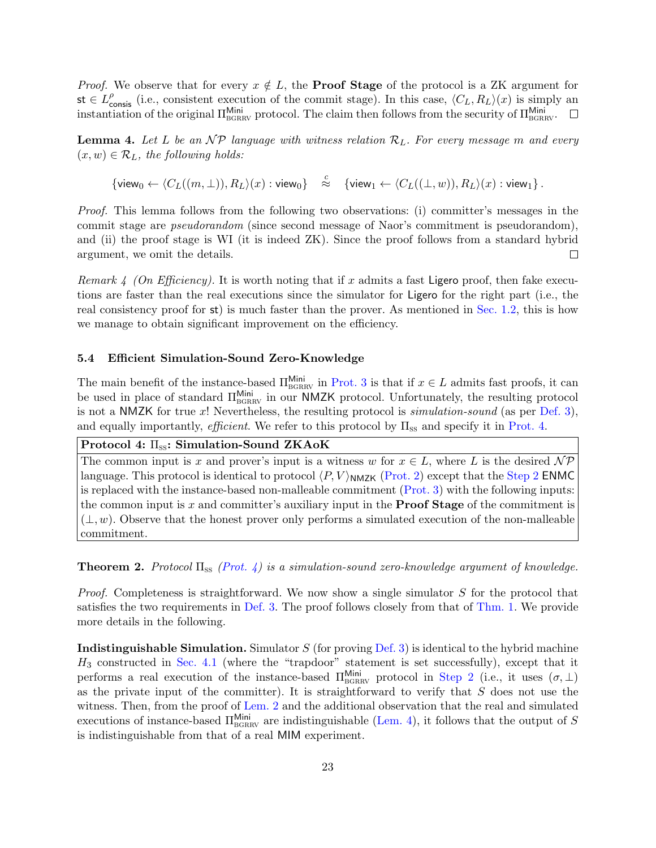*Proof.* We observe that for every  $x \notin L$ , the **Proof Stage** of the protocol is a ZK argument for st  $\in L^{\rho}_{\text{consis}}$  (i.e., consistent execution of the commit stage). In this case,  $\langle C_L, R_L \rangle(x)$  is simply an instantiation of the original  $\Pi_{\text{BGRBV}}^{\text{Min}}$  protocol. The claim then follows from the security of  $\Pi_{\text{BGRBV}}^{\text{Min}}$ .

<span id="page-24-1"></span>**Lemma 4.** Let L be an  $\mathcal{NP}$  language with witness relation  $\mathcal{R}_L$ . For every message m and every  $(x, w) \in \mathcal{R}_L$ , the following holds:

 $\{\mathsf{view}_0 \leftarrow \langle C_L((m, \bot)), R_L\rangle(x): \mathsf{view}_0\} \quad \stackrel{c}{\approx} \quad \{\mathsf{view}_1 \leftarrow \langle C_L((\bot, w)), R_L\rangle(x): \mathsf{view}_1\} \,.$ 

Proof. This lemma follows from the following two observations: (i) committer's messages in the commit stage are pseudorandom (since second message of Naor's commitment is pseudorandom), and (ii) the proof stage is WI (it is indeed ZK). Since the proof follows from a standard hybrid argument, we omit the details.  $\Box$ 

*Remark 4 (On Efficiency)*. It is worth noting that if x admits a fast Ligero proof, then fake executions are faster than the real executions since the simulator for Ligero for the right part (i.e., the real consistency proof for st) is much faster than the prover. As mentioned in [Sec. 1.2,](#page-5-0) this is how we manage to obtain significant improvement on the efficiency.

# <span id="page-24-0"></span>5.4 Efficient Simulation-Sound Zero-Knowledge

The main benefit of the instance-based  $\Pi_{\text{BGRRV}}^{\text{Min}}$  in [Prot. 3](#page-23-1) is that if  $x \in L$  admits fast proofs, it can be used in place of standard  $\Pi_{\rm BGRBV}^{\rm Mini}$  in our NMZK protocol. Unfortunately, the resulting protocol is not a NMZK for true  $x!$  Nevertheless, the resulting protocol is *simulation-sound* (as per [Def. 3\)](#page-8-0), and equally importantly, *efficient*. We refer to this protocol by  $\Pi_{ss}$  and specify it in [Prot. 4.](#page-24-2)

# <span id="page-24-2"></span>Protocol 4: Π<sub>ss</sub>: Simulation-Sound ZKAoK

The common input is x and prover's input is a witness w for  $x \in L$ , where L is the desired  $\mathcal{NP}$ language. This protocol is identical to protocol  $\langle P, V \rangle$  NMZK [\(Prot. 2\)](#page-11-1) except that the [Step 2](#page-12-4) ENMC is replaced with the instance-based non-malleable commitment [\(Prot. 3\)](#page-23-1) with the following inputs: the common input is x and committer's auxiliary input in the **Proof Stage** of the commitment is  $(\perp, w)$ . Observe that the honest prover only performs a simulated execution of the non-malleable commitment.

# **Theorem 2.** Protocol  $\Pi_{SS}$  [\(Prot. 4\)](#page-24-2) is a simulation-sound zero-knowledge argument of knowledge.

Proof. Completeness is straightforward. We now show a single simulator S for the protocol that satisfies the two requirements in [Def. 3.](#page-8-0) The proof follows closely from that of [Thm. 1.](#page-12-1) We provide more details in the following.

**Indistinguishable Simulation.** Simulator  $S$  (for proving [Def. 3\)](#page-8-0) is identical to the hybrid machine  $H_3$  constructed in [Sec. 4.1](#page-13-0) (where the "trapdoor" statement is set successfully), except that it performs a real execution of the instance-based  $\Pi_{\text{BGRRV}}^{\text{Mini}}$  protocol in [Step 2](#page-12-4) (i.e., it uses  $(\sigma, \perp)$ ) as the private input of the committer). It is straightforward to verify that  $S$  does not use the witness. Then, from the proof of [Lem. 2](#page-13-1) and the additional observation that the real and simulated executions of instance-based  $\Pi_{\text{BGRRV}}^{\text{Mini}}$  are indistinguishable [\(Lem. 4\)](#page-24-1), it follows that the output of S is indistinguishable from that of a real MIM experiment.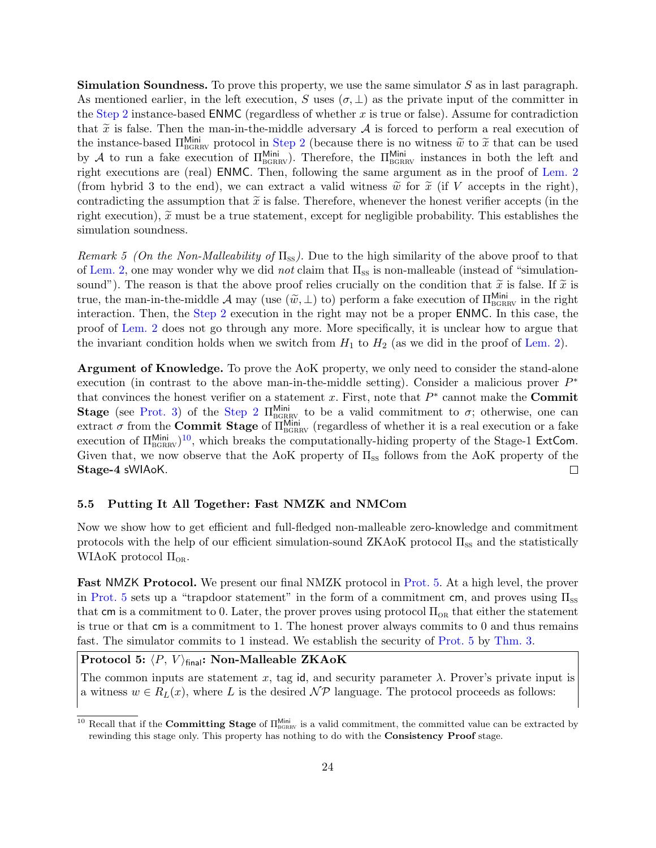Simulation Soundness. To prove this property, we use the same simulator S as in last paragraph. As mentioned earlier, in the left execution, S uses  $(\sigma, \perp)$  as the private input of the committer in the [Step 2](#page-12-4) instance-based ENMC (regardless of whether  $x$  is true or false). Assume for contradiction that  $\tilde{x}$  is false. Then the man-in-the-middle adversary  $A$  is forced to perform a real execution of the instance-based  $\Pi_{\text{BGRRV}}^{\text{Min}}$  protocol in [Step 2](#page-12-4) (because there is no witness  $\tilde{w}$  to  $\tilde{x}$  that can be used<br>by 4 to run a fake greguition of  $\Pi_{\text{Min}}$ ). Therefore, the  $\Pi_{\text{Min}}^{\text{Min}}$  instances in both th by A to run a fake execution of  $\Pi_{\text{BGRRV}}^{\text{Mini}}$ . Therefore, the  $\Pi_{\text{BGRRV}}^{\text{Mini}}$  instances in both the left and right executions are (real) ENMC. Then, following the same argument as in the proof of [Lem. 2](#page-13-1) (from hybrid 3 to the end), we can extract a valid witness  $\tilde{w}$  for  $\tilde{x}$  (if V accepts in the right), contradicting the assumption that  $\tilde{x}$  is false. Therefore, whenever the honest verifier accepts (in the right execution),  $\tilde{x}$  must be a true statement, except for negligible probability. This establishes the simulation soundness.

Remark 5 (On the Non-Malleability of  $\Pi_{ss}$ ). Due to the high similarity of the above proof to that of [Lem. 2,](#page-13-1) one may wonder why we did not claim that  $\Pi_{ss}$  is non-malleable (instead of "simulationsound"). The reason is that the above proof relies crucially on the condition that  $\tilde{x}$  is false. If  $\tilde{x}$  is true, the man-in-the-middle  $\mathcal A$  may (use  $(\tilde w, \perp)$  to) perform a fake execution of  $\Pi_{\text{BGRN}}^{\text{Mini}}$  in the right<br>interaction. Then, the Step 2 execution in the right may not be a proper  $\text{FNMC}$ . In this gase, the interaction. Then, the [Step 2](#page-12-4) execution in the right may not be a proper ENMC. In this case, the proof of [Lem. 2](#page-13-1) does not go through any more. More specifically, it is unclear how to argue that the invariant condition holds when we switch from  $H_1$  to  $H_2$  (as we did in the proof of [Lem. 2\)](#page-13-1).

Argument of Knowledge. To prove the AoK property, we only need to consider the stand-alone execution (in contrast to the above man-in-the-middle setting). Consider a malicious prover  $P^*$ that convinces the honest verifier on a statement x. First, note that  $P^*$  cannot make the **Commit Stage** (see [Prot. 3\)](#page-23-1) of the [Step 2](#page-12-4)  $\Pi_{\text{BGRRV}}^{\text{Min}}$  to be a valid commitment to  $\sigma$ ; otherwise, one can extract  $\sigma$  from the **Commit Stage** of  $\Pi_{\text{BGRRV}}^{\text{Min}}$  (regardless of whether it is a real execution or a fake execution of  $\Pi_{\text{BGRRV}}^{\text{Mini}}$ )<sup>[10](#page-25-1)</sup>, which breaks the computationally-hiding property of the Stage-1 ExtCom. Given that, we now observe that the AoK property of  $\Pi_{ss}$  follows from the AoK property of the Stage-4 sWIAoK.  $\Box$ 

#### <span id="page-25-0"></span>5.5 Putting It All Together: Fast NMZK and NMCom

Now we show how to get efficient and full-fledged non-malleable zero-knowledge and commitment protocols with the help of our efficient simulation-sound  $ZKAoK$  protocol  $\Pi_{ss}$  and the statistically WIAoK protocol  $\Pi_{OR}$ .

Fast NMZK Protocol. We present our final NMZK protocol in [Prot. 5.](#page-25-2) At a high level, the prover in [Prot. 5](#page-25-2) sets up a "trapdoor statement" in the form of a commitment cm, and proves using  $\Pi_{ss}$ that cm is a commitment to 0. Later, the prover proves using protocol  $\Pi_{OR}$  that either the statement is true or that cm is a commitment to 1. The honest prover always commits to 0 and thus remains fast. The simulator commits to 1 instead. We establish the security of [Prot. 5](#page-25-2) by [Thm. 3.](#page-26-0)

# <span id="page-25-2"></span>Protocol 5:  $\langle P, V \rangle_{final}$ : Non-Malleable ZKAoK

The common inputs are statement x, tag id, and security parameter  $\lambda$ . Prover's private input is a witness  $w \in R_L(x)$ , where L is the desired  $\mathcal{NP}$  language. The protocol proceeds as follows:

<span id="page-25-3"></span><span id="page-25-1"></span><sup>&</sup>lt;sup>10</sup> Recall that if the **Committing Stage** of  $\Pi_{\text{BGRRV}}^{\text{Milin}}$  is a valid commitment, the committed value can be extracted by rewinding this stage only. This property has nothing to do with the Consistency Proof stage.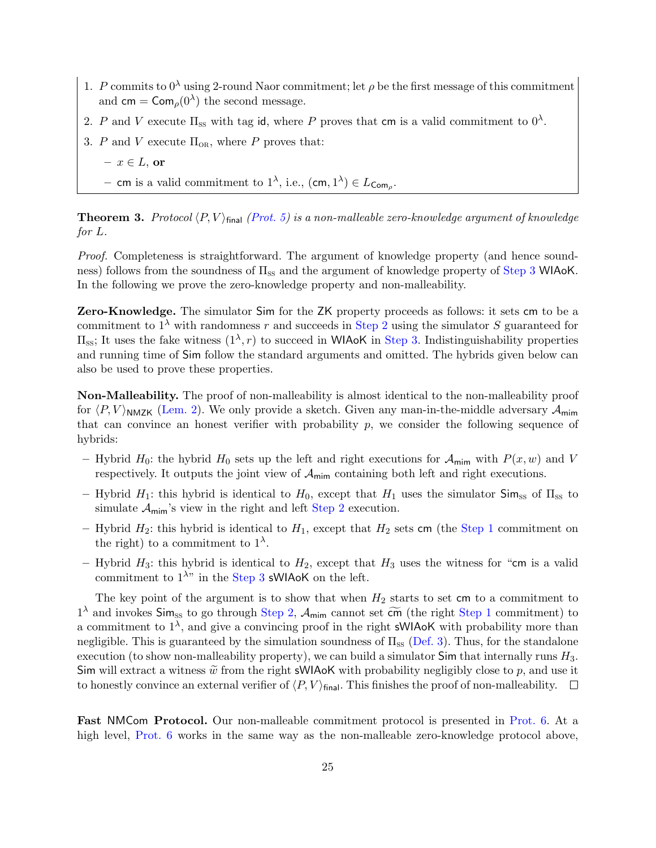- 1. P commits to  $0^{\lambda}$  using 2-round Naor commitment; let  $\rho$  be the first message of this commitment and  $\mathsf{cm} = \mathsf{Com}_{\rho}(0^{\lambda})$  the second message.
- <span id="page-26-2"></span>2. P and V execute  $\Pi_{\text{ss}}$  with tag id, where P proves that cm is a valid commitment to  $0^{\lambda}$ .
- <span id="page-26-1"></span>3. P and V execute  $\Pi_{OR}$ , where P proves that:
	- $x \in L$ , or
	- cm is a valid commitment to  $1^{\lambda}$ , i.e.,  $(\textsf{cm}, 1^{\lambda}) \in L_{\textsf{Com}_{\rho}}$ .

<span id="page-26-0"></span>**Theorem 3.** Protocol  $\langle P, V \rangle_{\text{final}}$  [\(Prot. 5\)](#page-25-2) is a non-malleable zero-knowledge argument of knowledge for L.

Proof. Completeness is straightforward. The argument of knowledge property (and hence soundness) follows from the soundness of  $\Pi_{ss}$  and the argument of knowledge property of [Step 3](#page-26-1) WIAoK. In the following we prove the zero-knowledge property and non-malleability.

Zero-Knowledge. The simulator Sim for the ZK property proceeds as follows: it sets cm to be a commitment to  $1^{\lambda}$  with randomness r and succeeds in [Step 2](#page-26-2) using the simulator S guaranteed for  $\Pi_{\rm ss}$ ; It uses the fake witness  $(1^{\lambda}, r)$  to succeed in WIAoK in [Step 3.](#page-26-1) Indistinguishability properties and running time of Sim follow the standard arguments and omitted. The hybrids given below can also be used to prove these properties.

Non-Malleability. The proof of non-malleability is almost identical to the non-malleability proof for  $\langle P, V \rangle$  in T. [\(Lem. 2\)](#page-13-1). We only provide a sketch. Given any man-in-the-middle adversary  $\mathcal{A}_{\text{mim}}$ that can convince an honest verifier with probability  $p$ , we consider the following sequence of hybrids:

- Hybrid H<sub>0</sub>: the hybrid H<sub>0</sub> sets up the left and right executions for  $\mathcal{A}_{\text{mim}}$  with  $P(x, w)$  and V respectively. It outputs the joint view of  $\mathcal{A}_{\text{mim}}$  containing both left and right executions.
- Hybrid  $H_1$ : this hybrid is identical to  $H_0$ , except that  $H_1$  uses the simulator  $\mathsf{Sim}_{\mathrm{ss}}$  of  $\Pi_{\mathrm{ss}}$  to simulate  $A_{\text{mim}}$ 's view in the right and left [Step 2](#page-26-2) execution.
- Hybrid  $H_2$ : this hybrid is identical to  $H_1$ , except that  $H_2$  sets cm (the [Step 1](#page-25-3) commitment on the right) to a commitment to  $1^{\lambda}$ .
- Hybrid  $H_3$ : this hybrid is identical to  $H_2$ , except that  $H_3$  uses the witness for "cm is a valid commitment to  $1^{\lambda \nu}$  in the [Step 3](#page-26-1) sWIAoK on the left.

The key point of the argument is to show that when  $H_2$  starts to set cm to a commitment to  $1^{\lambda}$  and invokes  $\textsf{Sim}_{\textsf{SS}}$  to go through [Step 2,](#page-26-2)  $\mathcal{A}_{\textsf{mim}}$  cannot set  $\widetilde{\textsf{cm}}$  (the right [Step 1](#page-25-3) commitment) to a commitment to  $1^{\lambda}$ , and give a convincing proof in the right sWIAoK with probability more than negligible. This is guaranteed by the simulation soundness of  $\Pi_{ss}$  [\(Def. 3\)](#page-8-0). Thus, for the standalone execution (to show non-malleability property), we can build a simulator  $Sim$  that internally runs  $H_3$ . Sim will extract a witness  $\tilde{w}$  from the right sWIAoK with probability negligibly close to p, and use it to honestly convince an external verifier of  $\langle P, V \rangle_{\text{final}}$ . This finishes the proof of non-malleability.  $\Box$ 

Fast NMCom Protocol. Our non-malleable commitment protocol is presented in [Prot. 6.](#page-27-1) At a high level, [Prot. 6](#page-27-1) works in the same way as the non-malleable zero-knowledge protocol above,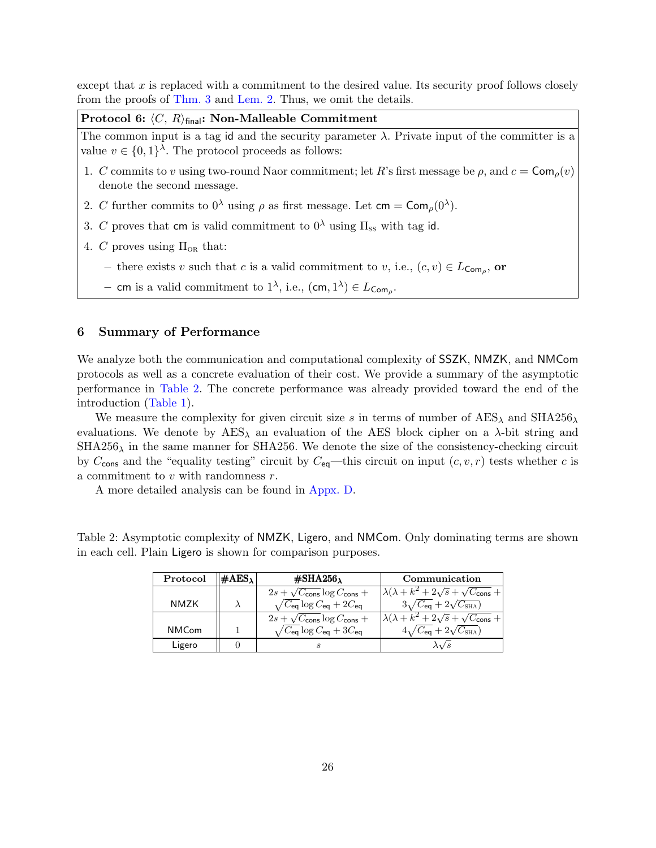except that x is replaced with a commitment to the desired value. Its security proof follows closely from the proofs of [Thm. 3](#page-26-0) and [Lem. 2.](#page-13-1) Thus, we omit the details.

<span id="page-27-1"></span>Protocol 6:  $\langle C, R \rangle_{final}$ : Non-Malleable Commitment

The common input is a tag id and the security parameter  $\lambda$ . Private input of the committer is a value  $v \in \{0,1\}^{\lambda}$ . The protocol proceeds as follows:

- 1. C commits to v using two-round Naor commitment; let R's first message be  $\rho$ , and  $c = \textsf{Com}_{\rho}(v)$ denote the second message.
- 2. C further commits to  $0^{\lambda}$  using  $\rho$  as first message. Let  $\mathsf{cm} = \mathsf{Com}_{\rho}(0^{\lambda})$ .
- 3. C proves that cm is valid commitment to  $0^{\lambda}$  using  $\Pi_{\rm ss}$  with tag id.
- 4. C proves using  $\Pi_{OR}$  that:
	- there exists v such that c is a valid commitment to v, i.e.,  $(c, v) \in L_{\text{Com}_{\rho}}$ , or
	- cm is a valid commitment to  $1^{\lambda}$ , i.e.,  $(\textsf{cm}, 1^{\lambda}) \in L_{\textsf{Com}_{\rho}}$ .

#### <span id="page-27-0"></span>6 Summary of Performance

We analyze both the communication and computational complexity of SSZK, NMZK, and NMCom protocols as well as a concrete evaluation of their cost. We provide a summary of the asymptotic performance in [Table 2.](#page-27-2) The concrete performance was already provided toward the end of the introduction [\(Table 1\)](#page-5-1).

We measure the complexity for given circuit size s in terms of number of  $\text{AES}_{\lambda}$  and  $\text{SHA256}_{\lambda}$ evaluations. We denote by  $\text{AES}_\lambda$  an evaluation of the AES block cipher on a  $\lambda$ -bit string and  $SHA256\lambda$  in the same manner for SHA256. We denote the size of the consistency-checking circuit by  $C_{\text{cons}}$  and the "equality testing" circuit by  $C_{\text{eq}}$ —this circuit on input  $(c, v, r)$  tests whether c is a commitment to  $v$  with randomness  $r$ .

A more detailed analysis can be found in [Appx. D.](#page-47-1)

| Protocol     | $\  \# \text{AES}_{\lambda} \ $ | $\text{\#SHA256}_{\lambda}$                                | Communication                                                  |  |
|--------------|---------------------------------|------------------------------------------------------------|----------------------------------------------------------------|--|
|              |                                 | $2s + \sqrt{C_{\text{cons}}}\log C_{\text{cons}} +$        | $\lambda(\lambda + k^2 + 2\sqrt{s} + \sqrt{C_{\text{cons}}} +$ |  |
| <b>NMZK</b>  |                                 | $\sqrt{C_{\text{eq}}} \log C_{\text{eq}} + 2C_{\text{eq}}$ | $3\sqrt{C_{\text{eq}}} + 2\sqrt{C_{\text{SHA}}}\$              |  |
|              |                                 | $2s + \sqrt{C_{\text{cons}}} \log C_{\text{cons}} +$       | $\lambda(\lambda + k^2 + 2\sqrt{s} + \sqrt{C_{\text{cons}}} +$ |  |
| <b>NMCom</b> |                                 | $\sqrt{C_{\text{eq}}}\log C_{\text{eq}} + 3C_{\text{eq}}$  | $4\sqrt{C_{\text{eq}}} + 2\sqrt{C_{\text{SHA}}}\$              |  |
| Ligero       |                                 |                                                            |                                                                |  |

<span id="page-27-2"></span>Table 2: Asymptotic complexity of NMZK, Ligero, and NMCom. Only dominating terms are shown in each cell. Plain Ligero is shown for comparison purposes.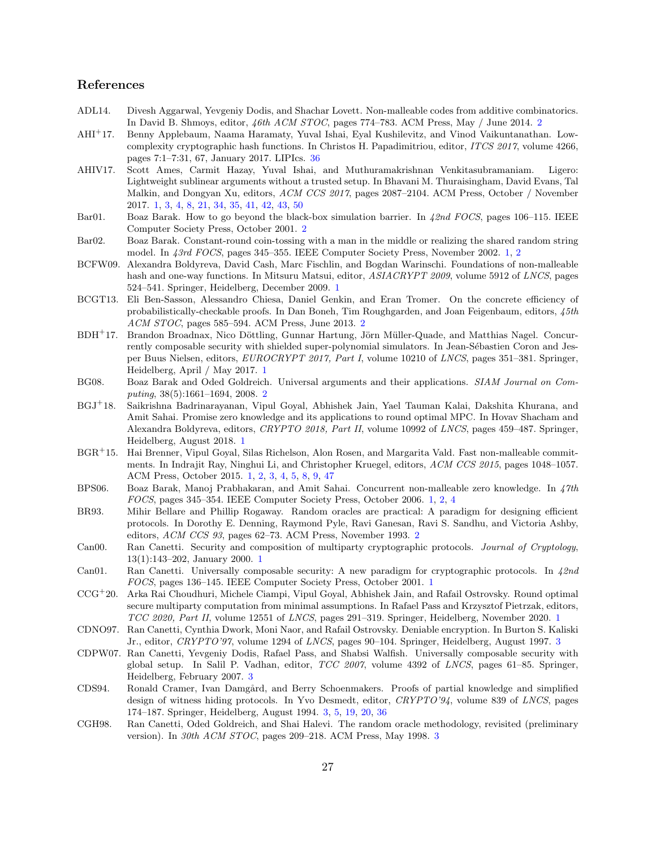# <span id="page-28-0"></span>References

- <span id="page-28-15"></span>ADL14. Divesh Aggarwal, Yevgeniy Dodis, and Shachar Lovett. Non-malleable codes from additive combinatorics. In David B. Shmoys, editor, 46th ACM STOC, pages 774–783. ACM Press, May / June 2014. [2](#page-3-2)
- <span id="page-28-20"></span>AHI<sup>+</sup>17. Benny Applebaum, Naama Haramaty, Yuval Ishai, Eyal Kushilevitz, and Vinod Vaikuntanathan. Lowcomplexity cryptographic hash functions. In Christos H. Papadimitriou, editor, ITCS 2017, volume 4266, pages 7:1–7:31, 67, January 2017. LIPIcs. [36](#page-37-4)
- <span id="page-28-10"></span>AHIV17. Scott Ames, Carmit Hazay, Yuval Ishai, and Muthuramakrishnan Venkitasubramaniam. Ligero: Lightweight sublinear arguments without a trusted setup. In Bhavani M. Thuraisingham, David Evans, Tal Malkin, and Dongyan Xu, editors, ACM CCS 2017, pages 2087–2104. ACM Press, October / November 2017. [1,](#page-2-2) [3,](#page-4-1) [4,](#page-5-2) [8,](#page-9-4) [21,](#page-22-1) [34,](#page-35-2) [35,](#page-36-2) [41,](#page-42-1) [42,](#page-43-2) [43,](#page-44-0) [50](#page-51-1)
- <span id="page-28-11"></span>Bar01. Boaz Barak. How to go beyond the black-box simulation barrier. In 42nd FOCS, pages 106–115. IEEE Computer Society Press, October 2001. [2](#page-3-2)
- <span id="page-28-6"></span>Bar02. Boaz Barak. Constant-round coin-tossing with a man in the middle or realizing the shared random string model. In 43rd FOCS, pages 345–355. IEEE Computer Society Press, November 2002. [1,](#page-2-2) [2](#page-3-2)
- <span id="page-28-8"></span>BCFW09. Alexandra Boldyreva, David Cash, Marc Fischlin, and Bogdan Warinschi. Foundations of non-malleable hash and one-way functions. In Mitsuru Matsui, editor, ASIACRYPT 2009, volume 5912 of LNCS, pages 524–541. Springer, Heidelberg, December 2009. [1](#page-2-2)
- <span id="page-28-13"></span>BCGT13. Eli Ben-Sasson, Alessandro Chiesa, Daniel Genkin, and Eran Tromer. On the concrete efficiency of probabilistically-checkable proofs. In Dan Boneh, Tim Roughgarden, and Joan Feigenbaum, editors, 45th ACM STOC, pages 585–594. ACM Press, June 2013. [2](#page-3-2)
- <span id="page-28-5"></span>BDH<sup>+</sup>17. Brandon Broadnax, Nico Döttling, Gunnar Hartung, Jörn Müller-Quade, and Matthias Nagel. Concurrently composable security with shielded super-polynomial simulators. In Jean-Sébastien Coron and Jesper Buus Nielsen, editors, EUROCRYPT 2017, Part I, volume 10210 of LNCS, pages 351–381. Springer, Heidelberg, April / May 2017. [1](#page-2-2)
- <span id="page-28-12"></span>BG08. Boaz Barak and Oded Goldreich. Universal arguments and their applications. SIAM Journal on Computing, 38(5):1661–1694, 2008. [2](#page-3-2)
- <span id="page-28-1"></span>BGJ<sup>+</sup>18. Saikrishna Badrinarayanan, Vipul Goyal, Abhishek Jain, Yael Tauman Kalai, Dakshita Khurana, and Amit Sahai. Promise zero knowledge and its applications to round optimal MPC. In Hovav Shacham and Alexandra Boldyreva, editors, CRYPTO 2018, Part II, volume 10992 of LNCS, pages 459–487. Springer, Heidelberg, August 2018. [1](#page-2-2)
- <span id="page-28-7"></span>BGR<sup>+</sup>15. Hai Brenner, Vipul Goyal, Silas Richelson, Alon Rosen, and Margarita Vald. Fast non-malleable commitments. In Indrajit Ray, Ninghui Li, and Christopher Kruegel, editors, ACM CCS 2015, pages 1048–1057. ACM Press, October 2015. [1,](#page-2-2) [2,](#page-3-2) [3,](#page-4-1) [4,](#page-5-2) [5,](#page-6-0) [8,](#page-9-4) [9,](#page-10-2) [47](#page-48-2)
- <span id="page-28-9"></span>BPS06. Boaz Barak, Manoj Prabhakaran, and Amit Sahai. Concurrent non-malleable zero knowledge. In 47th FOCS, pages 345–354. IEEE Computer Society Press, October 2006. [1,](#page-2-2) [2,](#page-3-2) [4](#page-5-2)
- <span id="page-28-14"></span>BR93. Mihir Bellare and Phillip Rogaway. Random oracles are practical: A paradigm for designing efficient protocols. In Dorothy E. Denning, Raymond Pyle, Ravi Ganesan, Ravi S. Sandhu, and Victoria Ashby, editors, ACM CCS 93, pages 6[2](#page-3-2)–73. ACM Press, November 1993. 2
- <span id="page-28-3"></span>Can00. Ran Canetti. Security and composition of multiparty cryptographic protocols. Journal of Cryptology, 13(1):143–202, January 2000. [1](#page-2-2)
- <span id="page-28-4"></span>Can01. Ran Canetti. Universally composable security: A new paradigm for cryptographic protocols. In 42nd FOCS, pages 136–145. IEEE Computer Society Press, October 2001. [1](#page-2-2)
- <span id="page-28-2"></span>CCG<sup>+</sup>20. Arka Rai Choudhuri, Michele Ciampi, Vipul Goyal, Abhishek Jain, and Rafail Ostrovsky. Round optimal secure multiparty computation from minimal assumptions. In Rafael Pass and Krzysztof Pietrzak, editors, TCC 2020, Part II, volume 12551 of LNCS, pages 291–319. Springer, Heidelberg, November 2020. [1](#page-2-2)
- <span id="page-28-17"></span>CDNO97. Ran Canetti, Cynthia Dwork, Moni Naor, and Rafail Ostrovsky. Deniable encryption. In Burton S. Kaliski Jr., editor, CRYPTO'97, volume 1294 of LNCS, pages 90–104. Springer, Heidelberg, August 1997. [3](#page-4-1)
- <span id="page-28-16"></span>CDPW07. Ran Canetti, Yevgeniy Dodis, Rafael Pass, and Shabsi Walfish. Universally composable security with global setup. In Salil P. Vadhan, editor, TCC 2007, volume 4392 of LNCS, pages 61–85. Springer, Heidelberg, February 2007. [3](#page-4-1)
- <span id="page-28-19"></span>CDS94. Ronald Cramer, Ivan Damgård, and Berry Schoenmakers. Proofs of partial knowledge and simplified design of witness hiding protocols. In Yvo Desmedt, editor, CRYPTO'94, volume 839 of LNCS, pages 174–187. Springer, Heidelberg, August 1994. [3,](#page-4-1) [5,](#page-6-0) [19,](#page-20-1) [20,](#page-21-6) [36](#page-37-4)
- <span id="page-28-18"></span>CGH98. Ran Canetti, Oded Goldreich, and Shai Halevi. The random oracle methodology, revisited (preliminary version). In 30th ACM STOC, pages 209–218. ACM Press, May 1998. [3](#page-4-1)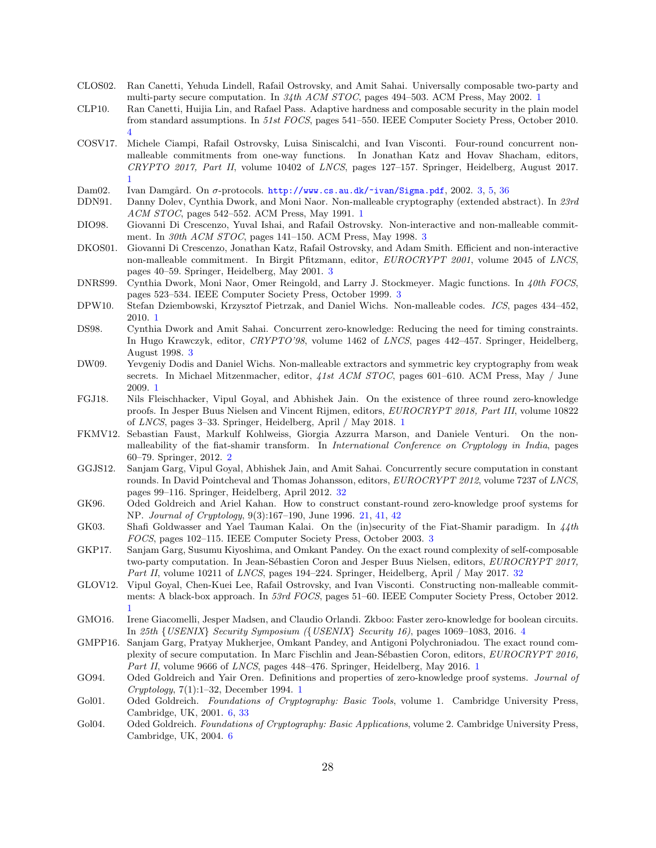- <span id="page-29-2"></span>CLOS02. Ran Canetti, Yehuda Lindell, Rafail Ostrovsky, and Amit Sahai. Universally composable two-party and multi-party secure computation. In 34th ACM STOC, pages 494–503. ACM Press, May 2002. [1](#page-2-2)
- <span id="page-29-17"></span>CLP10. Ran Canetti, Huijia Lin, and Rafael Pass. Adaptive hardness and composable security in the plain model from standard assumptions. In 51st FOCS, pages 541–550. IEEE Computer Society Press, October 2010. [4](#page-5-2)
- <span id="page-29-3"></span>COSV17. Michele Ciampi, Rafail Ostrovsky, Luisa Siniscalchi, and Ivan Visconti. Four-round concurrent nonmalleable commitments from one-way functions. In Jonathan Katz and Hovav Shacham, editors, CRYPTO 2017, Part II, volume 10402 of LNCS, pages 127–157. Springer, Heidelberg, August 2017. [1](#page-2-2)
- <span id="page-29-15"></span>Dam02. Ivan Damgård. On σ-protocols. <http://www.cs.au.dk/~ivan/Sigma.pdf>, 2002. [3,](#page-4-1) [5,](#page-6-0) [36](#page-37-4)<br>DDN91. Danny Dolev, Cynthia Dwork, and Moni Naor. Non-malleable cryptography (extended ab
- <span id="page-29-0"></span>Danny Dolev, Cynthia Dwork, and Moni Naor. Non-malleable cryptography (extended abstract). In 23rd ACM STOC, pages 542–552. ACM Press, May 1991. [1](#page-2-2)
- <span id="page-29-13"></span>DIO98. Giovanni Di Crescenzo, Yuval Ishai, and Rafail Ostrovsky. Non-interactive and non-malleable commit-ment. In [3](#page-4-1)0th  $ACM STOC$ , pages 141–150. ACM Press, May 1998. 3
- <span id="page-29-14"></span>DKOS01. Giovanni Di Crescenzo, Jonathan Katz, Rafail Ostrovsky, and Adam Smith. Efficient and non-interactive non-malleable commitment. In Birgit Pfitzmann, editor, EUROCRYPT 2001, volume 2045 of LNCS, pages 40–59. Springer, Heidelberg, May 2001. [3](#page-4-1)
- <span id="page-29-11"></span>DNRS99. Cynthia Dwork, Moni Naor, Omer Reingold, and Larry J. Stockmeyer. Magic functions. In 40th FOCS, pages 523–534. IEEE Computer Society Press, October 1999. [3](#page-4-1)
- <span id="page-29-8"></span>DPW10. Stefan Dziembowski, Krzysztof Pietrzak, and Daniel Wichs. Non-malleable codes. ICS, pages 434–452, 2010. [1](#page-2-2)
- <span id="page-29-10"></span>DS98. Cynthia Dwork and Amit Sahai. Concurrent zero-knowledge: Reducing the need for timing constraints. In Hugo Krawczyk, editor, CRYPTO'98, volume 1462 of LNCS, pages 442–457. Springer, Heidelberg, August 1998. [3](#page-4-1)
- <span id="page-29-7"></span>DW09. Yevgeniy Dodis and Daniel Wichs. Non-malleable extractors and symmetric key cryptography from weak secrets. In Michael Mitzenmacher, editor,  $41st$  ACM STOC, pages 601–610. ACM Press, May / June 2009. [1](#page-2-2)
- <span id="page-29-6"></span>FGJ18. Nils Fleischhacker, Vipul Goyal, and Abhishek Jain. On the existence of three round zero-knowledge proofs. In Jesper Buus Nielsen and Vincent Rijmen, editors, EUROCRYPT 2018, Part III, volume 10822 of LNCS, pages 3–33. Springer, Heidelberg, April / May 2018. [1](#page-2-2)
- <span id="page-29-9"></span>FKMV12. Sebastian Faust, Markulf Kohlweiss, Giorgia Azzurra Marson, and Daniele Venturi. On the nonmalleability of the fiat-shamir transform. In International Conference on Cryptology in India, pages 60–79. Springer, 2012. [2](#page-3-2)
- <span id="page-29-21"></span>GGJS12. Sanjam Garg, Vipul Goyal, Abhishek Jain, and Amit Sahai. Concurrently secure computation in constant rounds. In David Pointcheval and Thomas Johansson, editors, EUROCRYPT 2012, volume 7237 of LNCS, pages 99–116. Springer, Heidelberg, April 2012. [32](#page-33-5)
- <span id="page-29-20"></span>GK96. Oded Goldreich and Ariel Kahan. How to construct constant-round zero-knowledge proof systems for NP. Journal of Cryptology, 9(3):167–190, June 1996. [21,](#page-22-1) [41,](#page-42-1) [42](#page-43-2)
- <span id="page-29-12"></span>GK03. Shafi Goldwasser and Yael Tauman Kalai. On the (in)security of the Fiat-Shamir paradigm. In 44th FOCS, pages 102–115. IEEE Computer Society Press, October 2003. [3](#page-4-1)
- <span id="page-29-22"></span>GKP17. Sanjam Garg, Susumu Kiyoshima, and Omkant Pandey. On the exact round complexity of self-composable two-party computation. In Jean-Sébastien Coron and Jesper Buus Nielsen, editors, *EUROCRYPT 2017*, Part II, volume 10211 of LNCS, pages 194–224. Springer, Heidelberg, April / May 2017. [32](#page-33-5)
- <span id="page-29-4"></span>GLOV12. Vipul Goyal, Chen-Kuei Lee, Rafail Ostrovsky, and Ivan Visconti. Constructing non-malleable commitments: A black-box approach. In 53rd FOCS, pages 51–60. IEEE Computer Society Press, October 2012. [1](#page-2-2)
- <span id="page-29-16"></span>GMO16. Irene Giacomelli, Jesper Madsen, and Claudio Orlandi. Zkboo: Faster zero-knowledge for boolean circuits. In 25th {USENIX} Security Symposium ({USENIX} Security 16), pages 1069–1083, 2016. [4](#page-5-2)
- <span id="page-29-1"></span>GMPP16. Sanjam Garg, Pratyay Mukherjee, Omkant Pandey, and Antigoni Polychroniadou. The exact round complexity of secure computation. In Marc Fischlin and Jean-Sébastien Coron, editors, EUROCRYPT 2016, Part II, volume 9666 of LNCS, pages 448–476. Springer, Heidelberg, May 20[1](#page-2-2)6. 1
- <span id="page-29-5"></span>GO94. Oded Goldreich and Yair Oren. Definitions and properties of zero-knowledge proof systems. Journal of Cryptology, 7(1):1–32, December 1994. [1](#page-2-2)
- <span id="page-29-18"></span>Gol01. Oded Goldreich. Foundations of Cryptography: Basic Tools, volume 1. Cambridge University Press, Cambridge, UK, 2001. [6,](#page-7-2) [33](#page-34-1)
- <span id="page-29-19"></span>Gol04. Oded Goldreich. Foundations of Cryptography: Basic Applications, volume 2. Cambridge University Press, Cambridge, UK, 2004. [6](#page-7-2)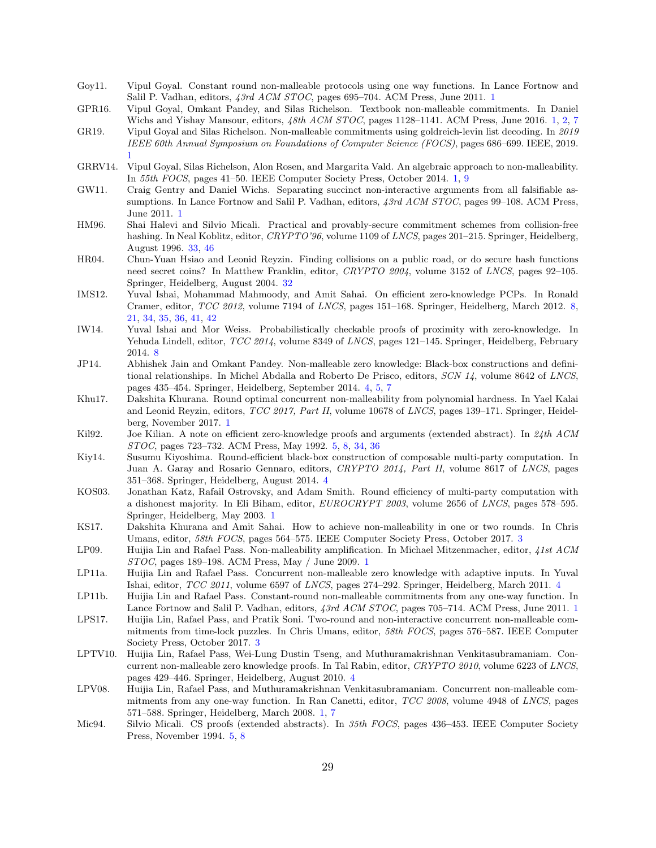- <span id="page-30-1"></span>Goy11. Vipul Goyal. Constant round non-malleable protocols using one way functions. In Lance Fortnow and Salil P. Vadhan, editors, 43rd ACM STOC, pages 695–704. ACM Press, June 2011. [1](#page-2-2)
- <span id="page-30-8"></span><span id="page-30-7"></span>GPR16. Vipul Goyal, Omkant Pandey, and Silas Richelson. Textbook non-malleable commitments. In Daniel Wichs and Yishay Mansour, editors, 48th ACM STOC, pages 1128–1141. ACM Press, June 2016. [1,](#page-2-2) [2,](#page-3-2) [7](#page-8-1) GR19. Vipul Goyal and Silas Richelson. Non-malleable commitments using goldreich-levin list decoding. In 2019 IEEE 60th Annual Symposium on Foundations of Computer Science (FOCS), pages 686–699. IEEE, 2019. [1](#page-2-2)
- <span id="page-30-6"></span>GRRV14. Vipul Goyal, Silas Richelson, Alon Rosen, and Margarita Vald. An algebraic approach to non-malleability. In 55th FOCS, pages 41–50. IEEE Computer Society Press, October 2014. [1,](#page-2-2) [9](#page-10-2)
- <span id="page-30-9"></span>GW11. Craig Gentry and Daniel Wichs. Separating succinct non-interactive arguments from all falsifiable assumptions. In Lance Fortnow and Salil P. Vadhan, editors, 43rd ACM STOC, pages 99-108. ACM Press, June 2011. [1](#page-2-2)
- <span id="page-30-21"></span>HM96. Shai Halevi and Silvio Micali. Practical and provably-secure commitment schemes from collision-free hashing. In Neal Koblitz, editor, CRYPTO'96, volume 1109 of LNCS, pages 201–215. Springer, Heidelberg, August 1996. [33,](#page-34-1) [46](#page-47-2)
- <span id="page-30-20"></span>HR04. Chun-Yuan Hsiao and Leonid Reyzin. Finding collisions on a public road, or do secure hash functions need secret coins? In Matthew Franklin, editor, CRYPTO 2004, volume 3152 of LNCS, pages 92-105. Springer, Heidelberg, August 2004. [32](#page-33-5)
- <span id="page-30-18"></span>IMS12. Yuval Ishai, Mohammad Mahmoody, and Amit Sahai. On efficient zero-knowledge PCPs. In Ronald Cramer, editor, TCC 2012, volume 7194 of LNCS, pages 151–168. Springer, Heidelberg, March 2012. [8,](#page-9-4) [21,](#page-22-1) [34,](#page-35-2) [35,](#page-36-2) [36,](#page-37-4) [41,](#page-42-1) [42](#page-43-2)
- <span id="page-30-19"></span>IW14. Yuval Ishai and Mor Weiss. Probabilistically checkable proofs of proximity with zero-knowledge. In Yehuda Lindell, editor, TCC 2014, volume 8349 of LNCS, pages 121–145. Springer, Heidelberg, February 2014. [8](#page-9-4)
- <span id="page-30-14"></span>JP14. Abhishek Jain and Omkant Pandey. Non-malleable zero knowledge: Black-box constructions and definitional relationships. In Michel Abdalla and Roberto De Prisco, editors,  $SCN$   $14$ , volume 8642 of LNCS, pages 435–454. Springer, Heidelberg, September 2014. [4,](#page-5-2) [5,](#page-6-0) [7](#page-8-1)
- <span id="page-30-5"></span>Khu17. Dakshita Khurana. Round optimal concurrent non-malleability from polynomial hardness. In Yael Kalai and Leonid Reyzin, editors, TCC 2017, Part II, volume 10678 of LNCS, pages 139-171. Springer, Heidelberg, November 2017. [1](#page-2-2)
- <span id="page-30-16"></span>Kil92. Joe Kilian. A note on efficient zero-knowledge proofs and arguments (extended abstract). In 24th ACM STOC, pages 723–732. ACM Press, May 1992. [5,](#page-6-0) [8,](#page-9-4) [34,](#page-35-2) [36](#page-37-4)
- <span id="page-30-15"></span>Kiy14. Susumu Kiyoshima. Round-efficient black-box construction of composable multi-party computation. In Juan A. Garay and Rosario Gennaro, editors, CRYPTO 2014, Part II, volume 8617 of LNCS, pages 351–368. Springer, Heidelberg, August 2014. [4](#page-5-2)
- <span id="page-30-0"></span>KOS03. Jonathan Katz, Rafail Ostrovsky, and Adam Smith. Round efficiency of multi-party computation with a dishonest majority. In Eli Biham, editor, EUROCRYPT 2003, volume 2656 of LNCS, pages 578–595. Springer, Heidelberg, May 2003. [1](#page-2-2)
- <span id="page-30-11"></span>KS17. Dakshita Khurana and Amit Sahai. How to achieve non-malleability in one or two rounds. In Chris Umans, editor, 58th FOCS, pages 564–575. IEEE Computer Society Press, October 2017. [3](#page-4-1)
- <span id="page-30-3"></span>LP09. Huijia Lin and Rafael Pass. Non-malleability amplification. In Michael Mitzenmacher, editor, 41st ACM STOC, pages 189–198. ACM Press, May / June 2009. [1](#page-2-2)
- <span id="page-30-13"></span>LP11a. Huijia Lin and Rafael Pass. Concurrent non-malleable zero knowledge with adaptive inputs. In Yuval Ishai, editor, TCC 2011, volume 6597 of LNCS, pages 274–292. Springer, Heidelberg, March 2011. [4](#page-5-2)
- <span id="page-30-4"></span>LP11b. Huijia Lin and Rafael Pass. Constant-round non-malleable commitments from any one-way function. In Lance Fortnow and Salil P. Vadhan, editors, 43rd ACM STOC, pages 705–7[1](#page-2-2)4. ACM Press, June 2011. 1
- <span id="page-30-10"></span>LPS17. Huijia Lin, Rafael Pass, and Pratik Soni. Two-round and non-interactive concurrent non-malleable commitments from time-lock puzzles. In Chris Umans, editor, 58th FOCS, pages 576–587. IEEE Computer Society Press, October 2017. [3](#page-4-1)
- <span id="page-30-12"></span>LPTV10. Huijia Lin, Rafael Pass, Wei-Lung Dustin Tseng, and Muthuramakrishnan Venkitasubramaniam. Concurrent non-malleable zero knowledge proofs. In Tal Rabin, editor, CRYPTO 2010, volume 6223 of LNCS, pages 429–446. Springer, Heidelberg, August 2010. [4](#page-5-2)
- <span id="page-30-2"></span>LPV08. Huijia Lin, Rafael Pass, and Muthuramakrishnan Venkitasubramaniam. Concurrent non-malleable commitments from any one-way function. In Ran Canetti, editor, TCC 2008, volume 4948 of LNCS, pages 571–588. Springer, Heidelberg, March 2008. [1,](#page-2-2) [7](#page-8-1)
- <span id="page-30-17"></span>Mic94. Silvio Micali. CS proofs (extended abstracts). In 35th FOCS, pages 436-453. IEEE Computer Society Press, November 1994. [5,](#page-6-0) [8](#page-9-4)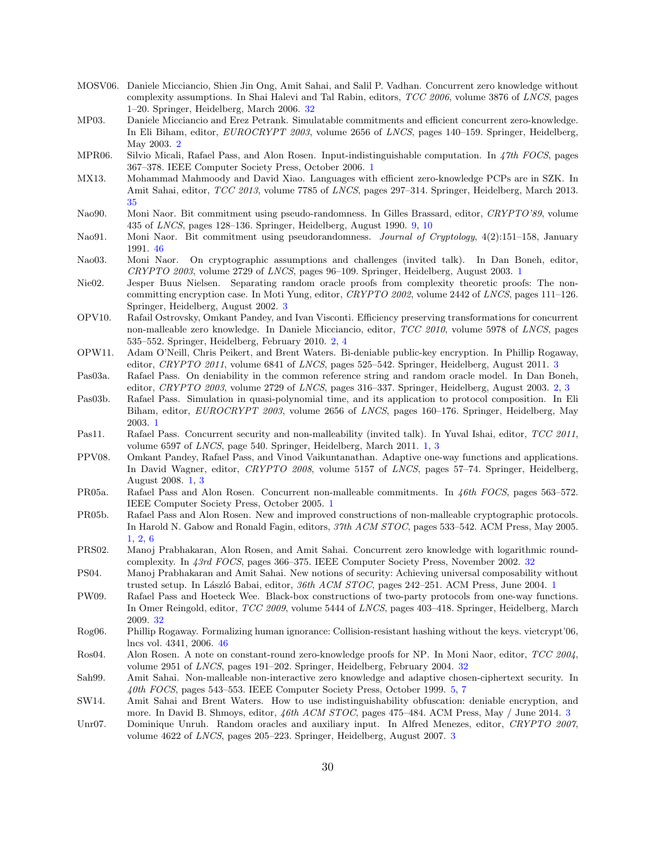- <span id="page-31-19"></span>MOSV06. Daniele Micciancio, Shien Jin Ong, Amit Sahai, and Salil P. Vadhan. Concurrent zero knowledge without complexity assumptions. In Shai Halevi and Tal Rabin, editors, TCC 2006, volume 3876 of LNCS, pages 1–20. Springer, Heidelberg, March 2006. [32](#page-33-5)
- <span id="page-31-9"></span>MP03. Daniele Micciancio and Erez Petrank. Simulatable commitments and efficient concurrent zero-knowledge. In Eli Biham, editor, EUROCRYPT 2003, volume 2656 of LNCS, pages 140–159. Springer, Heidelberg, May 2003. [2](#page-3-2)
- <span id="page-31-3"></span>MPR06. Silvio Micali, Rafael Pass, and Alon Rosen. Input-indistinguishable computation. In 47th FOCS, pages 367–378. IEEE Computer Society Press, October 2006. [1](#page-2-2)
- <span id="page-31-21"></span>MX13. Mohammad Mahmoody and David Xiao. Languages with efficient zero-knowledge PCPs are in SZK. In Amit Sahai, editor, TCC 2013, volume 7785 of LNCS, pages 297-314. Springer, Heidelberg, March 2013. [35](#page-36-2)
- <span id="page-31-16"></span>Nao90. Moni Naor. Bit commitment using pseudo-randomness. In Gilles Brassard, editor, CRYPTO'89, volume 435 of LNCS, pages 128–136. Springer, Heidelberg, August 1990. [9,](#page-10-2) [10](#page-11-3)
- <span id="page-31-22"></span>Nao91. Moni Naor. Bit commitment using pseudorandomness. Journal of Cryptology, 4(2):151–158, January 1991. [46](#page-47-2)
- <span id="page-31-5"></span>Nao03. Moni Naor. On cryptographic assumptions and challenges (invited talk). In Dan Boneh, editor, CRYPTO 2003, volume 2729 of LNCS, pages 96–109. Springer, Heidelberg, August 2003. [1](#page-2-2)
- <span id="page-31-14"></span>Nie02. Jesper Buus Nielsen. Separating random oracle proofs from complexity theoretic proofs: The noncommitting encryption case. In Moti Yung, editor, CRYPTO 2002, volume 2442 of LNCS, pages 111–126. Springer, Heidelberg, August 2002. [3](#page-4-1)
- <span id="page-31-8"></span>OPV10. Rafail Ostrovsky, Omkant Pandey, and Ivan Visconti. Efficiency preserving transformations for concurrent non-malleable zero knowledge. In Daniele Micciancio, editor, TCC 2010, volume 5978 of LNCS, pages 535–552. Springer, Heidelberg, February 2010. [2,](#page-3-2) [4](#page-5-2)
- <span id="page-31-12"></span>OPW11. Adam O'Neill, Chris Peikert, and Brent Waters. Bi-deniable public-key encryption. In Phillip Rogaway, editor, CRYPTO 2011, volume 6841 of LNCS, pages 525–542. Springer, Heidelberg, August 2011. [3](#page-4-1)
- <span id="page-31-10"></span>Pas03a. Rafael Pass. On deniability in the common reference string and random oracle model. In Dan Boneh, editor, CRYPTO 2003, volume 2729 of LNCS, pages 316–337. Springer, Heidelberg, August 2003. [2,](#page-3-2) [3](#page-4-1)
- <span id="page-31-1"></span>Pas03b. Rafael Pass. Simulation in quasi-polynomial time, and its application to protocol composition. In Eli Biham, editor, EUROCRYPT 2003, volume 2656 of LNCS, pages 160–176. Springer, Heidelberg, May 2003. [1](#page-2-2)
- <span id="page-31-6"></span>Pas11. Rafael Pass. Concurrent security and non-malleability (invited talk). In Yuval Ishai, editor, TCC 2011, volume 6597 of LNCS, page 540. Springer, Heidelberg, March 2011. [1,](#page-2-2) [3](#page-4-1)
- <span id="page-31-0"></span>PPV08. Omkant Pandey, Rafael Pass, and Vinod Vaikuntanathan. Adaptive one-way functions and applications. In David Wagner, editor, CRYPTO 2008, volume 5157 of LNCS, pages 57-74. Springer, Heidelberg, August 2008. [1,](#page-2-2) [3](#page-4-1)
- <span id="page-31-7"></span>PR05a. Rafael Pass and Alon Rosen. Concurrent non-malleable commitments. In 46th FOCS, pages 563–572. IEEE Computer Society Press, October 2005. [1](#page-2-2)
- <span id="page-31-4"></span>PR05b. Rafael Pass and Alon Rosen. New and improved constructions of non-malleable cryptographic protocols. In Harold N. Gabow and Ronald Fagin, editors, 37th ACM STOC, pages 533–542. ACM Press, May 2005. [1,](#page-2-2) [2,](#page-3-2) [6](#page-7-2)
- <span id="page-31-17"></span>PRS02. Manoj Prabhakaran, Alon Rosen, and Amit Sahai. Concurrent zero knowledge with logarithmic roundcomplexity. In 43rd FOCS, pages 366–375. IEEE Computer Society Press, November 2002. [32](#page-33-5)
- <span id="page-31-2"></span>PS04. Manoj Prabhakaran and Amit Sahai. New notions of security: Achieving universal composability without trusted setup. In László Babai, editor, 36th ACM STOC, pages 242–25[1](#page-2-2). ACM Press, June 2004. 1
- <span id="page-31-20"></span>PW09. Rafael Pass and Hoeteck Wee. Black-box constructions of two-party protocols from one-way functions. In Omer Reingold, editor, TCC 2009, volume 5444 of LNCS, pages 403–418. Springer, Heidelberg, March 2009. [32](#page-33-5)
- <span id="page-31-23"></span>Rog06. Phillip Rogaway. Formalizing human ignorance: Collision-resistant hashing without the keys. vietcrypt'06, lncs vol. 4341, 2006. [46](#page-47-2)
- <span id="page-31-18"></span>Ros04. Alon Rosen. A note on constant-round zero-knowledge proofs for NP. In Moni Naor, editor, TCC 2004, volume 2951 of LNCS, pages 191-202. Springer, Heidelberg, February 2004. [32](#page-33-5)
- <span id="page-31-15"></span>Sah99. Amit Sahai. Non-malleable non-interactive zero knowledge and adaptive chosen-ciphertext security. In 40th FOCS, pages 543–553. IEEE Computer Society Press, October 1999. [5,](#page-6-0) [7](#page-8-1)
- <span id="page-31-13"></span>SW14. Amit Sahai and Brent Waters. How to use indistinguishability obfuscation: deniable encryption, and more. In David B. Shmoys, editor, 46th ACM STOC, pages 475–484. ACM Press, May / June 2014. [3](#page-4-1)
- <span id="page-31-11"></span>Unr07. Dominique Unruh. Random oracles and auxiliary input. In Alfred Menezes, editor, CRYPTO 2007, volume 4622 of LNCS, pages 205–223. Springer, Heidelberg, August 2007. [3](#page-4-1)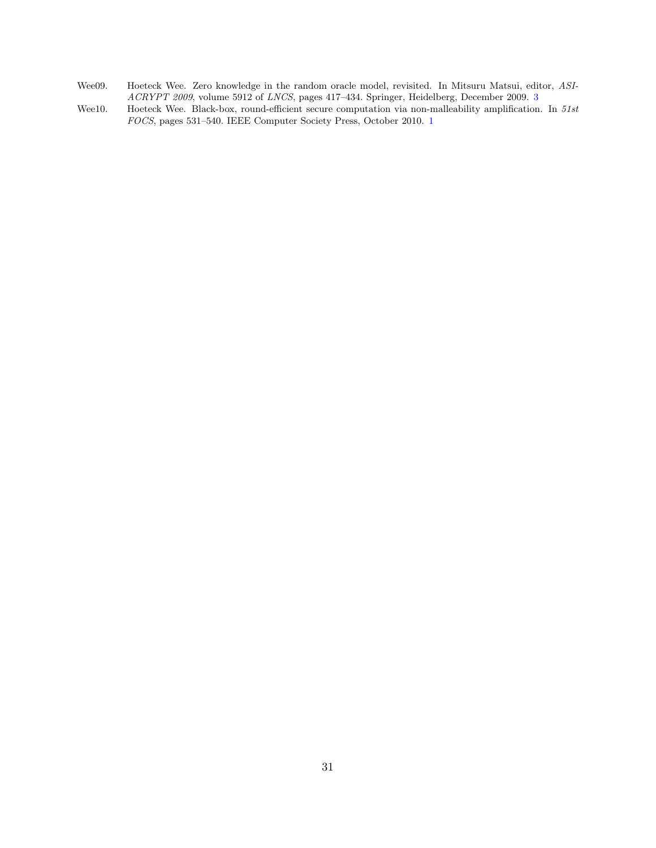- <span id="page-32-1"></span>Wee09. Hoeteck Wee. Zero knowledge in the random oracle model, revisited. In Mitsuru Matsui, editor, ASI-ACRYPT 2009, volume 5912 of LNCS, pages 417–434. Springer, Heidelberg, December 2009. [3](#page-4-1)
- <span id="page-32-0"></span>Wee10. Hoeteck Wee. Black-box, round-efficient secure computation via non-malleability amplification. In 51st FOCS, pages 531–540. IEEE Computer Society Press, October 2010. [1](#page-2-2)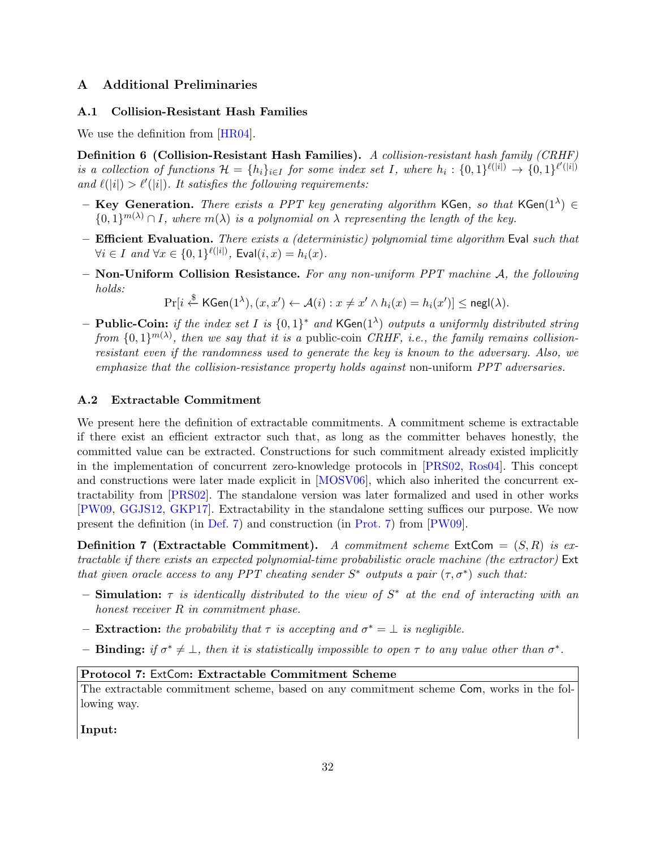# <span id="page-33-5"></span><span id="page-33-0"></span>A Additional Preliminaries

# <span id="page-33-6"></span><span id="page-33-1"></span>A.1 Collision-Resistant Hash Families

We use the definition from [\[HR04\]](#page-30-20).

Definition 6 (Collision-Resistant Hash Families). A collision-resistant hash family (CRHF) is a collection of functions  $\mathcal{H} = \{h_i\}_{i \in I}$  for some index set I, where  $h_i: \{0,1\}^{\ell(|i|)} \to \{0,1\}^{\ell(|i|)}$ and  $\ell(|i|) > \ell'(|i|)$ . It satisfies the following requirements:

- Key Generation. There exists a PPT key generating algorithm KGen, so that KGen(1<sup> $\lambda$ </sup>)  $\in$  ${0,1}^{m(\lambda)} \cap I$ , where  $m(\lambda)$  is a polynomial on  $\lambda$  representing the length of the key.
- Efficient Evaluation. There exists a (deterministic) polynomial time algorithm Eval such that  $\forall i \in I \ and \ \forall x \in \{0,1\}^{\ell(|i|)}, \ \mathsf{Eval}(i,x) = h_i(x).$
- $-$  Non-Uniform Collision Resistance. For any non-uniform PPT machine A, the following holds:

<span id="page-33-4"></span> $\Pr[i \stackrel{\$}{\leftarrow} \mathsf{KGen}(1^{\lambda}), (x, x') \leftarrow \mathcal{A}(i): x \neq x' \land h_i(x) = h_i(x')] \leq {\mathsf{negl}}(\lambda).$ 

- Public-Coin: if the index set I is  $\{0,1\}^*$  and KGen $(1^{\lambda})$  outputs a uniformly distributed string from  $\{0,1\}^{m(\lambda)}$ , then we say that it is a public-coin CRHF, i.e., the family remains collisionresistant even if the randomness used to generate the key is known to the adversary. Also, we emphasize that the collision-resistance property holds against non-uniform PPT adversaries.

#### <span id="page-33-2"></span>A.2 Extractable Commitment

We present here the definition of extractable commitments. A commitment scheme is extractable if there exist an efficient extractor such that, as long as the committer behaves honestly, the committed value can be extracted. Constructions for such commitment already existed implicitly in the implementation of concurrent zero-knowledge protocols in [\[PRS02,](#page-31-17) [Ros04\]](#page-31-18). This concept and constructions were later made explicit in [\[MOSV06\]](#page-31-19), which also inherited the concurrent extractability from [\[PRS02\]](#page-31-17). The standalone version was later formalized and used in other works [\[PW09,](#page-31-20) [GGJS12,](#page-29-21) [GKP17\]](#page-29-22). Extractability in the standalone setting suffices our purpose. We now present the definition (in [Def. 7\)](#page-33-4) and construction (in [Prot. 7\)](#page-33-3) from [\[PW09\]](#page-31-20).

**Definition 7 (Extractable Commitment).** A commitment scheme ExtCom  $= (S, R)$  is extractable if there exists an expected polynomial-time probabilistic oracle machine (the extractor) Ext that given oracle access to any PPT cheating sender  $S^*$  outputs a pair  $(\tau, \sigma^*)$  such that:

- $-$  Simulation:  $\tau$  is identically distributed to the view of  $S^*$  at the end of interacting with an honest receiver R in commitment phase.
- **Extraction:** the probability that  $\tau$  is accepting and  $\sigma^* = \bot$  is negligible.
- **Binding:** if  $\sigma^* \neq \bot$ , then it is statistically impossible to open  $\tau$  to any value other than  $\sigma^*$ .

#### <span id="page-33-3"></span>Protocol 7: ExtCom: Extractable Commitment Scheme

The extractable commitment scheme, based on any commitment scheme Com, works in the following way.

Input: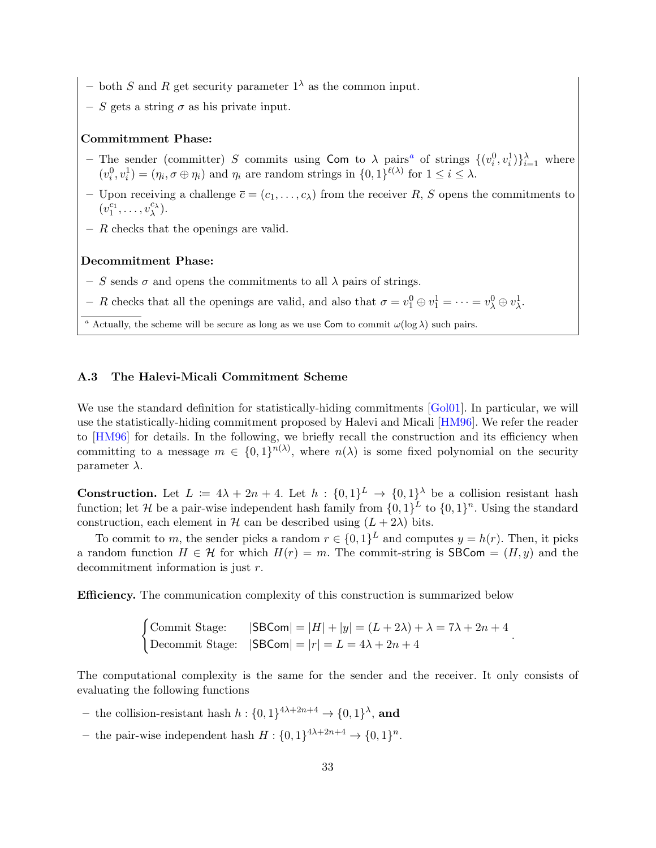- <span id="page-34-1"></span>– both S and R get security parameter  $1^{\lambda}$  as the common input.
- S gets a string  $\sigma$  as his private input.

### Commitmment Phase:

- The sender (committer) S commits using Com to  $\lambda$  $\lambda$  $\lambda$  pairs<sup>a</sup> of strings  $\{(v_i^0, v_i^1)\}_{i=1}^{\lambda}$  where  $(v_i^0, v_i^1) = (\eta_i, \sigma \oplus \eta_i)$  and  $\eta_i$  are random strings in  $\{0, 1\}^{\ell(\lambda)}$  for  $1 \le i \le \lambda$ .
- Upon receiving a challenge  $\bar{c} = (c_1, \ldots, c_\lambda)$  from the receiver R, S opens the commitments to  $(v_1^{c_1},\ldots,v_\lambda^{c_\lambda}).$
- $R$  checks that the openings are valid.

#### Decommitment Phase:

- S sends  $\sigma$  and opens the commitments to all  $\lambda$  pairs of strings.
- R checks that all the openings are valid, and also that  $\sigma = v_1^0 \oplus v_1^1 = \cdots = v_\lambda^0 \oplus v_\lambda^1$ .
- <span id="page-34-2"></span><sup>a</sup> Actually, the scheme will be secure as long as we use Com to commit  $\omega(\log \lambda)$  such pairs.

## <span id="page-34-0"></span>A.3 The Halevi-Micali Commitment Scheme

We use the standard definition for statistically-hiding commitments [\[Gol01\]](#page-29-18). In particular, we will use the statistically-hiding commitment proposed by Halevi and Micali [\[HM96\]](#page-30-21). We refer the reader to [\[HM96\]](#page-30-21) for details. In the following, we briefly recall the construction and its efficiency when committing to a message  $m \in \{0,1\}^{n(\lambda)}$ , where  $n(\lambda)$  is some fixed polynomial on the security parameter  $\lambda$ .

**Construction.** Let  $L := 4\lambda + 2n + 4$ . Let  $h : \{0,1\}^L \to \{0,1\}^{\lambda}$  be a collision resistant hash function; let H be a pair-wise independent hash family from  $\{0,1\}^L$  to  $\{0,1\}^n$ . Using the standard construction, each element in H can be described using  $(L + 2\lambda)$  bits.

To commit to m, the sender picks a random  $r \in \{0,1\}^L$  and computes  $y = h(r)$ . Then, it picks a random function  $H \in \mathcal{H}$  for which  $H(r) = m$ . The commit-string is SBCom =  $(H, y)$  and the decommitment information is just r.

Efficiency. The communication complexity of this construction is summarized below

 $\int$ Commit Stage:  $|SBCom| = |H| + |y| = (L + 2\lambda) + \lambda = 7\lambda + 2n + 4$ Decommit Stage:  $|SBCom| = |r| = L = 4\lambda + 2n + 4$ 

.

The computational complexity is the same for the sender and the receiver. It only consists of evaluating the following functions

- the collision-resistant hash  $h: \{0,1\}^{4\lambda+2n+4} \to \{0,1\}^{\lambda}$ , and
- the pair-wise independent hash  $H: \{0,1\}^{4\lambda+2n+4} \to \{0,1\}^n$ .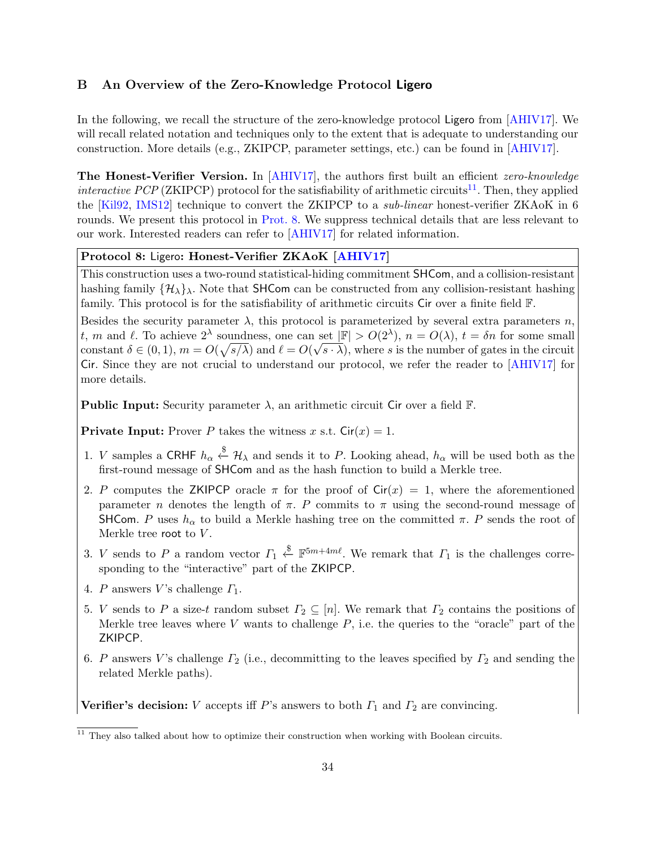# <span id="page-35-2"></span><span id="page-35-0"></span>B An Overview of the Zero-Knowledge Protocol Ligero

In the following, we recall the structure of the zero-knowledge protocol Ligero from [\[AHIV17\]](#page-28-10). We will recall related notation and techniques only to the extent that is adequate to understanding our construction. More details (e.g., ZKIPCP, parameter settings, etc.) can be found in [\[AHIV17\]](#page-28-10).

The Honest-Verifier Version. In [\[AHIV17\]](#page-28-10), the authors first built an efficient *zero-knowledge interactive PCP* (ZKIPCP) protocol for the satisfiability of arithmetic circuits<sup>[11](#page-35-3)</sup>. Then, they applied the [\[Kil92,](#page-30-16) [IMS12\]](#page-30-18) technique to convert the ZKIPCP to a sub-linear honest-verifier ZKAoK in 6 rounds. We present this protocol in [Prot. 8.](#page-35-1) We suppress technical details that are less relevant to our work. Interested readers can refer to [\[AHIV17\]](#page-28-10) for related information.

#### <span id="page-35-1"></span>Protocol 8: Ligero: Honest-Verifier ZKAoK [\[AHIV17\]](#page-28-10)

This construction uses a two-round statistical-hiding commitment SHCom, and a collision-resistant hashing family  $\{\mathcal{H}_{\lambda}\}\$ . Note that SHCom can be constructed from any collision-resistant hashing family. This protocol is for the satisfiability of arithmetic circuits Cir over a finite field  $\mathbb{F}$ .

Besides the security parameter  $\lambda$ , this protocol is parameterized by several extra parameters n, t, m and l. To achieve  $2^{\lambda}$  soundness, one can set  $|\mathbb{F}| > O(2^{\lambda}), n = O(\lambda), t = \delta n$  for some small constant  $\delta \in (0,1), m = O(\sqrt{s/\lambda})$  and  $\ell = O(\sqrt{s \cdot \lambda})$ , where s is the number of gates in the circuit Cir. Since they are not crucial to understand our protocol, we refer the reader to [\[AHIV17\]](#page-28-10) for more details.

**Public Input:** Security parameter  $\lambda$ , an arithmetic circuit Cir over a field  $\mathbb{F}$ .

**Private Input:** Prover P takes the witness x s.t.  $\text{Cir}(x) = 1$ .

- <span id="page-35-4"></span>1. V samples a CRHF  $h_{\alpha} \stackrel{\$}{\leftarrow} \mathcal{H}_{\lambda}$  and sends it to P. Looking ahead,  $h_{\alpha}$  will be used both as the first-round message of SHCom and as the hash function to build a Merkle tree.
- 2. P computes the ZKIPCP oracle  $\pi$  for the proof of Cir(x) = 1, where the aforementioned parameter n denotes the length of  $\pi$ . P commits to  $\pi$  using the second-round message of SHCom. P uses  $h_{\alpha}$  to build a Merkle hashing tree on the committed  $\pi$ . P sends the root of Merkle tree root to  $V$ .
- 3. V sends to P a random vector  $\Gamma_1 \stackrel{\$}{\leftarrow} \mathbb{F}^{5m+4m\ell}$ . We remark that  $\Gamma_1$  is the challenges corresponding to the "interactive" part of the ZKIPCP.
- 4. P answers V's challenge  $\Gamma_1$ .
- 5. V sends to P a size-t random subset  $\Gamma_2 \subseteq [n]$ . We remark that  $\Gamma_2$  contains the positions of Merkle tree leaves where V wants to challenge  $P$ , i.e. the queries to the "oracle" part of the ZKIPCP.
- 6. P answers V's challenge  $\Gamma_2$  (i.e., decommitting to the leaves specified by  $\Gamma_2$  and sending the related Merkle paths).

**Verifier's decision:** V accepts iff P's answers to both  $\Gamma_1$  and  $\Gamma_2$  are convincing.

<span id="page-35-3"></span> $11$  They also talked about how to optimize their construction when working with Boolean circuits.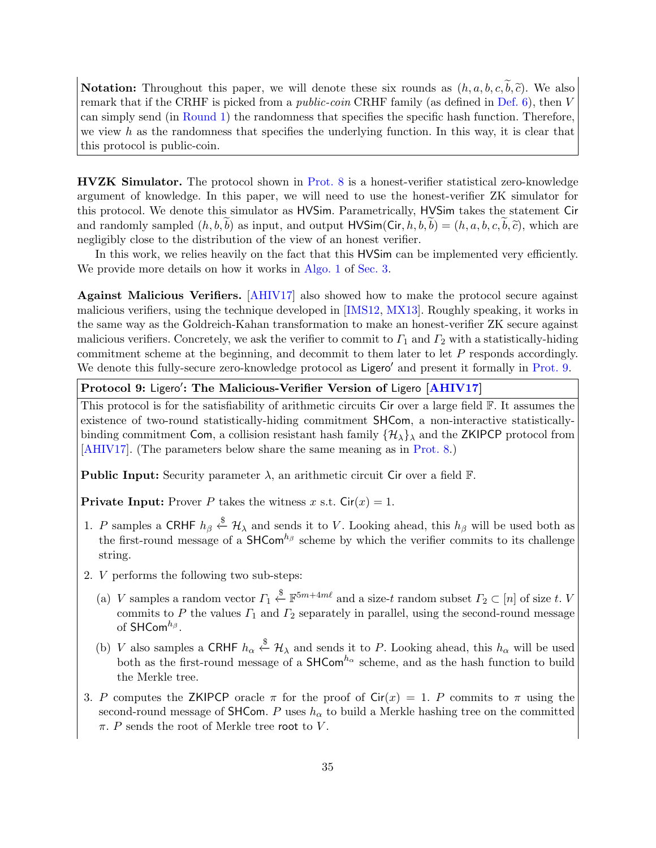<span id="page-36-2"></span>**Notation:** Throughout this paper, we will denote these six rounds as  $(h, a, b, c, \tilde{b}, \tilde{c})$ . We also remark that if the CRHF is picked from a *public-coin* CRHF family (as defined in [Def. 6\)](#page-33-6), then V can simply send (in [Round 1\)](#page-35-4) the randomness that specifies the specific hash function. Therefore, we view h as the randomness that specifies the underlying function. In this way, it is clear that this protocol is public-coin.

HVZK Simulator. The protocol shown in [Prot. 8](#page-35-1) is a honest-verifier statistical zero-knowledge argument of knowledge. In this paper, we will need to use the honest-verifier ZK simulator for this protocol. We denote this simulator as HVSim. Parametrically, HVSim takes the statement Cir and randomly sampled  $(h, b, b)$  as input, and output HVSim(Cir, h, b, b) =  $(h, a, b, c, b, \tilde{c})$ , which are negligibly close to the distribution of the view of an honest verifier.

In this work, we relies heavily on the fact that this HVSim can be implemented very efficiently. We provide more details on how it works in [Algo. 1](#page-9-2) of [Sec. 3.](#page-9-0)

Against Malicious Verifiers. [\[AHIV17\]](#page-28-10) also showed how to make the protocol secure against malicious verifiers, using the technique developed in [\[IMS12,](#page-30-18) [MX13\]](#page-31-21). Roughly speaking, it works in the same way as the Goldreich-Kahan transformation to make an honest-verifier ZK secure against malicious verifiers. Concretely, we ask the verifier to commit to  $\Gamma_1$  and  $\Gamma_2$  with a statistically-hiding commitment scheme at the beginning, and decommit to them later to let P responds accordingly. We denote this fully-secure zero-knowledge protocol as Ligero' and present it formally in [Prot. 9.](#page-36-0)

<span id="page-36-0"></span>Protocol 9: Ligero': The Malicious-Verifier Version of Ligero [\[AHIV17\]](#page-28-10)

This protocol is for the satisfiability of arithmetic circuits Cir over a large field F. It assumes the existence of two-round statistically-hiding commitment SHCom, a non-interactive statisticallybinding commitment Com, a collision resistant hash family  $\{\mathcal{H}_{\lambda}\}_{\lambda}$  and the ZKIPCP protocol from [\[AHIV17\]](#page-28-10). (The parameters below share the same meaning as in [Prot. 8.](#page-35-1))

**Public Input:** Security parameter  $\lambda$ , an arithmetic circuit Cir over a field  $\mathbb{F}$ .

**Private Input:** Prover P takes the witness x s.t.  $\text{Cir}(x) = 1$ .

- 1. P samples a CRHF  $h_\beta \overset{\$}{\leftarrow} \mathcal{H}_\lambda$  and sends it to V. Looking ahead, this  $h_\beta$  will be used both as the first-round message of a  $SHCom^{h_\beta}$  scheme by which the verifier commits to its challenge string.
- <span id="page-36-1"></span>2. V performs the following two sub-steps:
	- (a) V samples a random vector  $\Gamma_1 \stackrel{\$}{\leftarrow} \mathbb{F}^{5m+4m\ell}$  and a size-t random subset  $\Gamma_2 \subset [n]$  of size t. V commits to P the values  $\Gamma_1$  and  $\Gamma_2$  separately in parallel, using the second-round message of SHCom $h_\beta$ .
	- (b) V also samples a CRHF  $h_{\alpha} \stackrel{\$}{\leftarrow} \mathcal{H}_{\lambda}$  and sends it to P. Looking ahead, this  $h_{\alpha}$  will be used both as the first-round message of a  $SHCom^{h_{\alpha}}$  scheme, and as the hash function to build the Merkle tree.
- 3. P computes the ZKIPCP oracle  $\pi$  for the proof of Cir(x) = 1. P commits to  $\pi$  using the second-round message of SHCom. P uses  $h_{\alpha}$  to build a Merkle hashing tree on the committed  $\pi$ . P sends the root of Merkle tree root to V.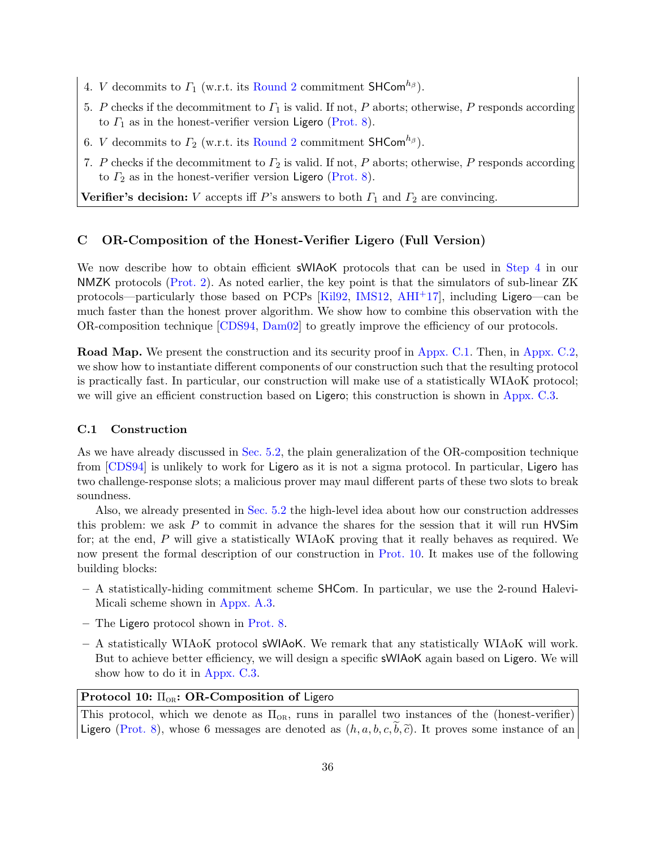- <span id="page-37-4"></span>4. *V* decommits to  $\Gamma_1$  (w.r.t. its [Round 2](#page-36-1) commitment SHCom<sup>h<sub>β</sub></sup>).
- 5. P checks if the decommitment to  $\Gamma_1$  is valid. If not, P aborts; otherwise, P responds according to  $\Gamma_1$  as in the honest-verifier version Ligero [\(Prot. 8\)](#page-35-1).
- 6. *V* decommits to  $\Gamma_2$  (w.r.t. its [Round 2](#page-36-1) commitment SHCom<sup>h<sub>β</sub></sup>).
- <span id="page-37-2"></span>7. P checks if the decommitment to  $\Gamma_2$  is valid. If not, P aborts; otherwise, P responds according to  $\Gamma_2$  as in the honest-verifier version Ligero [\(Prot. 8\)](#page-35-1).

**Verifier's decision:** V accepts iff P's answers to both  $\Gamma_1$  and  $\Gamma_2$  are convincing.

## <span id="page-37-0"></span>C OR-Composition of the Honest-Verifier Ligero (Full Version)

We now describe how to obtain efficient **sWIAoK** protocols that can be used in [Step 4](#page-12-3) in our NMZK protocols [\(Prot. 2\)](#page-11-1). As noted earlier, the key point is that the simulators of sub-linear ZK protocols—particularly those based on PCPs [\[Kil92,](#page-30-16) [IMS12,](#page-30-18)  $AHI<sup>+17</sup>$  $AHI<sup>+17</sup>$ ], including Ligero—can be much faster than the honest prover algorithm. We show how to combine this observation with the OR-composition technique [\[CDS94,](#page-28-19) [Dam02\]](#page-29-15) to greatly improve the efficiency of our protocols.

Road Map. We present the construction and its security proof in [Appx. C.1.](#page-37-1) Then, in [Appx. C.2,](#page-43-0) we show how to instantiate different components of our construction such that the resulting protocol is practically fast. In particular, our construction will make use of a statistically WIAoK protocol; we will give an efficient construction based on Ligero; this construction is shown in [Appx. C.3.](#page-45-0)

#### <span id="page-37-1"></span>C.1 Construction

As we have already discussed in [Sec. 5.2,](#page-21-2) the plain generalization of the OR-composition technique from [\[CDS94\]](#page-28-19) is unlikely to work for Ligero as it is not a sigma protocol. In particular, Ligero has two challenge-response slots; a malicious prover may maul different parts of these two slots to break soundness.

Also, we already presented in [Sec. 5.2](#page-21-2) the high-level idea about how our construction addresses this problem: we ask  $P$  to commit in advance the shares for the session that it will run HVSim for; at the end, P will give a statistically WIAoK proving that it really behaves as required. We now present the formal description of our construction in [Prot. 10.](#page-37-3) It makes use of the following building blocks:

- A statistically-hiding commitment scheme SHCom. In particular, we use the 2-round Halevi-Micali scheme shown in [Appx. A.3.](#page-34-0)
- The Ligero protocol shown in [Prot. 8.](#page-35-1)
- A statistically WIAoK protocol sWIAoK. We remark that any statistically WIAoK will work. But to achieve better efficiency, we will design a specific sWIAoK again based on Ligero. We will show how to do it in [Appx. C.3.](#page-45-0)

# <span id="page-37-3"></span>Protocol 10:  $\Pi_{OR}$ : OR-Composition of Ligero

This protocol, which we denote as  $\Pi_{OR}$ , runs in parallel two instances of the (honest-verifier) Ligero [\(Prot. 8\)](#page-35-1), whose 6 messages are denoted as  $(h, a, b, c, b, \tilde{c})$ . It proves some instance of an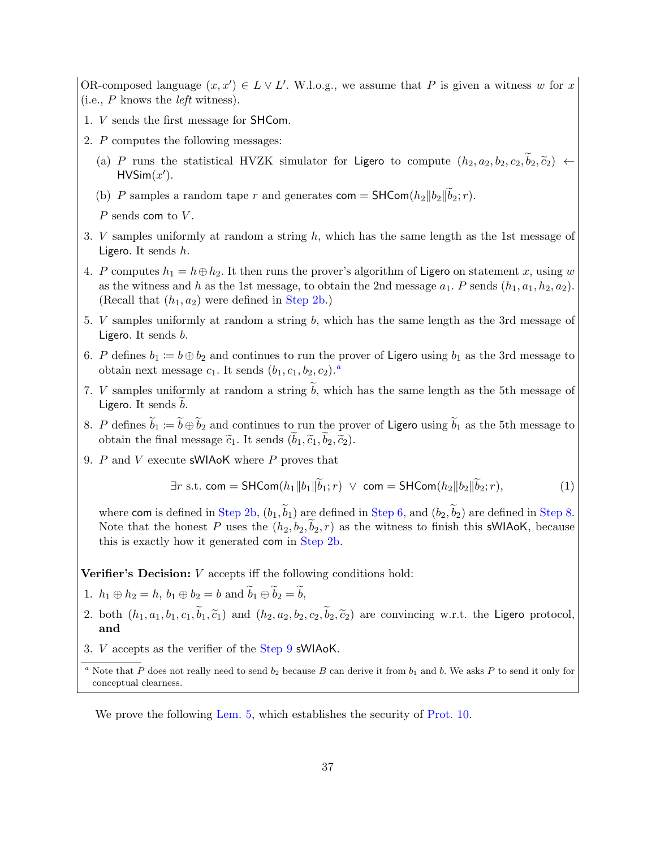OR-composed language  $(x, x') \in L \vee L'$ . W.l.o.g., we assume that P is given a witness w for x (i.e.,  $P$  knows the *left* witness).

- <span id="page-38-13"></span>1. V sends the first message for SHCom.
- <span id="page-38-12"></span><span id="page-38-6"></span>2. P computes the following messages:
	- (a) P runs the statistical HVZK simulator for Ligero to compute  $(h_2, a_2, b_2, c_2, \widetilde{b}_2, \widetilde{c}_2) \leftarrow$  $HVSim(x')$ .
	- (b) P samples a random tape r and generates  $com = SHCom(h_2||b_2||b_2; r)$ .

<span id="page-38-0"></span> $P$  sends com to  $V$ .

- <span id="page-38-8"></span>3. V samples uniformly at random a string h, which has the same length as the 1st message of Ligero. It sends h.
- <span id="page-38-9"></span>4. P computes  $h_1 = h \oplus h_2$ . It then runs the prover's algorithm of Ligero on statement x, using w as the witness and h as the 1st message, to obtain the 2nd message  $a_1$ . P sends  $(h_1, a_1, h_2, a_2)$ . (Recall that  $(h_1, a_2)$  were defined in [Step 2b.](#page-38-0))
- <span id="page-38-10"></span>5. V samples uniformly at random a string b, which has the same length as the 3rd message of Ligero. It sends b.
- <span id="page-38-2"></span>6. P defines  $b_1 := b \oplus b_2$  and continues to run the prover of Ligero using  $b_1$  as the 3rd message to obt[a](#page-38-1)in next message  $c_1$ . It sends  $(b_1, c_1, b_2, c_2)$ .
- <span id="page-38-11"></span>7. V samples uniformly at random a string  $\tilde{b}$ , which has the same length as the 5th message of Ligero. It sends  $b$ .
- <span id="page-38-3"></span>8. P defines  $\widetilde{b}_1 := \widetilde{b} \oplus \widetilde{b}_2$  and continues to run the prover of Ligero using  $\widetilde{b}_1$  as the 5th message to obtain the final message  $\tilde{c}_1$ . It sends  $(b_1, \tilde{c}_1, b_2, \tilde{c}_2)$ .
- <span id="page-38-4"></span>9. P and V execute sWIAoK where P proves that

<span id="page-38-7"></span><span id="page-38-5"></span>
$$
\exists r \text{ s.t. } \text{com} = \text{SHCom}(h_1 \| b_1 \| b_1; r) \ \lor \ \text{com} = \text{SHCom}(h_2 \| b_2 \| b_2; r), \tag{1}
$$

where com is defined in [Step 2b,](#page-38-0)  $(b_1, \tilde{b}_1)$  are defined in [Step 6,](#page-38-2) and  $(b_2, \tilde{b}_2)$  are defined in [Step 8.](#page-38-3) Note that the honest P uses the  $(h_2, b_2, b_2, r)$  as the witness to finish this sWIAoK, because this is exactly how it generated com in [Step 2b.](#page-38-0)

Verifier's Decision: V accepts iff the following conditions hold:

- 1.  $h_1 \oplus h_2 = h$ ,  $b_1 \oplus b_2 = b$  and  $\widetilde{b}_1 \oplus \widetilde{b}_2 = \widetilde{b}$ ,
- 2. both  $(h_1, a_1, b_1, c_1, \widetilde{b}_1, \widetilde{c}_1)$  and  $(h_2, a_2, b_2, c_2, \widetilde{b}_2, \widetilde{c}_2)$  are convincing w.r.t. the Ligero protocol, and
- 3. V accepts as the verifier of the [Step 9](#page-38-4) sWIAoK.

We prove the following [Lem. 5,](#page-38-5) which establishes the security of [Prot. 10.](#page-37-3)

<span id="page-38-1"></span><sup>&</sup>lt;sup>a</sup> Note that P does not really need to send  $b_2$  because B can derive it from  $b_1$  and b. We asks P to send it only for conceptual clearness.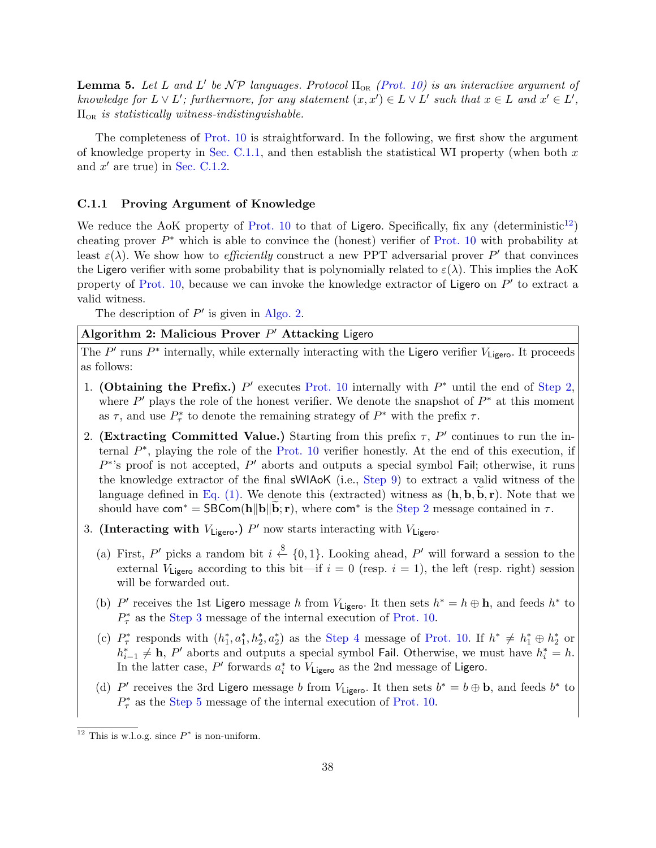**Lemma 5.** Let L and L' be  $\mathcal{NP}$  languages. Protocol  $\Pi_{OR}$  [\(Prot. 10\)](#page-37-3) is an interactive argument of knowledge for  $L \vee L'$ ; furthermore, for any statement  $(x, x') \in L \vee L'$  such that  $x \in L$  and  $x' \in L'$ ,  $\Pi_{OR}$  is statistically witness-indistinguishable.

The completeness of [Prot. 10](#page-37-3) is straightforward. In the following, we first show the argument of knowledge property in [Sec. C.1.1,](#page-39-0) and then establish the statistical WI property (when both  $x$ and  $x'$  are true) in [Sec. C.1.2.](#page-40-0)

#### <span id="page-39-0"></span>C.1.1 Proving Argument of Knowledge

We reduce the AoK property of [Prot. 10](#page-37-3) to that of Ligero. Specifically, fix any (deterministic<sup>[12](#page-39-1)</sup>) cheating prover  $P^*$  which is able to convince the (honest) verifier of [Prot. 10](#page-37-3) with probability at least  $\varepsilon(\lambda)$ . We show how to *efficiently* construct a new PPT adversarial prover P' that convinces the Ligero verifier with some probability that is polynomially related to  $\varepsilon(\lambda)$ . This implies the AoK property of [Prot. 10,](#page-37-3) because we can invoke the knowledge extractor of Ligero on  $P'$  to extract a valid witness.

The description of  $P'$  is given in [Algo. 2.](#page-39-2)

# <span id="page-39-2"></span>Algorithm 2: Malicious Prover  $P'$  Attacking Ligero

The  $P'$  runs  $P^*$  internally, while externally interacting with the Ligero verifier  $V_{\text{Ligero}}$ . It proceeds as follows:

- <span id="page-39-3"></span>1. (Obtaining the Prefix.)  $P'$  executes [Prot. 10](#page-37-3) internally with  $P^*$  until the end of [Step 2,](#page-38-6) where  $P'$  plays the role of the honest verifier. We denote the snapshot of  $P^*$  at this moment as  $\tau$ , and use  $P^*_{\tau}$  to denote the remaining strategy of  $P^*$  with the prefix  $\tau$ .
- 2. (Extracting Committed Value.) Starting from this prefix  $\tau$ , P' continues to run the internal  $P^*$ , playing the role of the [Prot. 10](#page-37-3) verifier honestly. At the end of this execution, if  $P^*$ 's proof is not accepted,  $P'$  aborts and outputs a special symbol Fail; otherwise, it runs the knowledge extractor of the final sWIAoK (i.e., [Step 9\)](#page-38-4) to extract a valid witness of the language defined in [Eq. \(1\).](#page-38-7) We denote this (extracted) witness as  $(h, b, b, r)$ . Note that we should have  $com^* = SBCom(h||b||\tilde{b}; r)$ , where  $com^*$  is the [Step 2](#page-38-6) message contained in  $\tau$ .
- 3. (Interacting with  $V_{Ligero}$ .)  $P'$  now starts interacting with  $V_{Ligero}$ .
	- (a) First, P' picks a random bit  $i \stackrel{\$}{\leftarrow} \{0,1\}$ . Looking ahead, P' will forward a session to the external  $V_{\text{Ligero}}$  according to this bit—if  $i = 0$  (resp.  $i = 1$ ), the left (resp. right) session will be forwarded out.
	- (b) P' receives the 1st Ligero message h from  $V_{\text{Ligero}}$ . It then sets  $h^* = h \oplus \mathbf{h}$ , and feeds  $h^*$  to  $P^*_{\tau}$  as the [Step 3](#page-38-8) message of the internal execution of [Prot. 10.](#page-37-3)
	- (c)  $P^*$  responds with  $(h_1^*, a_1^*, h_2^*, a_2^*)$  as the [Step 4](#page-38-9) message of [Prot. 10.](#page-37-3) If  $h^* \neq h_1^* \oplus h_2^*$  or  $h_{i-1}^* \neq \mathbf{h}$ , P' aborts and outputs a special symbol Fail. Otherwise, we must have  $h_i^* = h$ . In the latter case,  $P'$  forwards  $a_i^*$  to  $V_{\text{Ligero}}$  as the 2nd message of Ligero.
	- (d) P' receives the 3rd Ligero message b from  $V_{Ligero}$ . It then sets  $b^* = b \oplus b$ , and feeds  $b^*$  to  $P^*_{\tau}$  as the [Step 5](#page-38-10) message of the internal execution of [Prot. 10.](#page-37-3)

<span id="page-39-5"></span><span id="page-39-4"></span><span id="page-39-1"></span><sup>&</sup>lt;sup>12</sup> This is w.l.o.g. since  $P^*$  is non-uniform.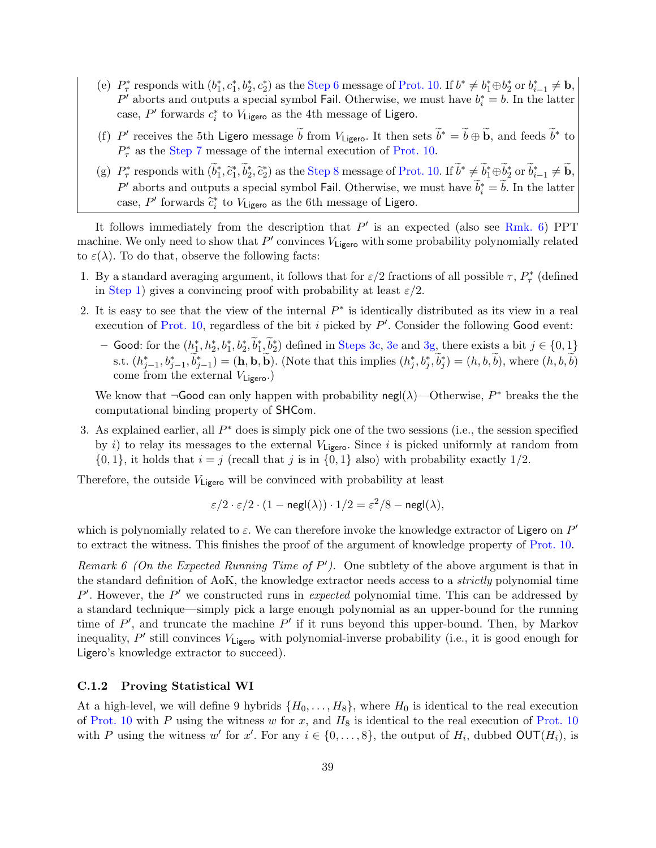- (e)  $P^*_{\tau}$  responds with  $(b_1^*, c_1^*, b_2^*, c_2^*)$  as the [Step 6](#page-38-2) message of [Prot. 10.](#page-37-3) If  $b^* \neq b_1^* \oplus b_2^*$  or  $b_{i-1}^* \neq \mathbf{b}$ ,  $P'$  aborts and outputs a special symbol Fail. Otherwise, we must have  $b_i^* = b$ . In the latter case,  $P'$  forwards  $c_i^*$  to  $V_{\text{Ligero}}$  as the 4th message of Ligero.
- (f) P' receives the 5th Ligero message  $\tilde{b}$  from  $V_{Ligero}$ . It then sets  $\tilde{b}^* = \tilde{b} \oplus \tilde{b}$ , and feeds  $\tilde{b}^*$  to  $P^*_{\tau}$  as the [Step 7](#page-38-11) message of the internal execution of [Prot. 10.](#page-37-3)
- <span id="page-40-2"></span>(g)  $P^*_r$  responds with  $(\tilde{b}_1^*, \tilde{c}_1^*, \tilde{b}_2^*, \tilde{c}_2^*)$  as the [Step 8](#page-38-3) message of [Prot. 10.](#page-37-3) If  $\tilde{b}^* \neq \tilde{b}_1^* \oplus \tilde{b}_2^*$  or  $\tilde{b}_{i-1}^* \neq \tilde{b}_2^*$ , P' aborts and outputs a special symbol Fail. Otherwise, we must have  $\tilde{b}_i^* = \tilde{b}$ . In the latter case,  $P'$  forwards  $\tilde{c}_i^*$  to  $V_{\text{Ligero}}$  as the 6th message of Ligero.

It follows immediately from the description that  $P'$  is an expected (also see [Rmk. 6\)](#page-40-1) PPT machine. We only need to show that  $P'$  convinces  $V_{\text{Ligero}}$  with some probability polynomially related to  $\varepsilon(\lambda)$ . To do that, observe the following facts:

- 1. By a standard averaging argument, it follows that for  $\varepsilon/2$  fractions of all possible  $\tau$ ,  $P^*_{\tau}$  (defined in [Step 1\)](#page-39-3) gives a convincing proof with probability at least  $\varepsilon/2$ .
- 2. It is easy to see that the view of the internal  $P^*$  is identically distributed as its view in a real execution of [Prot. 10,](#page-37-3) regardless of the bit  $i$  picked by  $P'$ . Consider the following Good event:
	- $-$  Good: for the  $(h_1^*, h_2^*, b_1^*, b_2^*, \tilde{b}_1^*, \tilde{b}_2^*)$  defined in [Steps 3c,](#page-39-4) [3e](#page-39-5) and [3g,](#page-40-2) there exists a bit  $j \in \{0, 1\}$ s.t.  $(h_{j-1}^*, b_{j-1}^*, \tilde{b}_{j-1}^*) = (\mathbf{h}, \mathbf{b}, \tilde{\mathbf{b}})$ . (Note that this implies  $(h_j^*, b_j^*, \tilde{b}_j^*) = (h, b, \tilde{b})$ , where  $(h, b, \tilde{b})$ come from the external  $V_{\text{Ligero}}$ .)

We know that  $\neg$ Good can only happen with probability negl( $\lambda$ )—Otherwise,  $P^*$  breaks the the computational binding property of SHCom.

3. As explained earlier, all  $P^*$  does is simply pick one of the two sessions (i.e., the session specified by i) to relay its messages to the external  $V_{\text{Ligero}}$ . Since i is picked uniformly at random from  $\{0, 1\}$ , it holds that  $i = j$  (recall that j is in  $\{0, 1\}$  also) with probability exactly 1/2.

Therefore, the outside  $V_{\text{Ligero}}$  will be convinced with probability at least

<span id="page-40-1"></span>
$$
\varepsilon/2 \cdot \varepsilon/2 \cdot (1 - \mathsf{negl}(\lambda)) \cdot 1/2 = \varepsilon^2/8 - \mathsf{negl}(\lambda),
$$

which is polynomially related to  $\varepsilon$ . We can therefore invoke the knowledge extractor of Ligero on  $P'$ to extract the witness. This finishes the proof of the argument of knowledge property of [Prot. 10.](#page-37-3)

Remark 6 (On the Expected Running Time of  $P'$ ). One subtlety of the above argument is that in the standard definition of AoK, the knowledge extractor needs access to a strictly polynomial time  $P'$ . However, the  $P'$  we constructed runs in *expected* polynomial time. This can be addressed by a standard technique—simply pick a large enough polynomial as an upper-bound for the running time of  $P'$ , and truncate the machine  $P'$  if it runs beyond this upper-bound. Then, by Markov inequality,  $P'$  still convinces  $V_{\text{Ligero}}$  with polynomial-inverse probability (i.e., it is good enough for Ligero's knowledge extractor to succeed).

### <span id="page-40-0"></span>C.1.2 Proving Statistical WI

At a high-level, we will define 9 hybrids  $\{H_0, \ldots, H_8\}$ , where  $H_0$  is identical to the real execution of [Prot. 10](#page-37-3) with P using the witness w for x, and  $H_8$  is identical to the real execution of Prot. 10 with P using the witness w' for x'. For any  $i \in \{0, \ldots, 8\}$ , the output of  $H_i$ , dubbed  $\text{OUT}(H_i)$ , is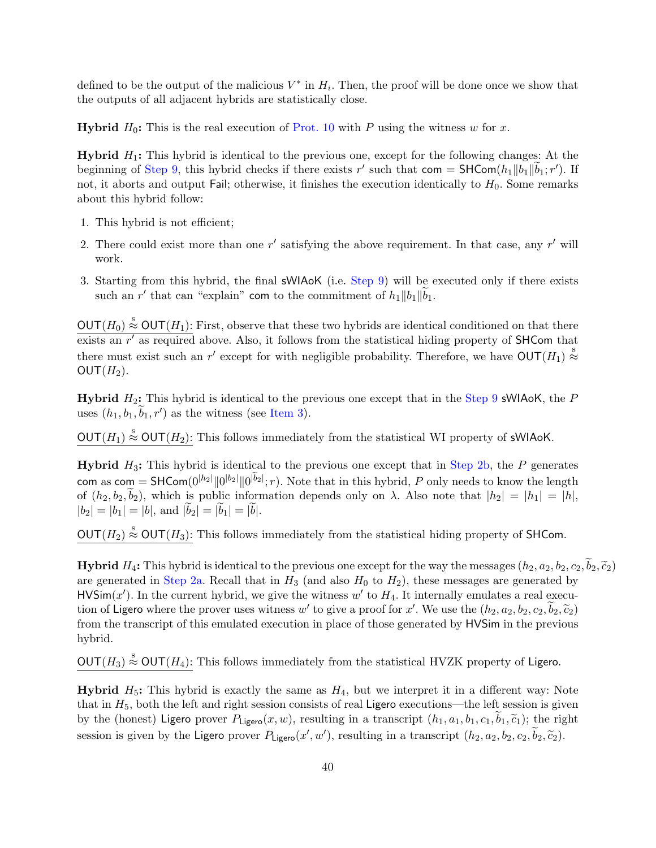defined to be the output of the malicious  $V^*$  in  $H_i$ . Then, the proof will be done once we show that the outputs of all adjacent hybrids are statistically close.

**Hybrid**  $H_0$ : This is the real execution of [Prot. 10](#page-37-3) with P using the witness w for x.

**Hybrid**  $H_1$ : This hybrid is identical to the previous one, except for the following changes: At the beginning of [Step 9,](#page-38-4) this hybrid checks if there exists r' such that  $com = SHCom(h_1||b_1||\tilde{b}_1; r')$ . If not, it aborts and output Fail; otherwise, it finishes the execution identically to  $H_0$ . Some remarks about this hybrid follow:

- 1. This hybrid is not efficient;
- 2. There could exist more than one  $r'$  satisfying the above requirement. In that case, any  $r'$  will work.
- <span id="page-41-0"></span>3. Starting from this hybrid, the final sWIAoK (i.e. [Step 9\)](#page-38-4) will be executed only if there exists such an r' that can "explain" com to the commitment of  $h_1||b_1||\widetilde{b}_1$ .

 $\mathsf{OUT}(H_0) \stackrel{\text{s}}{\approx} \mathsf{OUT}(H_1)$ : First, observe that these two hybrids are identical conditioned on that there  $\overline{v}$  exists an r' as required above. Also, it follows from the statistical hiding property of SHCom that there must exist such an r' except for with negligible probability. Therefore, we have  $\text{OUT}(H_1) \overset{\text{s}}{\approx}$ OUT $(H_2)$ .

Hybrid  $H_2$ : This hybrid is identical to the previous one except that in the [Step 9](#page-38-4) sWIAoK, the P uses  $(h_1, b_1, \tilde{b}_1, r')$  as the witness (see [Item 3\)](#page-41-0).

 $\mathsf{OUT}(H_1) \stackrel{\text{s}}{\approx} \mathsf{OUT}(H_2)$ : This follows immediately from the statistical WI property of sWIAoK.

**Hybrid**  $H_3$ : This hybrid is identical to the previous one except that in [Step 2b,](#page-38-0) the P generates com as com = SHCom $(0^{|h_2|} || 0^{|b_2|} || 0^{|b_2|}; r)$ . Note that in this hybrid, P only needs to know the length of  $(h_2, b_2, \tilde{b}_2)$ , which is public information depends only on  $\lambda$ . Also note that  $|h_2| = |h_1| = |h|$ ,  $|b_2| = |b_1| = |b|$ , and  $|\tilde{b}_2| = |\tilde{b}_1| = |\tilde{b}|$ .

 $\mathsf{OUT}(H_2) \stackrel{\text{s}}{\approx} \mathsf{OUT}(H_3)$ : This follows immediately from the statistical hiding property of SHCom.

**Hybrid**  $H_4$ : This hybrid is identical to the previous one except for the way the messages  $(h_2, a_2, b_2, c_2, b_2, \tilde{c}_2)$ are generated in [Step 2a.](#page-38-12) Recall that in  $H_3$  (and also  $H_0$  to  $H_2$ ), these messages are generated by HVSim(x'). In the current hybrid, we give the witness  $w'$  to  $H_4$ . It internally emulates a real execution of Ligero where the prover uses witness w' to give a proof for x'. We use the  $(h_2, a_2, b_2, c_2, \tilde{b}_2, \tilde{c}_2)$ <br>from the transcript of this emulated execution in place of those generated by HVSim in the provision from the transcript of this emulated execution in place of those generated by HVSim in the previous hybrid.

 $\mathsf{OUT}(H_3) \stackrel{\text{s}}{\approx} \mathsf{OUT}(H_4)$ : This follows immediately from the statistical HVZK property of Ligero.

**Hybrid**  $H_5$ : This hybrid is exactly the same as  $H_4$ , but we interpret it in a different way: Note that in  $H_5$ , both the left and right session consists of real Ligero executions—the left session is given by the (honest) Ligero prover  $P_{\text{Ligero}}(x, w)$ , resulting in a transcript  $(h_1, a_1, b_1, c_1, b_1, \tilde{c}_1)$ ; the right session is given by the Ligero prover  $P_{\text{Ligero}}(x', w')$ , resulting in a transcript  $(h_2, a_2, b_2, c_2, \tilde{b}_2, \tilde{c}_2)$ .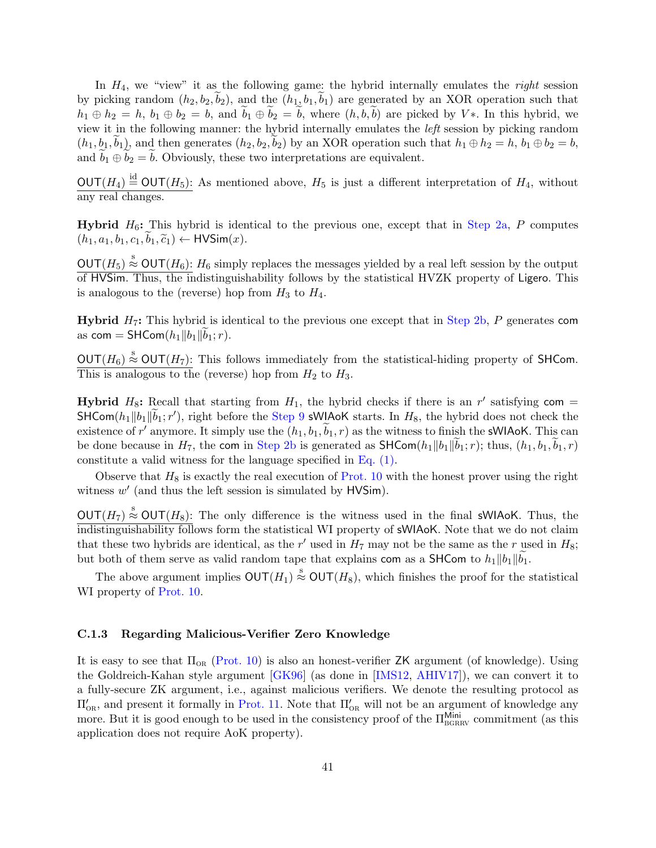<span id="page-42-1"></span>In  $H_4$ , we "view" it as the following game: the hybrid internally emulates the *right* session by picking random  $(h_2, b_2, b_2)$ , and the  $(h_1, b_1, b_1)$  are generated by an XOR operation such that  $h_1 \oplus h_2 = h$ ,  $b_1 \oplus b_2 = b$ , and  $\widetilde{b}_1 \oplus \widetilde{b}_2 = \widetilde{b}$ , where  $(h, b, \widetilde{b})$  are picked by V<sup>\*</sup>. In this hybrid, we view it in the following manner: the hybrid internally emulates the left session by picking random  $(h_1, b_1, b_1)$ , and then generates  $(h_2, b_2, b_2)$  by an XOR operation such that  $h_1 \oplus h_2 = h$ ,  $b_1 \oplus b_2 = b$ , and  $b_1 \oplus b_2 = b$ . Obviously, these two interpretations are equivalent.

OUT $(H_4) \stackrel{\text{id}}{=}$  OUT $(H_5)$ : As mentioned above,  $H_5$  is just a different interpretation of  $H_4$ , without any real changes.

**Hybrid**  $H_6$ : This hybrid is identical to the previous one, except that in [Step 2a,](#page-38-12) P computes  $(h_1, a_1, b_1, c_1, b_1, \widetilde{c}_1) \leftarrow \mathsf{HVSim}(x).$ 

 $\mathsf{OUT}(H_5) \stackrel{\text{s}}{\approx} \mathsf{OUT}(H_6)$ :  $H_6$  simply replaces the messages yielded by a real left session by the output of HVSim. Thus, the indistinguishability follows by the statistical HVZK property of Ligero. This is analogous to the (reverse) hop from  $H_3$  to  $H_4$ .

**Hybrid**  $H_7$ : This hybrid is identical to the previous one except that in [Step 2b,](#page-38-0) P generates com as com =  $SHCom(h_1||b_1||b_1; r)$ .

OUT( $H_6$ )  $\stackrel{\text{s}}{\approx}$  OUT( $H_7$ ): This follows immediately from the statistical-hiding property of SHCom. This is analogous to the (reverse) hop from  $H_2$  to  $H_3$ .

**Hybrid**  $H_8$ : Recall that starting from  $H_1$ , the hybrid checks if there is an r' satisfying com =  $SHCom(h_1||h_1||\tilde{b}_1; r')$ , right before the [Step 9](#page-38-4) sWIAoK starts. In  $H_8$ , the hybrid does not check the existence of r' anymore. It simply use the  $(h_1, b_1, b_1, t)$  as the witness to finish the sWIAoK. This can be done because in  $H_7$ , the com in [Step 2b](#page-38-0) is generated as SHCom $(h_1||b_1||b_1; r)$ ; thus,  $(h_1, b_1, b_1, r)$ constitute a valid witness for the language specified in [Eq. \(1\).](#page-38-7)

Observe that  $H_8$  is exactly the real execution of [Prot. 10](#page-37-3) with the honest prover using the right witness  $w'$  (and thus the left session is simulated by  $HVS$ im).

OUT( $H_7$ )  $\stackrel{\text{s}}{\approx}$  OUT( $H_8$ ): The only difference is the witness used in the final sWIAoK. Thus, the indistinguishability follows form the statistical WI property of sWIAoK. Note that we do not claim that these two hybrids are identical, as the r' used in  $H_7$  may not be the same as the r used in  $H_8$ ; but both of them serve as valid random tape that explains com as a SHCom to  $h_1||b_1||b_1$ .

The above argument implies  $\mathsf{OUT}(H_1) \stackrel{\text{s}}{\approx} \mathsf{OUT}(H_8)$ , which finishes the proof for the statistical WI property of [Prot. 10.](#page-37-3)

# <span id="page-42-0"></span>C.1.3 Regarding Malicious-Verifier Zero Knowledge

It is easy to see that  $\Pi_{OR}$  [\(Prot. 10\)](#page-37-3) is also an honest-verifier ZK argument (of knowledge). Using the Goldreich-Kahan style argument [\[GK96\]](#page-29-20) (as done in [\[IMS12,](#page-30-18) [AHIV17\]](#page-28-10)), we can convert it to a fully-secure ZK argument, i.e., against malicious verifiers. We denote the resulting protocol as  $\Pi_{\text{OR}}'$ , and present it formally in [Prot. 11.](#page-43-1) Note that  $\Pi_{\text{OR}}'$  will not be an argument of knowledge any more. But it is good enough to be used in the consistency proof of the  $\Pi_{\rm BGRBV}^{\rm Mini}$  commitment (as this application does not require AoK property).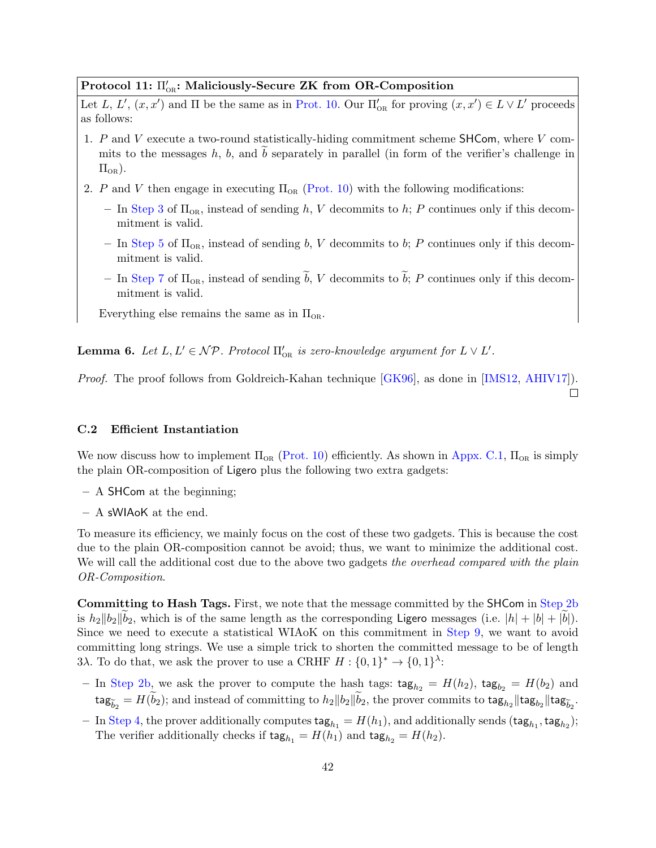# <span id="page-43-2"></span><span id="page-43-1"></span>Protocol 11:  $\Pi'_{OR}$ : Maliciously-Secure ZK from OR-Composition

Let L, L',  $(x, x')$  and  $\Pi$  be the same as in [Prot. 10.](#page-37-3) Our  $\Pi'_{OR}$  for proving  $(x, x') \in L \vee L'$  proceeds as follows:

- 1. P and V execute a two-round statistically-hiding commitment scheme SHCom, where V commits to the messages  $h$ ,  $b$ , and  $b$  separately in parallel (in form of the verifier's challenge in  $\Pi_{OR}$ ).
- 2. P and V then engage in executing  $\Pi_{OR}$  [\(Prot. 10\)](#page-37-3) with the following modifications:
	- In [Step 3](#page-38-8) of  $\Pi_{OR}$ , instead of sending h, V decommits to h; P continues only if this decommitment is valid.
	- In [Step 5](#page-38-10) of  $\Pi_{OR}$ , instead of sending b, V decommits to b; P continues only if this decommitment is valid.
	- In [Step 7](#page-38-11) of  $\Pi_{OR}$ , instead of sending  $\tilde{b}$ , V decommits to  $\tilde{b}$ ; P continues only if this decommitment is valid.

Everything else remains the same as in  $\Pi_{OR}$ .

**Lemma 6.** Let  $L, L' \in \mathcal{NP}$ . Protocol  $\Pi_{\text{OR}}'$  is zero-knowledge argument for  $L \vee L'$ .

Proof. The proof follows from Goldreich-Kahan technique [\[GK96\]](#page-29-20), as done in [\[IMS12,](#page-30-18) [AHIV17\]](#page-28-10).  $\Box$ 

# <span id="page-43-0"></span>C.2 Efficient Instantiation

We now discuss how to implement  $\Pi_{OR}$  [\(Prot. 10\)](#page-37-3) efficiently. As shown in [Appx. C.1,](#page-37-1)  $\Pi_{OR}$  is simply the plain OR-composition of Ligero plus the following two extra gadgets:

- A SHCom at the beginning;
- A sWIAoK at the end.

To measure its efficiency, we mainly focus on the cost of these two gadgets. This is because the cost due to the plain OR-composition cannot be avoid; thus, we want to minimize the additional cost. We will call the additional cost due to the above two gadgets the overhead compared with the plain OR-Composition.

Committing to Hash Tags. First, we note that the message committed by the SHCom in [Step 2b](#page-38-0) is  $h_2||b_2||b_2$ , which is of the same length as the corresponding Ligero messages (i.e.  $|h| + |b| + |b|$ ). Since we need to execute a statistical WIAoK on this commitment in [Step 9,](#page-38-4) we want to avoid committing long strings. We use a simple trick to shorten the committed message to be of length 3λ. To do that, we ask the prover to use a CRHF  $H: \{0,1\}^* \to \{0,1\}^{\lambda}$ :

- In [Step 2b,](#page-38-0) we ask the prover to compute the hash tags:  $\text{tag}_{h_2} = H(h_2)$ ,  $\text{tag}_{b_2} = H(b_2)$  and  $\texttt{tag}_{\widetilde{b}_2}=H(b_2);$  and instead of committing to  $h_2\|b_2\|b_2$ , the prover commits to  $\texttt{tag}_{h_2}\| \texttt{tag}_{\widetilde{b}_2}$ .
- $-$  In [Step 4,](#page-38-9) the prover additionally computes  $\text{tag}_{h_1} = H(h_1)$ , and additionally sends  $(\text{tag}_{h_1},\text{tag}_{h_2});$ The verifier additionally checks if  $\text{tag}_{h_1} = H(h_1)$  and  $\text{tag}_{h_2} = H(h_2)$ .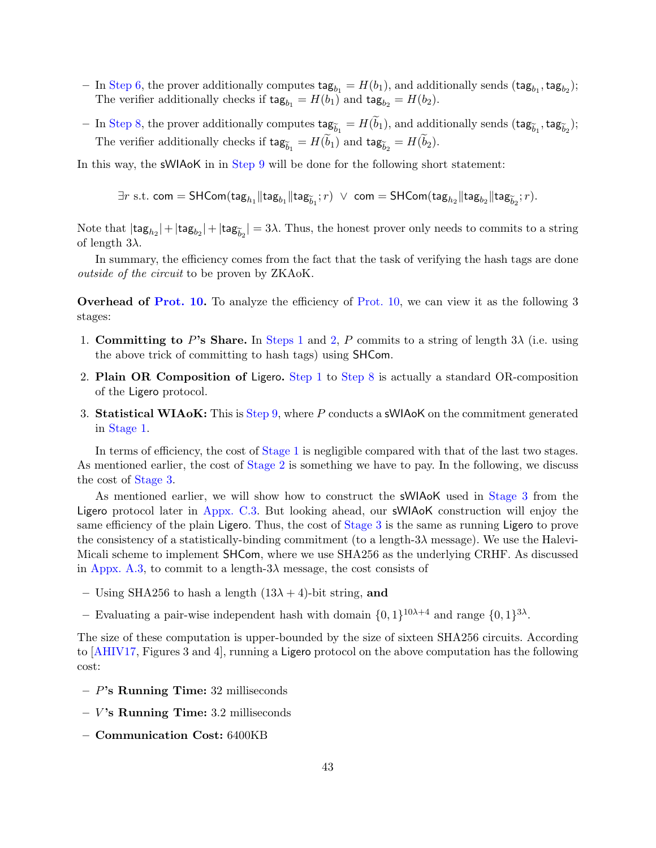- <span id="page-44-0"></span> $-$  In [Step 6,](#page-38-2) the prover additionally computes  $\textsf{tag}_{b_1} = H(b_1)$ , and additionally sends  $(\textsf{tag}_{b_1},\textsf{tag}_{b_2});$ The verifier additionally checks if  $\text{tag}_{b_1} = H(b_1)$  and  $\text{tag}_{b_2} = H(b_2)$ .
- $-$  In [Step 8,](#page-38-3) the prover additionally computes  $\text{tag}_{\widetilde{b}_1} = H(b_1)$ , and additionally sends  $(\text{tag}_{\widetilde{b}_1},\text{tag}_{\widetilde{b}_2});$ The verifier additionally checks if  $\text{tag}_{\tilde{b}_1} = H(b_1)$  and  $\text{tag}_{\tilde{b}_2} = H(b_2)$ .

In this way, the sWIAoK in in [Step 9](#page-38-4) will be done for the following short statement:

$$
\exists r \text{ s.t. } \textsf{com} = \textsf{SHCom}(\textsf{tag}_{h_1}\|\textsf{tag}_{\widetilde{b}_1}; r) \ \lor \ \textsf{com} = \textsf{SHCom}(\textsf{tag}_{h_2}\|\textsf{tag}_{\widetilde{b}_2}; r).
$$

Note that  $|\text{tag}_{h_2}| + |\text{tag}_{b_2}| = 3\lambda$ . Thus, the honest prover only needs to commits to a string of length  $3\lambda$ .

In summary, the efficiency comes from the fact that the task of verifying the hash tags are done outside of the circuit to be proven by ZKAoK.

Overhead of [Prot. 10.](#page-37-3) To analyze the efficiency of [Prot. 10,](#page-37-3) we can view it as the following 3 stages:

- <span id="page-44-1"></span>1. Committing to P's Share. In [Steps 1](#page-38-13) and [2,](#page-38-6) P commits to a string of length  $3\lambda$  (i.e. using the above trick of committing to hash tags) using SHCom.
- <span id="page-44-2"></span>2. Plain OR Composition of Ligero. [Step 1](#page-38-13) to [Step 8](#page-38-3) is actually a standard OR-composition of the Ligero protocol.
- <span id="page-44-3"></span>3. Statistical WIAoK: This is  $Step 9$ , where P conducts a sWIAoK on the commitment generated in [Stage 1.](#page-44-1)

In terms of efficiency, the cost of [Stage 1](#page-44-1) is negligible compared with that of the last two stages. As mentioned earlier, the cost of [Stage 2](#page-44-2) is something we have to pay. In the following, we discuss the cost of [Stage 3.](#page-44-3)

As mentioned earlier, we will show how to construct the sWIAoK used in [Stage 3](#page-44-3) from the Ligero protocol later in [Appx. C.3.](#page-45-0) But looking ahead, our sWIAoK construction will enjoy the same efficiency of the plain Ligero. Thus, the cost of [Stage 3](#page-44-3) is the same as running Ligero to prove the consistency of a statistically-binding commitment (to a length- $3\lambda$  message). We use the Halevi-Micali scheme to implement SHCom, where we use SHA256 as the underlying CRHF. As discussed in [Appx. A.3,](#page-34-0) to commit to a length- $3\lambda$  message, the cost consists of

- Using SHA256 to hash a length  $(13\lambda + 4)$ -bit string, and
- Evaluating a pair-wise independent hash with domain  $\{0,1\}^{10\lambda+4}$  and range  $\{0,1\}^{3\lambda}$ .

The size of these computation is upper-bounded by the size of sixteen SHA256 circuits. According to [\[AHIV17,](#page-28-10) Figures 3 and 4], running a Ligero protocol on the above computation has the following cost:

- P's Running Time: 32 milliseconds
- $-V$ 's Running Time: 3.2 milliseconds
- Communication Cost: 6400KB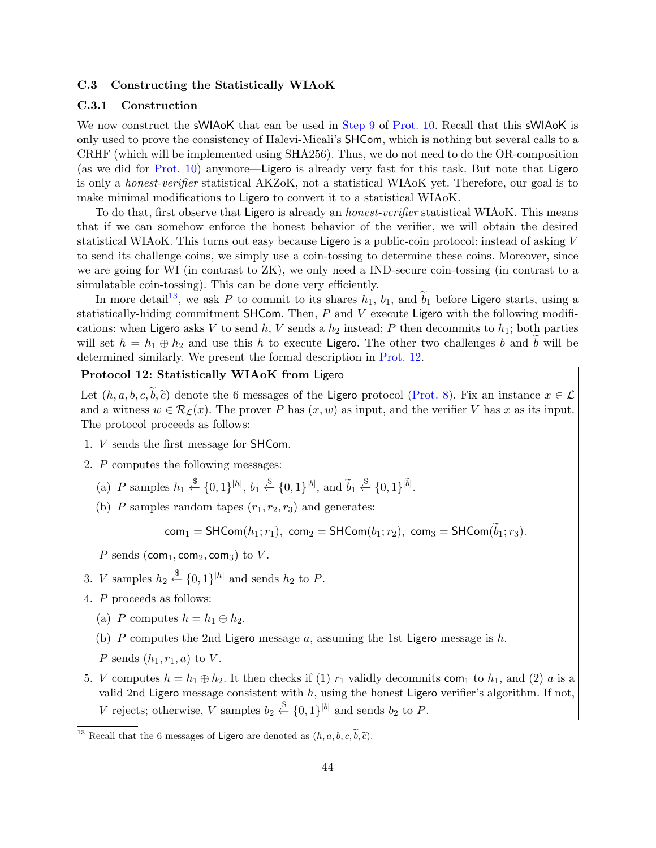### <span id="page-45-0"></span>C.3 Constructing the Statistically WIAoK

# <span id="page-45-1"></span>C.3.1 Construction

We now construct the sWIAoK that can be used in [Step 9](#page-38-4) of [Prot. 10.](#page-37-3) Recall that this sWIAoK is only used to prove the consistency of Halevi-Micali's SHCom, which is nothing but several calls to a CRHF (which will be implemented using SHA256). Thus, we do not need to do the OR-composition (as we did for [Prot. 10\)](#page-37-3) anymore—Ligero is already very fast for this task. But note that Ligero is only a honest-verifier statistical AKZoK, not a statistical WIAoK yet. Therefore, our goal is to make minimal modifications to Ligero to convert it to a statistical WIAoK.

To do that, first observe that Ligero is already an *honest-verifier* statistical WIAoK. This means that if we can somehow enforce the honest behavior of the verifier, we will obtain the desired statistical WIAoK. This turns out easy because Ligero is a public-coin protocol: instead of asking V to send its challenge coins, we simply use a coin-tossing to determine these coins. Moreover, since we are going for WI (in contrast to ZK), we only need a IND-secure coin-tossing (in contrast to a simulatable coin-tossing). This can be done very efficiently.

In more detail<sup>[13](#page-45-2)</sup>, we ask P to commit to its shares  $h_1$ ,  $b_1$ , and  $\tilde{b}_1$  before Ligero starts, using a statistically-hiding commitment SHCom. Then,  $P$  and  $V$  execute Ligero with the following modifications: when Ligero asks V to send h, V sends a  $h_2$  instead; P then decommits to  $h_1$ ; both parties will set  $h = h_1 \oplus h_2$  and use this h to execute Ligero. The other two challenges b and b will be determined similarly. We present the formal description in [Prot. 12.](#page-45-3)

# <span id="page-45-3"></span>Protocol 12: Statistically WIAoK from Ligero

Let  $(h, a, b, c, b, \tilde{c})$  denote the 6 messages of the Ligero protocol [\(Prot. 8\)](#page-35-1). Fix an instance  $x \in \mathcal{L}$ and a witness  $w \in \mathcal{R}_{\mathcal{L}}(x)$ . The prover P has  $(x, w)$  as input, and the verifier V has x as its input. The protocol proceeds as follows:

- 1. V sends the first message for SHCom.
- <span id="page-45-4"></span>2. P computes the following messages:
	- (a) P samples  $h_1 \stackrel{\$}{\leftarrow} \{0,1\}^{|h|}, b_1 \stackrel{\$}{\leftarrow} \{0,1\}^{|b|}, \text{ and } \tilde{b}_1 \stackrel{\$}{\leftarrow} \{0,1\}^{\lceil \tilde{b} \rceil}.$
	- (b) P samples random tapes  $(r_1, r_2, r_3)$  and generates:

$$
\mathsf{com}_1 = \mathsf{SHCom}(h_1; r_1), \ \mathsf{com}_2 = \mathsf{SHCom}(b_1; r_2), \ \mathsf{com}_3 = \mathsf{SHCom}(b_1; r_3).
$$

P sends (com<sub>1</sub>, com<sub>2</sub>, com<sub>3</sub>) to  $V$ .

- 3. V samples  $h_2 \stackrel{\$}{\leftarrow} \{0,1\}^{|h|}$  and sends  $h_2$  to P.
- 4. P proceeds as follows:
	- (a) P computes  $h = h_1 \oplus h_2$ .
	- (b)  $P$  computes the 2nd Ligero message  $a$ , assuming the 1st Ligero message is  $h$ . P sends  $(h_1, r_1, a)$  to V.
- <span id="page-45-5"></span>5. *V* computes  $h = h_1 \oplus h_2$ . It then checks if (1)  $r_1$  validly decommits com<sub>1</sub> to  $h_1$ , and (2) *a* is a valid 2nd Ligero message consistent with  $h$ , using the honest Ligero verifier's algorithm. If not, V rejects; otherwise, V samples  $b_2 \stackrel{\$}{\leftarrow} \{0,1\}^{|b|}$  and sends  $b_2$  to P.

<span id="page-45-2"></span><sup>&</sup>lt;sup>13</sup> Recall that the 6 messages of Ligero are denoted as  $(h, a, b, c, \tilde{b}, \tilde{c})$ .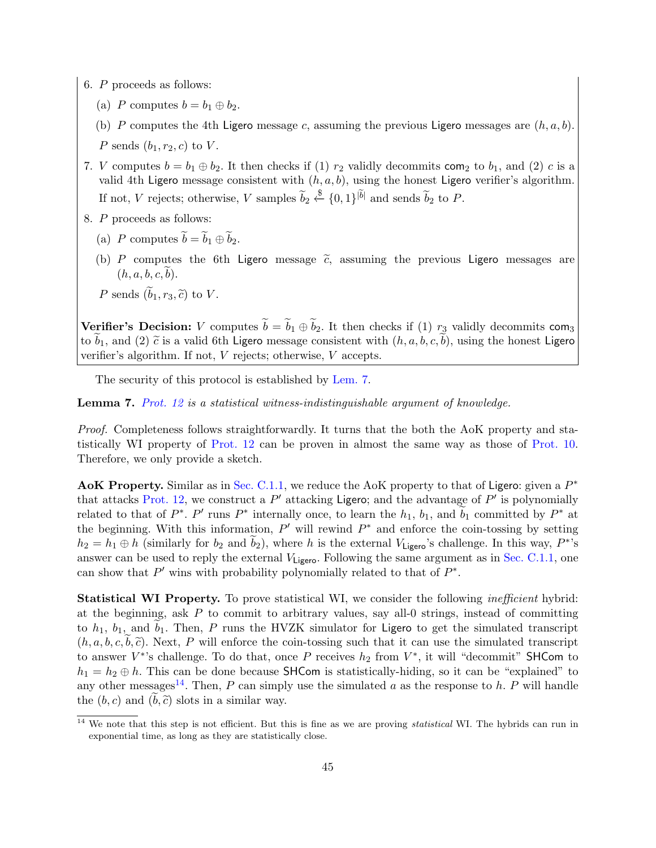- 6. P proceeds as follows:
	- (a) P computes  $b = b_1 \oplus b_2$ .
	- (b) P computes the 4th Ligero message c, assuming the previous Ligero messages are  $(h, a, b)$ . P sends  $(b_1, r_2, c)$  to V.
- <span id="page-46-2"></span>7. V computes  $b = b_1 \oplus b_2$ . It then checks if (1)  $r_2$  validly decommits com<sub>2</sub> to  $b_1$ , and (2) c is a valid 4th Ligero message consistent with  $(h, a, b)$ , using the honest Ligero verifier's algorithm. If not, V rejects; otherwise, V samples  $\widetilde{b}_2 \stackrel{\$}{\leftarrow} \{0,1\}^{|\widetilde{b}|}$  and sends  $\widetilde{b}_2$  to P.
- 8. P proceeds as follows:
	- (a) P computes  $\widetilde{b} = \widetilde{b}_1 \oplus \widetilde{b}_2$ .
	- (b) P computes the 6th Ligero message  $\tilde{c}$ , assuming the previous Ligero messages are  $(h, a, b, c, b).$

P sends  $(\widetilde{b}_1, r_3, \widetilde{c})$  to V.

**Verifier's Decision:** V computes  $\tilde{b} = \tilde{b}_1 \oplus \tilde{b}_2$ . It then checks if (1)  $r_3$  validly decommits com<sub>3</sub> to  $b_1$ , and (2)  $\tilde{c}$  is a valid 6th Ligero message consistent with  $(h, a, b, c, b)$ , using the honest Ligero verifier's algorithm. If not, V rejects; otherwise, V accepts.

<span id="page-46-0"></span>The security of this protocol is established by [Lem. 7.](#page-46-0)

Lemma 7. [Prot. 12](#page-45-3) is a statistical witness-indistinguishable argument of knowledge.

Proof. Completeness follows straightforwardly. It turns that the both the AoK property and statistically WI property of [Prot. 12](#page-45-3) can be proven in almost the same way as those of [Prot. 10.](#page-37-3) Therefore, we only provide a sketch.

AoK Property. Similar as in [Sec. C.1.1,](#page-39-0) we reduce the AoK property to that of Ligero: given a  $P^*$ that attacks [Prot. 12,](#page-45-3) we construct a  $P'$  attacking Ligero; and the advantage of  $P'$  is polynomially related to that of  $P^*$ . P' runs  $P^*$  internally once, to learn the  $h_1$ ,  $b_1$ , and  $b_1$  committed by  $P^*$  at the beginning. With this information,  $P'$  will rewind  $P^*$  and enforce the coin-tossing by setting  $h_2 = h_1 \oplus h$  (similarly for  $b_2$  and  $\tilde{b}_2$ ), where h is the external  $V_{\text{Ligero}}$ 's challenge. In this way,  $P^*$ 's answer can be used to reply the external  $V_{\text{Ligero}}$ . Following the same argument as in [Sec. C.1.1,](#page-39-0) one can show that  $P'$  wins with probability polynomially related to that of  $P^*$ .

Statistical WI Property. To prove statistical WI, we consider the following inefficient hybrid: at the beginning, ask  $P$  to commit to arbitrary values, say all-0 strings, instead of committing to  $h_1$ ,  $b_1$ , and  $b_1$ . Then, P runs the HVZK simulator for Ligero to get the simulated transcript  $(h, a, b, c, b, \tilde{c})$ . Next, P will enforce the coin-tossing such that it can use the simulated transcript to answer  $V^*$ 's challenge. To do that, once P receives  $h_2$  from  $V^*$ , it will "decommit" SHCom to  $h_1 = h_2 \oplus h$ . This can be done because SHCom is statistically-hiding, so it can be "explained" to any other messages<sup>[14](#page-46-1)</sup>. Then, P can simply use the simulated a as the response to h. P will handle the  $(b, c)$  and  $(b, \tilde{c})$  slots in a similar way.

<span id="page-46-1"></span><sup>&</sup>lt;sup>14</sup> We note that this step is not efficient. But this is fine as we are proving *statistical* WI. The hybrids can run in exponential time, as long as they are statistically close.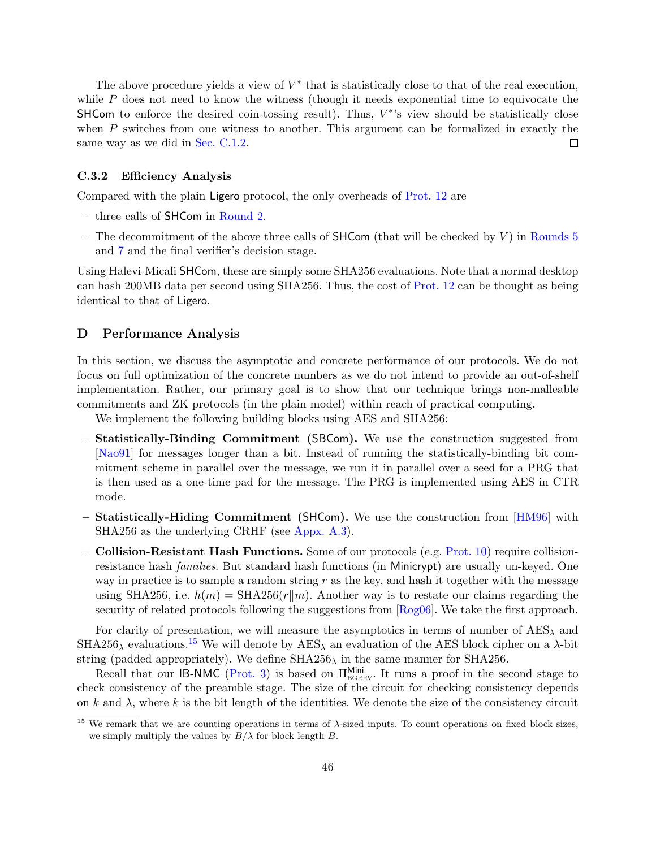<span id="page-47-2"></span>The above procedure yields a view of  $V^*$  that is statistically close to that of the real execution, while  $P$  does not need to know the witness (though it needs exponential time to equivocate the SHCom to enforce the desired coin-tossing result). Thus,  $V^*$ 's view should be statistically close when  $P$  switches from one witness to another. This argument can be formalized in exactly the same way as we did in [Sec. C.1.2.](#page-40-0)  $\Box$ 

# <span id="page-47-0"></span>C.3.2 Efficiency Analysis

Compared with the plain Ligero protocol, the only overheads of [Prot. 12](#page-45-3) are

- three calls of SHCom in [Round 2.](#page-45-4)
- The decommitment of the above three calls of  $SHCom$  (that will be checked by V) in [Rounds 5](#page-45-5) and [7](#page-46-2) and the final verifier's decision stage.

Using Halevi-Micali SHCom, these are simply some SHA256 evaluations. Note that a normal desktop can hash 200MB data per second using SHA256. Thus, the cost of [Prot. 12](#page-45-3) can be thought as being identical to that of Ligero.

# <span id="page-47-1"></span>D Performance Analysis

In this section, we discuss the asymptotic and concrete performance of our protocols. We do not focus on full optimization of the concrete numbers as we do not intend to provide an out-of-shelf implementation. Rather, our primary goal is to show that our technique brings non-malleable commitments and ZK protocols (in the plain model) within reach of practical computing.

We implement the following building blocks using AES and SHA256:

- Statistically-Binding Commitment (SBCom). We use the construction suggested from [\[Nao91\]](#page-31-22) for messages longer than a bit. Instead of running the statistically-binding bit commitment scheme in parallel over the message, we run it in parallel over a seed for a PRG that is then used as a one-time pad for the message. The PRG is implemented using AES in CTR mode.
- Statistically-Hiding Commitment (SHCom). We use the construction from [\[HM96\]](#page-30-21) with SHA256 as the underlying CRHF (see [Appx. A.3\)](#page-34-0).
- Collision-Resistant Hash Functions. Some of our protocols (e.g. [Prot. 10\)](#page-37-3) require collisionresistance hash families. But standard hash functions (in Minicrypt) are usually un-keyed. One way in practice is to sample a random string  $r$  as the key, and hash it together with the message using SHA256, i.e.  $h(m) = \text{SHA256}(r|m)$ . Another way is to restate our claims regarding the security of related protocols following the suggestions from [\[Rog06\]](#page-31-23). We take the first approach.

For clarity of presentation, we will measure the asymptotics in terms of number of  $\text{AES}_\lambda$  and SHA256<sub>λ</sub> evaluations.<sup>[15](#page-47-3)</sup> We will denote by  $\text{AES}_{\lambda}$  an evaluation of the AES block cipher on a  $\lambda$ -bit string (padded appropriately). We define  $SHA256<sub>\lambda</sub>$  in the same manner for SHA256.

Recall that our IB-NMC [\(Prot. 3\)](#page-23-1) is based on  $\Pi_{\text{BGRRV}}^{\text{Min}}$ . It runs a proof in the second stage to check consistency of the preamble stage. The size of the circuit for checking consistency depends on k and  $\lambda$ , where k is the bit length of the identities. We denote the size of the consistency circuit

<span id="page-47-3"></span><sup>&</sup>lt;sup>15</sup> We remark that we are counting operations in terms of  $\lambda$ -sized inputs. To count operations on fixed block sizes, we simply multiply the values by  $B/\lambda$  for block length B.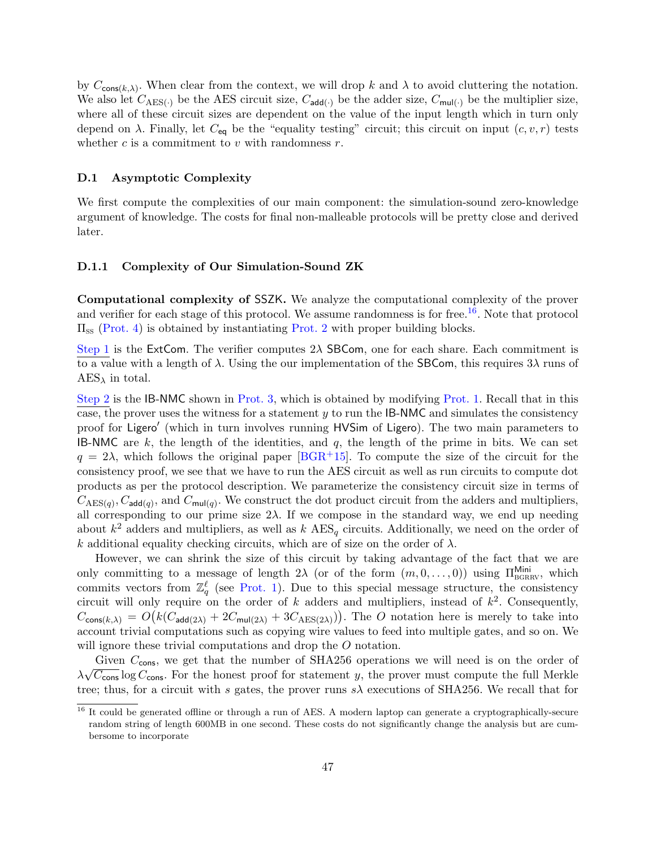<span id="page-48-2"></span>by  $C_{\text{cons}(k,\lambda)}$ . When clear from the context, we will drop k and  $\lambda$  to avoid cluttering the notation. We also let  $C_{\text{AES}(\cdot)}$  be the AES circuit size,  $C_{\text{add}(\cdot)}$  be the adder size,  $C_{\text{mul}(\cdot)}$  be the multiplier size, where all of these circuit sizes are dependent on the value of the input length which in turn only depend on  $\lambda$ . Finally, let  $C_{eq}$  be the "equality testing" circuit; this circuit on input  $(c, v, r)$  tests whether  $c$  is a commitment to  $v$  with randomness  $r$ .

#### <span id="page-48-0"></span>D.1 Asymptotic Complexity

We first compute the complexities of our main component: the simulation-sound zero-knowledge argument of knowledge. The costs for final non-malleable protocols will be pretty close and derived later.

#### <span id="page-48-1"></span>D.1.1 Complexity of Our Simulation-Sound ZK

Computational complexity of SSZK. We analyze the computational complexity of the prover and verifier for each stage of this protocol. We assume randomness is for free.<sup>[16](#page-48-3)</sup>. Note that protocol  $\Pi_{\rm ss}$  [\(Prot. 4\)](#page-24-2) is obtained by instantiating [Prot. 2](#page-11-1) with proper building blocks.

[Step 1](#page-11-2) is the ExtCom. The verifier computes  $2\lambda$  SBCom, one for each share. Each commitment is to a value with a length of  $\lambda$ . Using the our implementation of the **SBCom**, this requires  $3\lambda$  runs of  $\text{AES}_{\lambda}$  in total.

[Step 2](#page-12-4) is the IB-NMC shown in [Prot. 3,](#page-23-1) which is obtained by modifying [Prot. 1.](#page-10-1) Recall that in this case, the prover uses the witness for a statement  $y$  to run the IB-NMC and simulates the consistency proof for Ligero' (which in turn involves running HVSim of Ligero). The two main parameters to IB-NMC are  $k$ , the length of the identities, and  $q$ , the length of the prime in bits. We can set  $q = 2\lambda$ , which follows the original paper [\[BGR](#page-28-7)<sup>+</sup>15]. To compute the size of the circuit for the consistency proof, we see that we have to run the AES circuit as well as run circuits to compute dot products as per the protocol description. We parameterize the consistency circuit size in terms of  $C_{\text{AES}(q)}$ ,  $C_{\text{add}(q)}$ , and  $C_{\text{mul}(q)}$ . We construct the dot product circuit from the adders and multipliers, all corresponding to our prime size  $2\lambda$ . If we compose in the standard way, we end up needing about  $k^2$  adders and multipliers, as well as k  $\text{AES}_q$  circuits. Additionally, we need on the order of k additional equality checking circuits, which are of size on the order of  $\lambda$ .

However, we can shrink the size of this circuit by taking advantage of the fact that we are only committing to a message of length  $2\lambda$  (or of the form  $(m, 0, \ldots, 0)$ ) using  $\Pi_{\text{BGRRV}}^{\text{Mini}}$ , which commits vectors from  $\mathbb{Z}_q^{\ell}$  (see [Prot. 1\)](#page-10-1). Due to this special message structure, the consistency circuit will only require on the order of k adders and multipliers, instead of  $k^2$ . Consequently,  $C_{\text{cons}(k,\lambda)} = O(k(C_{\text{add}(2\lambda)} + 2C_{\text{mul}(2\lambda)} + 3C_{\text{AES}(2\lambda)})).$  The O notation here is merely to take into account trivial computations such as copying wire values to feed into multiple gates, and so on. We will ignore these trivial computations and drop the O notation.

Given  $C_{\text{cons}}$ , we get that the number of SHA256 operations we will need is on the order of λ √  $\overline{C_{\text{cons}}}$  log  $C_{\text{cons}}$ . For the honest proof for statement y, the prover must compute the full Merkle tree; thus, for a circuit with s gates, the prover runs  $s\lambda$  executions of SHA256. We recall that for

<span id="page-48-3"></span><sup>&</sup>lt;sup>16</sup> It could be generated offline or through a run of AES. A modern laptop can generate a cryptographically-secure random string of length 600MB in one second. These costs do not significantly change the analysis but are cumbersome to incorporate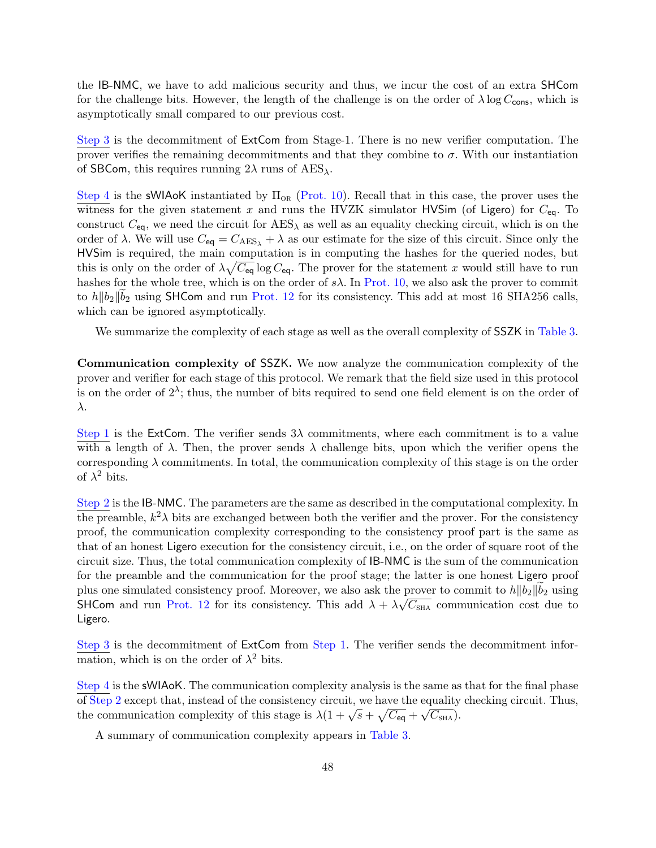the IB-NMC, we have to add malicious security and thus, we incur the cost of an extra SHCom for the challenge bits. However, the length of the challenge is on the order of  $\lambda \log C_{\text{cons}}$ , which is asymptotically small compared to our previous cost.

[Step 3](#page-12-0) is the decommitment of ExtCom from Stage-1. There is no new verifier computation. The prover verifies the remaining decommitments and that they combine to  $\sigma$ . With our instantiation of SBCom, this requires running  $2\lambda$  runs of  $\text{AES}_{\lambda}$ .

[Step 4](#page-12-3) is the sWIAoK instantiated by  $\Pi_{OR}$  [\(Prot. 10\)](#page-37-3). Recall that in this case, the prover uses the witness for the given statement x and runs the HVZK simulator HVSim (of Ligero) for  $C_{eq}$ . To construct  $C_{eq}$ , we need the circuit for  $\text{AES}_{\lambda}$  as well as an equality checking circuit, which is on the order of  $\lambda$ . We will use  $C_{eq} = C_{\text{AES}_{\lambda}} + \lambda$  as our estimate for the size of this circuit. Since only the HVSim is required, the main computation is in computing the hashes for the queried nodes, but this is only on the order of  $\lambda\sqrt{C_{\text{eq}}} \log C_{\text{eq}}$ . The prover for the statement x would still have to run hashes for the whole tree, which is on the order of  $s\lambda$ . In [Prot. 10,](#page-37-3) we also ask the prover to commit to  $h||b_2||b_2$  using SHCom and run [Prot. 12](#page-45-3) for its consistency. This add at most 16 SHA256 calls, which can be ignored asymptotically.

We summarize the complexity of each stage as well as the overall complexity of **SSZK** in [Table 3.](#page-50-1)

Communication complexity of SSZK. We now analyze the communication complexity of the prover and verifier for each stage of this protocol. We remark that the field size used in this protocol is on the order of  $2^{\lambda}$ ; thus, the number of bits required to send one field element is on the order of λ.

[Step 1](#page-11-2) is the ExtCom. The verifier sends  $3\lambda$  commitments, where each commitment is to a value with a length of  $\lambda$ . Then, the prover sends  $\lambda$  challenge bits, upon which the verifier opens the corresponding  $\lambda$  commitments. In total, the communication complexity of this stage is on the order of  $\lambda^2$  bits.

[Step 2](#page-12-4) is the IB-NMC. The parameters are the same as described in the computational complexity. In the preamble,  $k^2\lambda$  bits are exchanged between both the verifier and the prover. For the consistency proof, the communication complexity corresponding to the consistency proof part is the same as that of an honest Ligero execution for the consistency circuit, i.e., on the order of square root of the circuit size. Thus, the total communication complexity of IB-NMC is the sum of the communication for the preamble and the communication for the proof stage; the latter is one honest Ligero proof plus one simulated consistency proof. Moreover, we also ask the prover to commit to  $h||b_2||b_2$  using SHCom and run [Prot. 12](#page-45-3) for its consistency. This add  $\lambda + \lambda \sqrt{C_{\text{SHA}}}$  communication cost due to Ligero.

[Step 3](#page-12-0) is the decommitment of ExtCom from [Step 1.](#page-11-2) The verifier sends the decommitment information, which is on the order of  $\lambda^2$  bits.

[Step 4](#page-12-3) is the sWIAoK. The communication complexity analysis is the same as that for the final phase of [Step 2](#page-12-4) except that, instead of the consistency circuit, we have the equality checking circuit. Thus, of step 2 except that, instead of the consistency cricuit, we have the equality of this stage is  $\lambda(1 + \sqrt{s} + \sqrt{C_{eq}} + \sqrt{C_{SH}})$ .

A summary of communication complexity appears in [Table 3.](#page-50-1)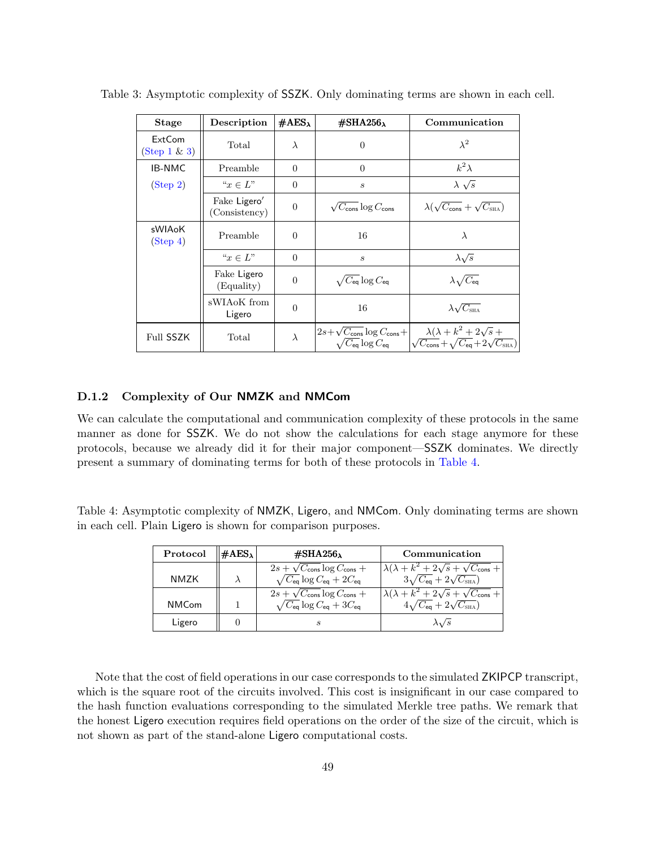| Stage                     | Description                   | $#AES\lambda$ | $\#SHA256_{\lambda}$                                | Communication                                                                                                                                               |
|---------------------------|-------------------------------|---------------|-----------------------------------------------------|-------------------------------------------------------------------------------------------------------------------------------------------------------------|
| ExtCom<br>$(Step 1 \& 3)$ | Total                         | $\lambda$     | $\Omega$                                            | $\lambda^2$                                                                                                                                                 |
| <b>IB-NMC</b>             | Preamble                      | $\Omega$      | $\overline{0}$                                      | $k^2\lambda$                                                                                                                                                |
| (Stop 2)                  | " $x \in L$ "                 | $\Omega$      | $\mathcal{S}_{0}$                                   | $\lambda \sqrt{s}$                                                                                                                                          |
|                           | Fake Ligero'<br>(Consistency) | $\Omega$      | $\sqrt{C_{\text{cons}}} \log C_{\text{cons}}$       | $\lambda(\sqrt{C_{\text{cons}}} + \sqrt{C_{\text{SHA}}})$                                                                                                   |
| sWIAoK<br>(Step 4)        | Preamble                      | $\Omega$      | 16                                                  | $\lambda$                                                                                                                                                   |
|                           | $x \in L^n$                   | $\Omega$      | $\mathcal{S}_{\mathcal{S}}$                         | $\lambda\sqrt{s}$                                                                                                                                           |
|                           | Fake Ligero<br>(Equality)     | $\Omega$      | $\sqrt{C_{\text{eq}}} \log C_{\text{eq}}$           | $\lambda \sqrt{C_{\text{eq}}}$                                                                                                                              |
|                           | sWIAoK from<br>Ligero         | $\Omega$      | 16                                                  | $\lambda\sqrt{C_{\rm SHA}}$                                                                                                                                 |
| Full SSZK                 | Total                         | $\lambda$     | $2s + \sqrt{C_{\text{cons}}}\log C_{\text{cons}} +$ | $\lambda(\lambda + k^2 + 2\sqrt{s} +$<br>$\sqrt{C_{\text{eq}}} \log C_{\text{eq}}$ $\sqrt{C_{\text{cons}}} + \sqrt{C_{\text{eq}}} + 2\sqrt{C_{\text{SHA}}}$ |

<span id="page-50-1"></span>Table 3: Asymptotic complexity of SSZK. Only dominating terms are shown in each cell.

# <span id="page-50-0"></span>D.1.2 Complexity of Our NMZK and NMCom

We can calculate the computational and communication complexity of these protocols in the same manner as done for SSZK. We do not show the calculations for each stage anymore for these protocols, because we already did it for their major component—SSZK dominates. We directly present a summary of dominating terms for both of these protocols in [Table 4.](#page-50-2)

<span id="page-50-2"></span>Table 4: Asymptotic complexity of NMZK, Ligero, and NMCom. Only dominating terms are shown in each cell. Plain Ligero is shown for comparison purposes.

| Protocol     | #AES <sub>1</sub> | $\text{\#SHA256}_{\lambda}$                                | Communication                                                        |  |
|--------------|-------------------|------------------------------------------------------------|----------------------------------------------------------------------|--|
|              |                   | $2s + \sqrt{C_{\text{cons}}} \log C_{\text{cons}} +$       | $\left \lambda(\lambda+k^2+2\sqrt{s}+\sqrt{C_{\text{cons}}}+\right $ |  |
| <b>NMZK</b>  |                   | $\sqrt{C_{\text{eq}}}\log C_{\text{eq}} + 2C_{\text{eq}}$  | $3\sqrt{C_{\text{eq}}}+2\sqrt{C_{\text{SHA}}}\$                      |  |
|              |                   | $2s + \sqrt{C_{\text{cons}}} \log C_{\text{cons}} +$       | $\left \lambda(\lambda+k^2+2\sqrt{s}+\sqrt{C_{\text{cons}}}+\right $ |  |
| <b>NMCom</b> |                   | $\sqrt{C_{\text{eq}}} \log C_{\text{eq}} + 3C_{\text{eq}}$ | $4\sqrt{C_{\text{eq}}} + 2\sqrt{C_{\text{SHA}}}$                     |  |
| Ligero       |                   |                                                            | $\lambda \sqrt{s}$                                                   |  |

Note that the cost of field operations in our case corresponds to the simulated ZKIPCP transcript, which is the square root of the circuits involved. This cost is insignificant in our case compared to the hash function evaluations corresponding to the simulated Merkle tree paths. We remark that the honest Ligero execution requires field operations on the order of the size of the circuit, which is not shown as part of the stand-alone Ligero computational costs.